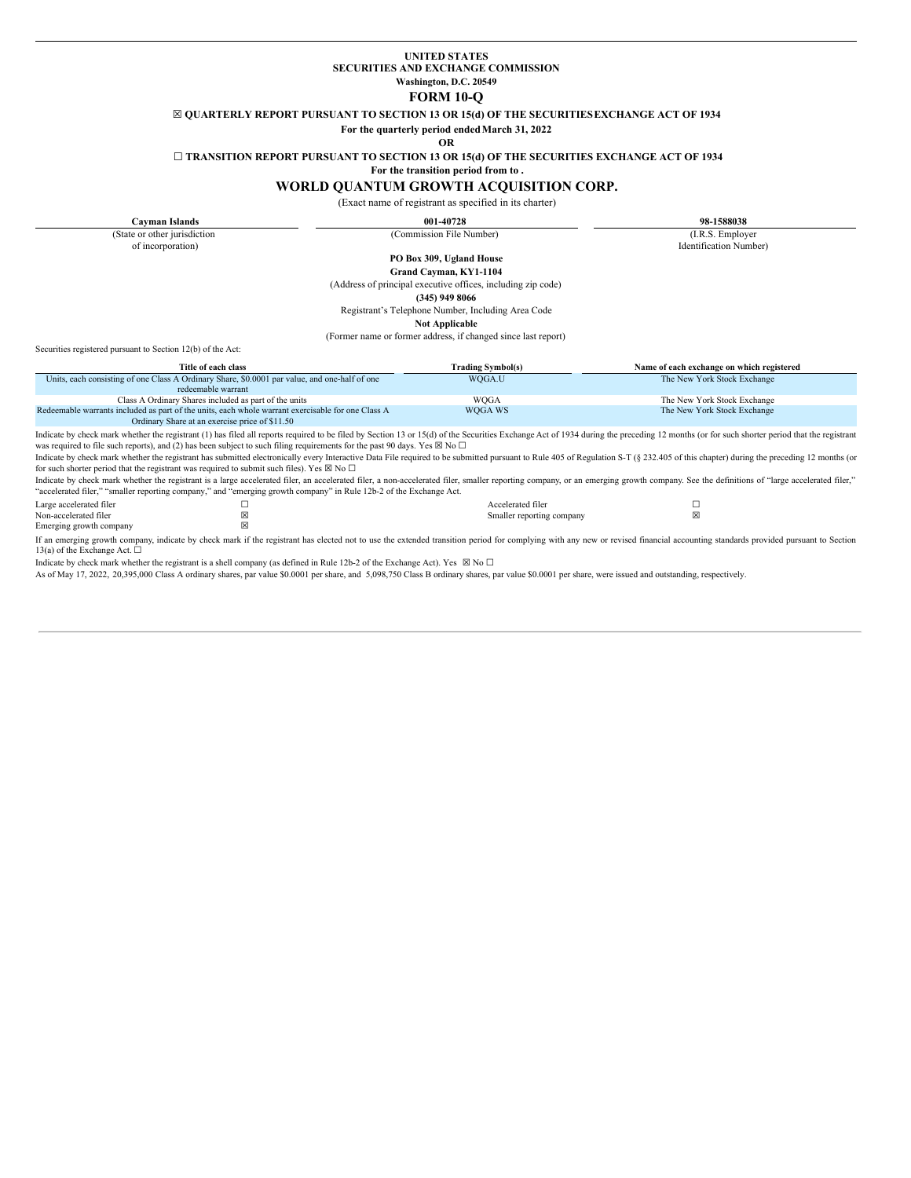## **UNITED STATES SECURITIES AND EXCHANGE COMMISSION Washington, D.C. 20549**

### **FORM 10-Q**

☒ **QUARTERLY REPORT PURSUANT TO SECTION 13 OR 15(d) OF THE SECURITIESEXCHANGE ACT OF 1934**

**For the quarterly period endedMarch 31, 2022**

#### **OR**

☐ **TRANSITION REPORT PURSUANT TO SECTION 13 OR 15(d) OF THE SECURITIES EXCHANGE ACT OF 1934**

**For the transition period from to .**

# **WORLD QUANTUM GROWTH ACQUISITION CORP.**

(Exact name of registrant as specified in its charter)

**Cayman Islands 001-40728 98-1588038** (State or other jurisdiction of incorporation) (Commission File Number) (I.R.S. Employer Identification Number) **PO Box 309, Ugland House Grand Cayman, KY1-1104** (Address of principal executive offices, including zip code) **(345) 949 8066** Registrant's Telephone Number, Including Area Code **Not Applicable** (Former name or former address, if changed since last report) Securities registered pursuant to Section 12(b) of the Act: **Title of each class Trading Symbol(s) Name of each exchange on which registered** Units, each consisting of one Class A Ordinary Share, \$0.0001 par value, and one-half of one redeemable warrant WQGA.U The New York Stock Exchange Class A Ordinary Shares included as part of the units WQGA The New York Stock Exchange Redeemable warrants included as part of the units, each whole warrant exercisable for one Class A Ordinary Share at an exercise price of \$11.50 WQGA WS The New York Stock Exchange Indicate by check mark whether the registrant (1) has filed all reports required to be filed by Section 13 or 15(d) of the Securities Exchange Act of 1934 during the preceding 12 months (or for such shorter period that the was required to file such reports), and (2) has been subject to such filing requirements for the past 90 days. Yes  $\boxtimes$  No  $\Box$ Indicate by check mark whether the registrant has submitted electronically every Interactive Data File required to be submitted pursuant to Rule 405 of Regulation S-T (§ 232.405 of this chapter) during the preceding 12 mon for such shorter period that the registrant was required to submit such files). Yes  $\boxtimes$  No  $\Box$ Indicate by check mark whether the registrant is a large accelerated filer, an accelerated filer, a non-accelerated filer, smaller reporting company, or an emerging growth company. See the definitions of "large accelerated "accelerated filer," "smaller reporting company," and "emerging growth company" in Rule 12b-2 of the Exchange Act.

Large accelerated filer ☐ Accelerated filer ☐ Non-accelerated filer  $\boxtimes$   $\boxtimes$ Emerging growth company

If an emerging growth company, indicate by check mark if the registrant has elected not to use the extended transition period for complying with any new or revised financial accounting standards provided pursuant to Secti

Indicate by check mark whether the registrant is a shell company (as defined in Rule 12b-2 of the Exchange Act). Yes  $\boxtimes$  No  $\Box$ 

As of May 17, 2022, 20,395,000 Class A ordinary shares, par value \$0.0001 per share, and 5,098,750 Class B ordinary shares, par value \$0.0001 per share, were issued and outstanding, respectively.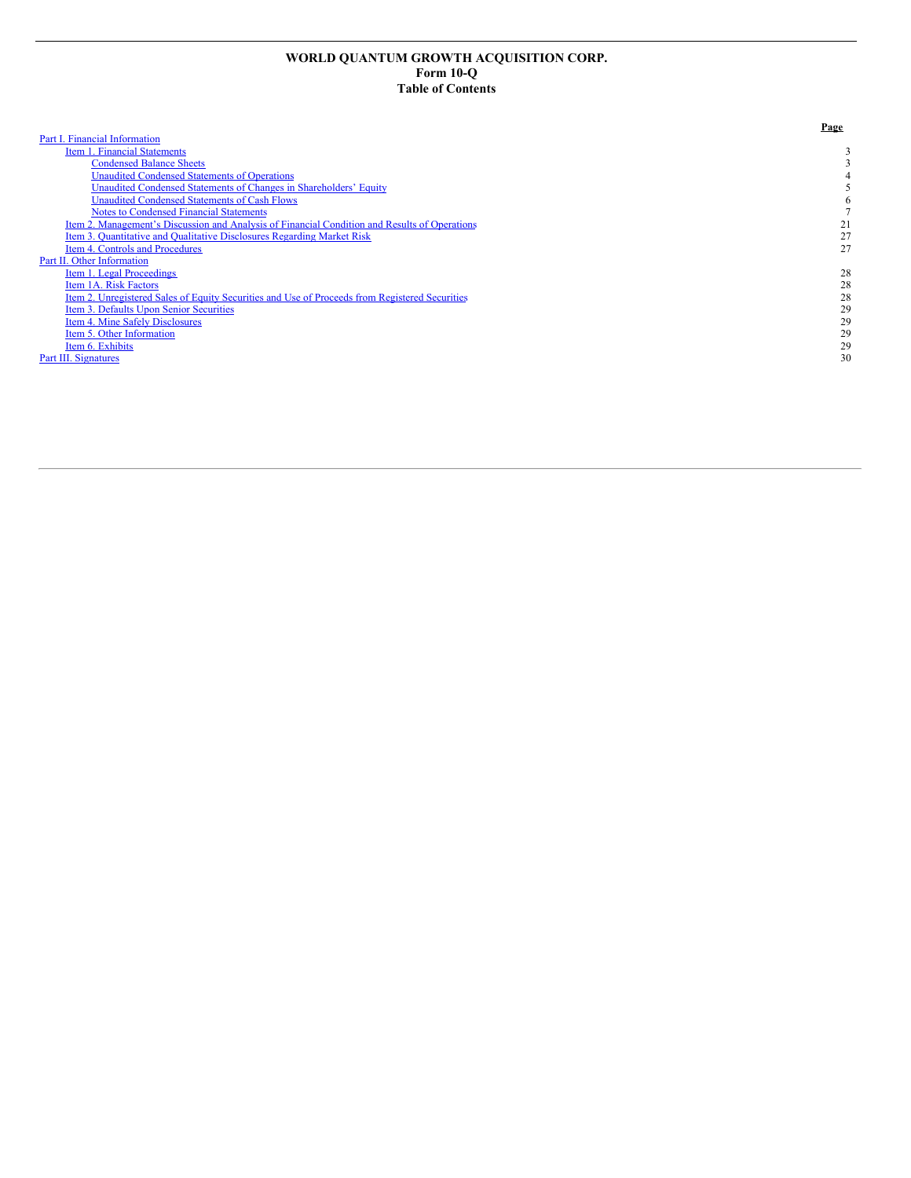# **WORLD QUANTUM GROWTH ACQUISITION CORP. Form 10-Q Table of Contents**

|                                                                                                | Page |
|------------------------------------------------------------------------------------------------|------|
| Part I. Financial Information                                                                  |      |
| Item 1. Financial Statements                                                                   |      |
| <b>Condensed Balance Sheets</b>                                                                |      |
| Unaudited Condensed Statements of Operations                                                   |      |
| Unaudited Condensed Statements of Changes in Shareholders' Equity                              |      |
| <b>Unaudited Condensed Statements of Cash Flows</b>                                            |      |
| <b>Notes to Condensed Financial Statements</b>                                                 |      |
| Item 2. Management's Discussion and Analysis of Financial Condition and Results of Operations  | 21   |
| Item 3. Quantitative and Qualitative Disclosures Regarding Market Risk                         | 27   |
| <b>Item 4. Controls and Procedures</b>                                                         | 27   |
| Part II. Other Information                                                                     |      |
| Item 1. Legal Proceedings                                                                      | 28   |
| Item 1A. Risk Factors                                                                          | 28   |
| Item 2. Unregistered Sales of Equity Securities and Use of Proceeds from Registered Securities | 28   |
| Item 3. Defaults Upon Senior Securities                                                        | 29   |
| Item 4. Mine Safely Disclosures                                                                | 29   |
| Item 5. Other Information                                                                      | 29   |
| Item 6. Exhibits                                                                               | 29   |
| Part III. Signatures                                                                           | 30   |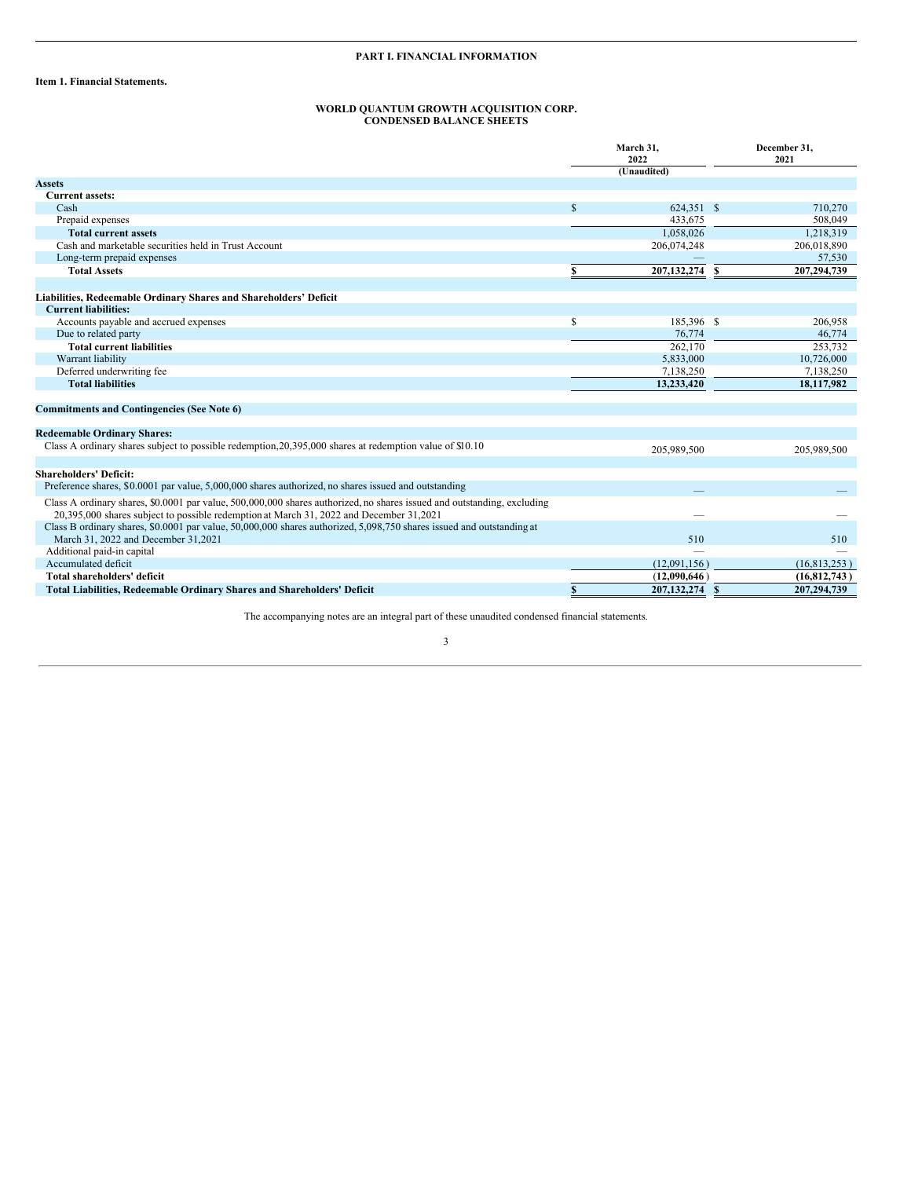# **PART I. FINANCIAL INFORMATION**

<span id="page-2-1"></span><span id="page-2-0"></span>**Item 1. Financial Statements.**

#### **WORLD QUANTUM GROWTH ACQUISITION CORP. CONDENSED BALANCE SHEETS**

<span id="page-2-2"></span>

|                                                                                                                                                                                                                    | March 31,<br>2022 |                |    | December 31,<br>2021 |
|--------------------------------------------------------------------------------------------------------------------------------------------------------------------------------------------------------------------|-------------------|----------------|----|----------------------|
|                                                                                                                                                                                                                    |                   | (Unaudited)    |    |                      |
| <b>Assets</b>                                                                                                                                                                                                      |                   |                |    |                      |
| <b>Current assets:</b>                                                                                                                                                                                             |                   |                |    |                      |
| Cash                                                                                                                                                                                                               | \$                | 624,351 \$     |    | 710,270              |
| Prepaid expenses                                                                                                                                                                                                   |                   | 433.675        |    | 508,049              |
| <b>Total current assets</b>                                                                                                                                                                                        |                   | 1,058,026      |    | 1,218,319            |
| Cash and marketable securities held in Trust Account                                                                                                                                                               |                   | 206,074,248    |    | 206,018,890          |
| Long-term prepaid expenses                                                                                                                                                                                         |                   |                |    | 57,530               |
| <b>Total Assets</b>                                                                                                                                                                                                |                   | 207, 132, 274  | -S | 207,294,739          |
| Liabilities, Redeemable Ordinary Shares and Shareholders' Deficit                                                                                                                                                  |                   |                |    |                      |
| <b>Current liabilities:</b>                                                                                                                                                                                        |                   |                |    |                      |
| Accounts payable and accrued expenses                                                                                                                                                                              | \$                | 185,396 \$     |    | 206,958              |
| Due to related party                                                                                                                                                                                               |                   | 76,774         |    | 46,774               |
| <b>Total current liabilities</b>                                                                                                                                                                                   |                   | 262,170        |    | 253,732              |
| Warrant liability                                                                                                                                                                                                  |                   | 5,833,000      |    | 10,726,000           |
| Deferred underwriting fee                                                                                                                                                                                          |                   | 7,138,250      |    | 7,138,250            |
| <b>Total liabilities</b>                                                                                                                                                                                           |                   | 13,233,420     |    | 18,117,982           |
| <b>Commitments and Contingencies (See Note 6)</b>                                                                                                                                                                  |                   |                |    |                      |
| <b>Redeemable Ordinary Shares:</b>                                                                                                                                                                                 |                   |                |    |                      |
| Class A ordinary shares subject to possible redemption, 20, 395,000 shares at redemption value of \$10.10                                                                                                          |                   | 205,989,500    |    | 205,989,500          |
|                                                                                                                                                                                                                    |                   |                |    |                      |
| <b>Shareholders' Deficit:</b>                                                                                                                                                                                      |                   |                |    |                      |
| Preference shares, \$0,0001 par value, 5,000,000 shares authorized, no shares issued and outstanding                                                                                                               |                   |                |    |                      |
| Class A ordinary shares, \$0,0001 par value, 500,000,000 shares authorized, no shares issued and outstanding, excluding<br>20,395,000 shares subject to possible redemption at March 31, 2022 and December 31,2021 |                   |                |    |                      |
| Class B ordinary shares, \$0.0001 par value, 50,000,000 shares authorized, 5,098,750 shares issued and outstanding at<br>March 31, 2022 and December 31, 2021                                                      |                   | 510            |    | 510                  |
| Additional paid-in capital                                                                                                                                                                                         |                   |                |    |                      |
| Accumulated deficit                                                                                                                                                                                                |                   | (12,091,156)   |    | (16, 813, 253)       |
| Total shareholders' deficit                                                                                                                                                                                        |                   | (12,090,646)   |    | (16, 812, 743)       |
| <b>Total Liabilities, Redeemable Ordinary Shares and Shareholders' Deficit</b>                                                                                                                                     | \$                | 207,132,274 \$ |    | 207.294.739          |

The accompanying notes are an integral part of these unaudited condensed financial statements.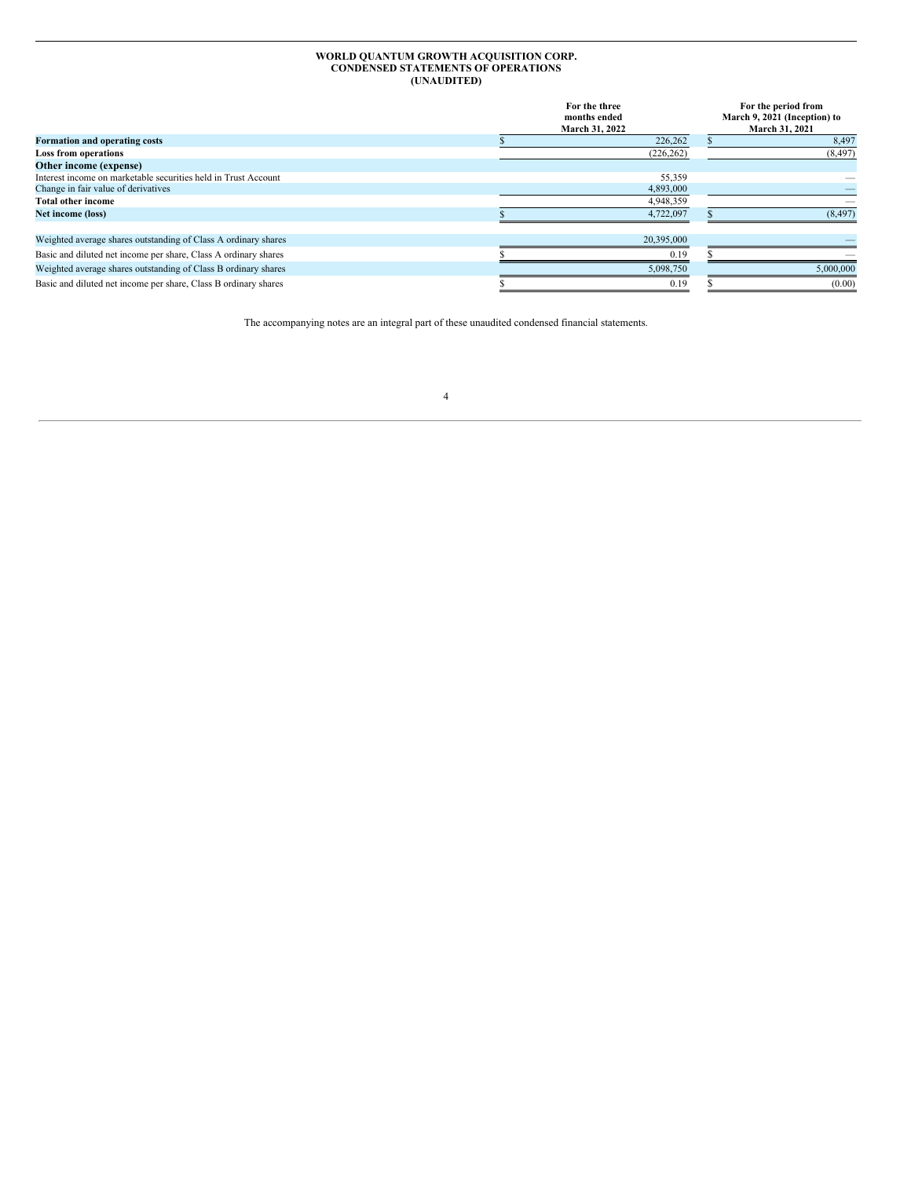#### **WORLD QUANTUM GROWTH ACQUISITION CORP. CONDENSED STATEMENTS OF OPERATIONS (UNAUDITED)**

<span id="page-3-0"></span>

|                                                                 | For the three<br>months ended<br>March 31, 2022 | For the period from<br>March 9, 2021 (Inception) to<br><b>March 31, 2021</b> |
|-----------------------------------------------------------------|-------------------------------------------------|------------------------------------------------------------------------------|
| Formation and operating costs                                   | 226,262                                         | 8,497                                                                        |
| <b>Loss from operations</b>                                     | (226, 262)                                      | (8, 497)                                                                     |
| Other income (expense)                                          |                                                 |                                                                              |
| Interest income on marketable securities held in Trust Account  | 55,359                                          |                                                                              |
| Change in fair value of derivatives                             | 4,893,000                                       |                                                                              |
| <b>Total other income</b>                                       | 4,948,359                                       |                                                                              |
| Net income (loss)                                               | 4,722,097                                       | (8, 497)                                                                     |
| Weighted average shares outstanding of Class A ordinary shares  | 20,395,000                                      |                                                                              |
| Basic and diluted net income per share, Class A ordinary shares | 0.19                                            |                                                                              |
| Weighted average shares outstanding of Class B ordinary shares  | 5,098,750                                       | 5,000,000                                                                    |
| Basic and diluted net income per share, Class B ordinary shares | 0.19                                            | (0.00)                                                                       |

The accompanying notes are an integral part of these unaudited condensed financial statements.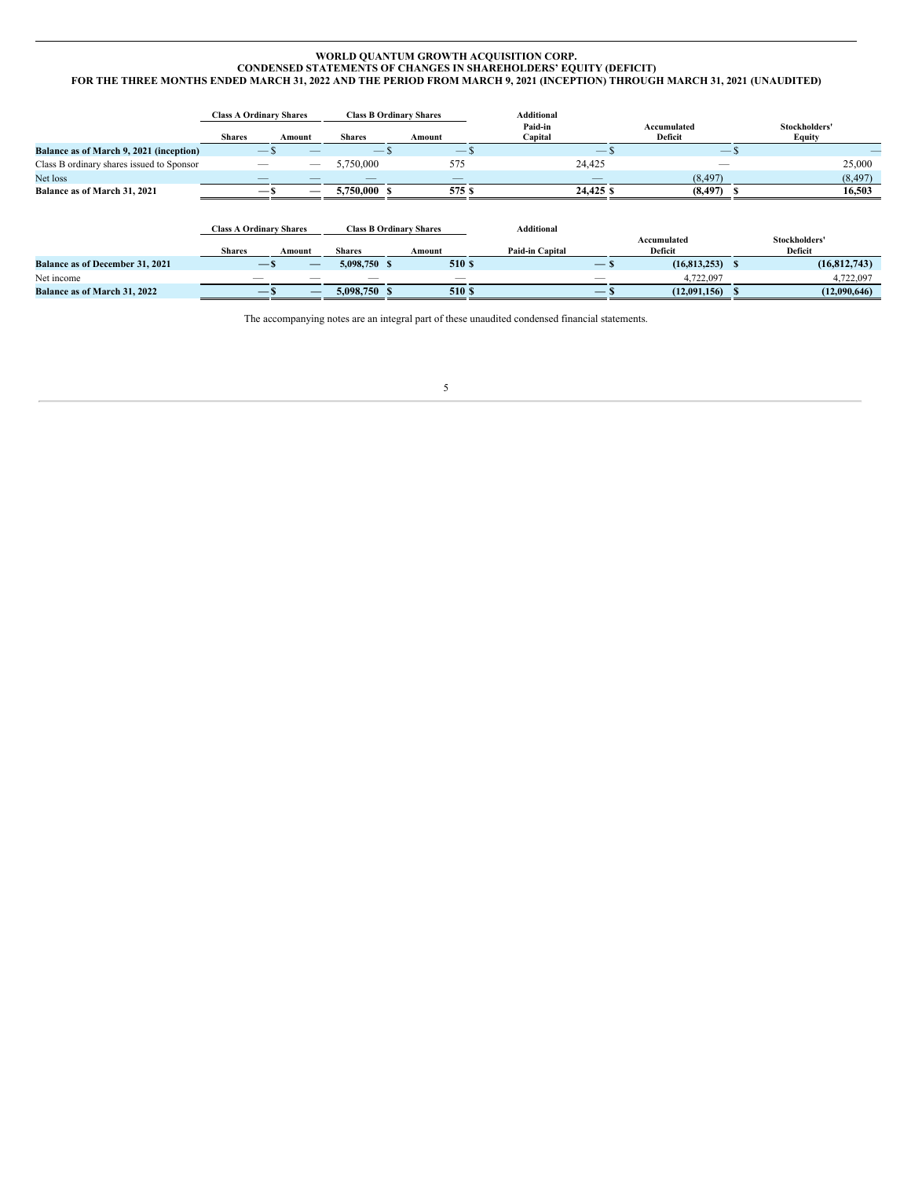#### <span id="page-4-0"></span>**WORLD QUANTUM GROWTH ACQUISITION CORP. CONDENSED STATEMENTS OF CHANGES IN SHAREHOLDERS' EQUITY (DEFICIT)** FOR THE THREE MONTHS ENDED MARCH 31, 2022 AND THE PERIOD FROM MARCH 9, 2021 (INCEPTION) THROUGH MARCH 31, 2021 (UNAUDITED)

|                                           | <b>Class A Ordinary Shares</b> |                                        |               | <b>Class B Ordinary Shares</b> | <b>Additional</b>  |                        |                          |
|-------------------------------------------|--------------------------------|----------------------------------------|---------------|--------------------------------|--------------------|------------------------|--------------------------|
|                                           | <b>Shares</b>                  | Amount                                 | <b>Shares</b> | Amount                         | Paid-in<br>Capital | Accumulated<br>Deficit | Stockholders'<br>Equity  |
| Balance as of March 9, 2021 (inception)   |                                | $-$ S<br>__                            | $-$ \$        | $-$ S                          | $-5$               | $-5$                   | __                       |
| Class B ordinary shares issued to Sponsor |                                | $-$                                    | 5,750,000     | 575                            | 24,425             |                        | 25,000                   |
| Net loss                                  |                                |                                        | --            |                                | --                 | (8, 497)               | (8, 497)                 |
| Balance as of March 31, 2021              |                                | — '<br>——                              | 5,750,000     | 575 S                          | 24,425 \$          | (8, 497)               | 16,503                   |
|                                           |                                |                                        |               |                                |                    |                        |                          |
|                                           | <b>Class A Ordinary Shares</b> |                                        |               | <b>Class B Ordinary Shares</b> | Additional         |                        |                          |
|                                           | <b>Shares</b>                  | Amount                                 | <b>Shares</b> | Amount                         | Paid-in Capital    | Accumulated<br>Deficit | Stockholders'<br>Deficit |
| <b>Balance as of December 31, 2021</b>    |                                | $-\mathbf{s}$<br>_                     | 5,098,750 \$  | 510 S                          | $-$ s              | (16,813,253)           | (16,812,743)<br>-8       |
| Net income                                |                                |                                        |               | $-$                            |                    | 4,722,097              | 4,722,097                |
| Balance as of March 31, 2022              |                                | $ \lambda$<br>$\overline{\phantom{0}}$ | 5,098,750 \$  | 510 \$                         | —                  | (12,091,156)           | (12,090,646)             |

The accompanying notes are an integral part of these unaudited condensed financial statements.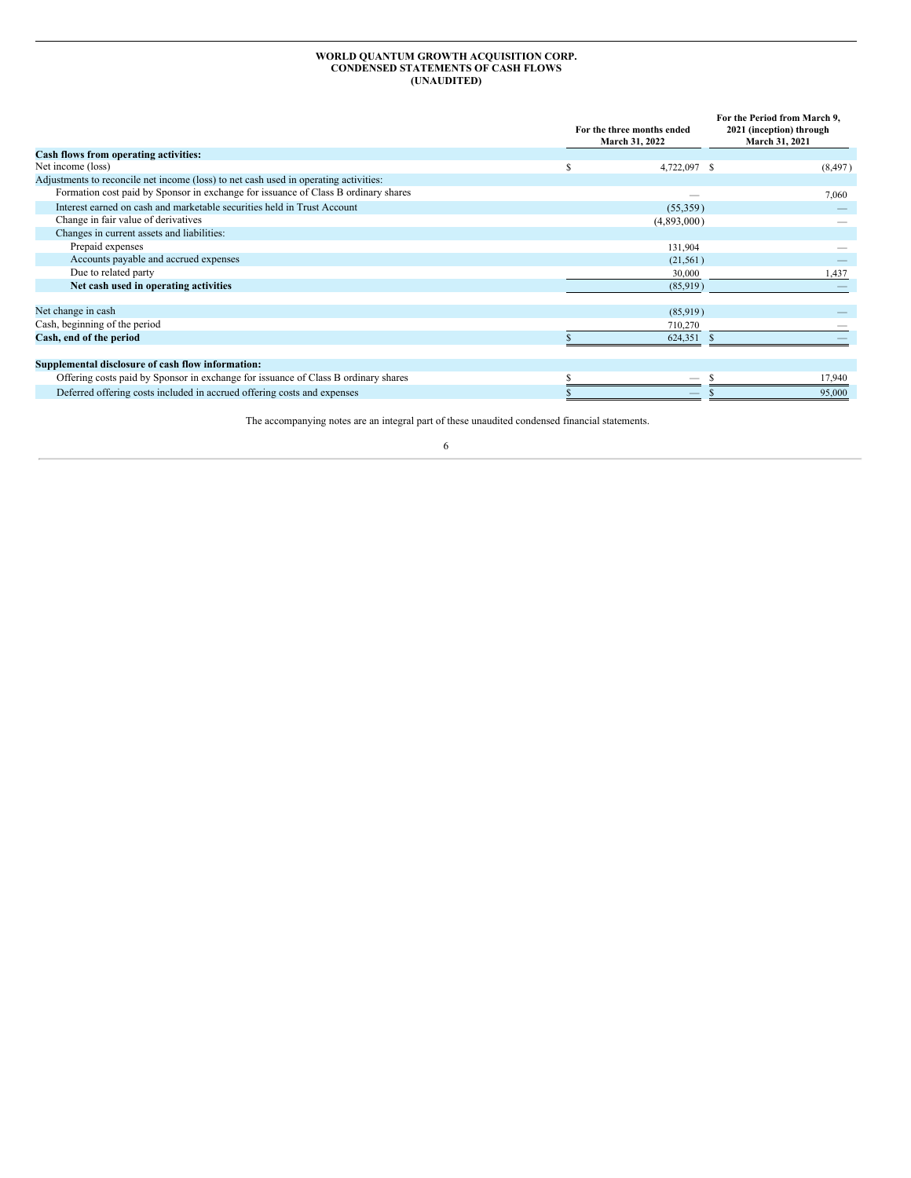#### **WORLD QUANTUM GROWTH ACQUISITION CORP. CONDENSED STATEMENTS OF CASH FLOWS (UNAUDITED)**

<span id="page-5-0"></span>

|                                                                                      |   | For the three months ended<br>March 31, 2022 | For the Period from March 9,<br>2021 (inception) through<br>March 31, 2021 |  |
|--------------------------------------------------------------------------------------|---|----------------------------------------------|----------------------------------------------------------------------------|--|
| <b>Cash flows from operating activities:</b>                                         |   |                                              |                                                                            |  |
| Net income (loss)                                                                    | S | 4,722,097 \$                                 | (8, 497)                                                                   |  |
| Adjustments to reconcile net income (loss) to net cash used in operating activities: |   |                                              |                                                                            |  |
| Formation cost paid by Sponsor in exchange for issuance of Class B ordinary shares   |   |                                              | 7,060                                                                      |  |
| Interest earned on cash and marketable securities held in Trust Account              |   | (55,359)                                     |                                                                            |  |
| Change in fair value of derivatives                                                  |   | (4,893,000)                                  |                                                                            |  |
| Changes in current assets and liabilities:                                           |   |                                              |                                                                            |  |
| Prepaid expenses                                                                     |   | 131,904                                      |                                                                            |  |
| Accounts payable and accrued expenses                                                |   | (21, 561)                                    |                                                                            |  |
| Due to related party                                                                 |   | 30,000                                       | 1,437                                                                      |  |
| Net cash used in operating activities                                                |   | (85,919)                                     |                                                                            |  |
| Net change in cash                                                                   |   | (85,919)                                     |                                                                            |  |
| Cash, beginning of the period                                                        |   | 710,270                                      |                                                                            |  |
| Cash, end of the period                                                              |   | 624,351                                      |                                                                            |  |
| Supplemental disclosure of cash flow information:                                    |   |                                              |                                                                            |  |
| Offering costs paid by Sponsor in exchange for issuance of Class B ordinary shares   |   |                                              | 17,940                                                                     |  |
| Deferred offering costs included in accrued offering costs and expenses              |   |                                              | 95,000                                                                     |  |

The accompanying notes are an integral part of these unaudited condensed financial statements.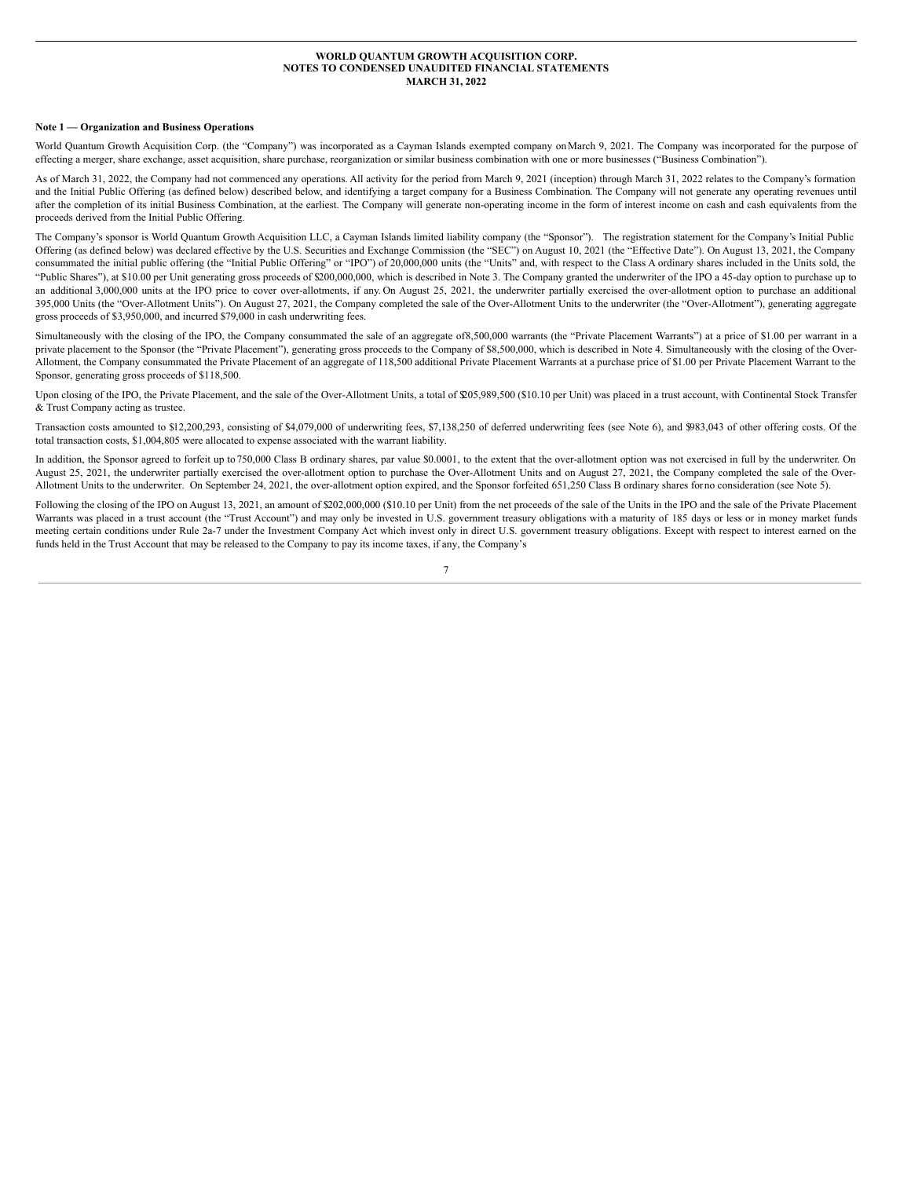### **WORLD QUANTUM GROWTH ACQUISITION CORP. NOTES TO CONDENSED UNAUDITED FINANCIAL STATEMENTS MARCH 31, 2022**

#### <span id="page-6-0"></span>**Note 1 — Organization and Business Operations**

World Quantum Growth Acquisition Corp. (the "Company") was incorporated as a Cayman Islands exempted company on March 9, 2021. The Company was incorporated for the purpose of effecting a merger, share exchange, asset acquisition, share purchase, reorganization or similar business combination with one or more businesses ("Business Combination").

As of March 31, 2022, the Company had not commenced any operations. All activity for the period from March 9, 2021 (inception) through March 31, 2022 relates to the Company's formation and the Initial Public Offering (as defined below) described below, and identifying a target company for a Business Combination. The Company will not generate any operating revenues until after the completion of its initial Business Combination, at the earliest. The Company will generate non-operating income in the form of interest income on cash and cash equivalents from the proceeds derived from the Initial Public Offering.

The Company's sponsor is World Quantum Growth Acquisition LLC, a Cayman Islands limited liability company (the "Sponsor"). The registration statement for the Company's Initial Public Offering (as defined below) was declared effective by the U.S. Securities and Exchange Commission (the "SEC") on August 10, 2021 (the "Effective Date"). On August 13, 2021, the Company consummated the initial public offering (the "Initial Public Offering" or "IPO") of 20,000,000 units (the "Units" and, with respect to the Class A ordinary shares included in the Units sold, the "Public Shares"), at \$10.00 per Unit generating gross proceeds of \$200,000,000, which is described in Note 3. The Company granted the underwriter of the IPO a 45-day option to purchase up to an additional 3,000,000 units at the IPO price to cover over-allotments, if any. On August 25, 2021, the underwriter partially exercised the over-allotment option to purchase an additional 395,000 Units (the "Over-Allotment Units"). On August 27, 2021, the Company completed the sale of the Over-Allotment Units to the underwriter (the "Over-Allotment"), generating aggregate gross proceeds of \$3,950,000, and incurred \$79,000 in cash underwriting fees.

Simultaneously with the closing of the IPO, the Company consummated the sale of an aggregate of8,500,000 warrants (the "Private Placement Warrants") at a price of \$1.00 per warrant in a private placement to the Sponsor (the "Private Placement"), generating gross proceeds to the Company of \$8,500,000, which is described in Note 4. Simultaneously with the closing of the Over-Allotment, the Company consummated the Private Placement of an aggregate of 118,500 additional Private Placement Warrants at a purchase price of \$1.00 per Private Placement Warrant to the Sponsor, generating gross proceeds of \$118,500.

Upon closing of the IPO, the Private Placement, and the sale of the Over-Allotment Units, a total of \$205,989,500 (\$10.10 per Unit) was placed in a trust account, with Continental Stock Transfer & Trust Company acting as trustee.

Transaction costs amounted to \$12,200,293, consisting of \$4,079,000 of underwriting fees, \$7,138,250 of deferred underwriting fees (see Note 6), and \$983,043 of other offering costs. Of the total transaction costs, \$1,004,805 were allocated to expense associated with the warrant liability.

In addition, the Sponsor agreed to forfeit up to 750,000 Class B ordinary shares, par value \$0.0001, to the extent that the over-allotment option was not exercised in full by the underwriter. On August 25, 2021, the underwriter partially exercised the over-allotment option to purchase the Over-Allotment Units and on August 27, 2021, the Company completed the sale of the Over-Allotment Units to the underwriter. On September 24, 2021, the over-allotment option expired, and the Sponsor forfeited 651,250 Class B ordinary shares forno consideration (see Note 5).

Following the closing of the IPO on August 13, 2021, an amount of \$202,000,000 (\$10.10 per Unit) from the net proceeds of the sale of the Units in the IPO and the sale of the Private Placement Warrants was placed in a trust account (the "Trust Account") and may only be invested in U.S. government treasury obligations with a maturity of 185 days or less or in money market funds meeting certain conditions under Rule 2a-7 under the Investment Company Act which invest only in direct U.S. government treasury obligations. Except with respect to interest earned on the funds held in the Trust Account that may be released to the Company to pay its income taxes, if any, the Company's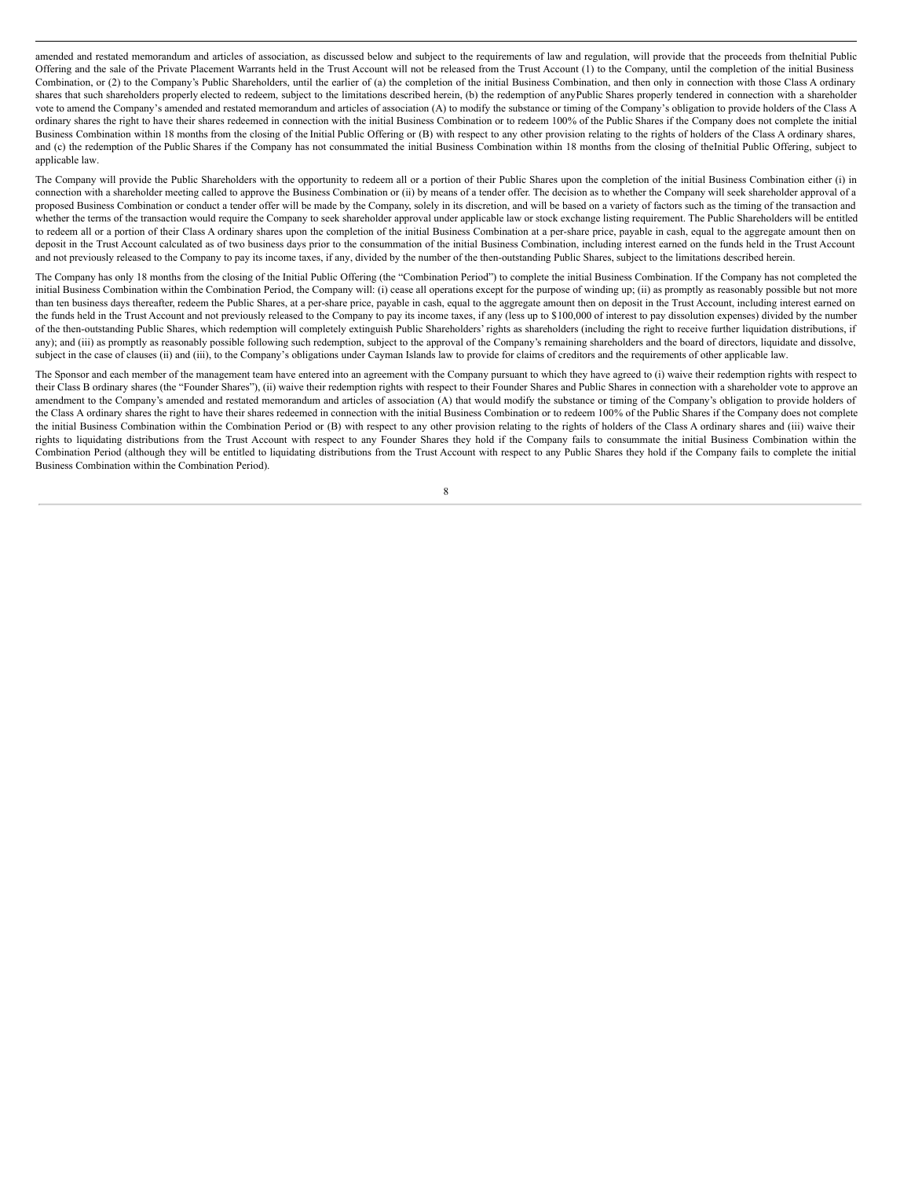amended and restated memorandum and articles of association, as discussed below and subject to the requirements of law and regulation, will provide that the proceeds from theInitial Public Offering and the sale of the Private Placement Warrants held in the Trust Account will not be released from the Trust Account (1) to the Company, until the completion of the initial Business Combination, or (2) to the Company's Public Shareholders, until the earlier of (a) the completion of the initial Business Combination, and then only in connection with those Class A ordinary shares that such shareholders properly elected to redeem, subject to the limitations described herein, (b) the redemption of anyPublic Shares properly tendered in connection with a shareholder vote to amend the Company's amended and restated memorandum and articles of association (A) to modify the substance or timing of the Company's obligation to provide holders of the Class A ordinary shares the right to have their shares redeemed in connection with the initial Business Combination or to redeem 100% of the Public Shares if the Company does not complete the initial Business Combination within 18 months from the closing of the Initial Public Offering or (B) with respect to any other provision relating to the rights of holders of the Class A ordinary shares, and (c) the redemption of the Public Shares if the Company has not consummated the initial Business Combination within 18 months from the closing of theInitial Public Offering, subject to applicable law.

The Company will provide the Public Shareholders with the opportunity to redeem all or a portion of their Public Shares upon the completion of the initial Business Combination either (i) in connection with a shareholder meeting called to approve the Business Combination or (ii) by means of a tender offer. The decision as to whether the Company will seek shareholder approval of a proposed Business Combination or conduct a tender offer will be made by the Company, solely in its discretion, and will be based on a variety of factors such as the timing of the transaction and whether the terms of the transaction would require the Company to seek shareholder approval under applicable law or stock exchange listing requirement. The Public Shareholders will be entitled to redeem all or a portion of their Class A ordinary shares upon the completion of the initial Business Combination at a per-share price, payable in cash, equal to the aggregate amount then on deposit in the Trust Account calculated as of two business days prior to the consummation of the initial Business Combination, including interest earned on the funds held in the Trust Account and not previously released to the Company to pay its income taxes, if any, divided by the number of the then-outstanding Public Shares, subject to the limitations described herein.

The Company has only 18 months from the closing of the Initial Public Offering (the "Combination Period") to complete the initial Business Combination. If the Company has not completed the initial Business Combination within the Combination Period, the Company will: (i) cease all operations except for the purpose of winding up; (ii) as promptly as reasonably possible but not more than ten business days thereafter, redeem the Public Shares, at a per-share price, payable in cash, equal to the aggregate amount then on deposit in the Trust Account, including interest earned on the funds held in the Trust Account and not previously released to the Company to pay its income taxes, if any (less up to \$100,000 of interest to pay dissolution expenses) divided by the number of the then-outstanding Public Shares, which redemption will completely extinguish Public Shareholders' rights as shareholders (including the right to receive further liquidation distributions, if any); and (iii) as promptly as reasonably possible following such redemption, subject to the approval of the Company's remaining shareholders and the board of directors, liquidate and dissolve, subject in the case of clauses (ii) and (iii), to the Company's obligations under Cayman Islands law to provide for claims of creditors and the requirements of other applicable law.

The Sponsor and each member of the management team have entered into an agreement with the Company pursuant to which they have agreed to (i) waive their redemption rights with respect to their Class B ordinary shares (the "Founder Shares"), (ii) waive their redemption rights with respect to their Founder Shares and Public Shares in connection with a shareholder vote to approve an amendment to the Company's amended and restated memorandum and articles of association (A) that would modify the substance or timing of the Company's obligation to provide holders of the Class A ordinary shares the right to have their shares redeemed in connection with the initial Business Combination or to redeem 100% of the Public Shares if the Company does not complete the initial Business Combination within the Combination Period or (B) with respect to any other provision relating to the rights of holders of the Class A ordinary shares and (iii) waive their rights to liquidating distributions from the Trust Account with respect to any Founder Shares they hold if the Company fails to consummate the initial Business Combination within the Combination Period (although they will be entitled to liquidating distributions from the Trust Account with respect to any Public Shares they hold if the Company fails to complete the initial Business Combination within the Combination Period).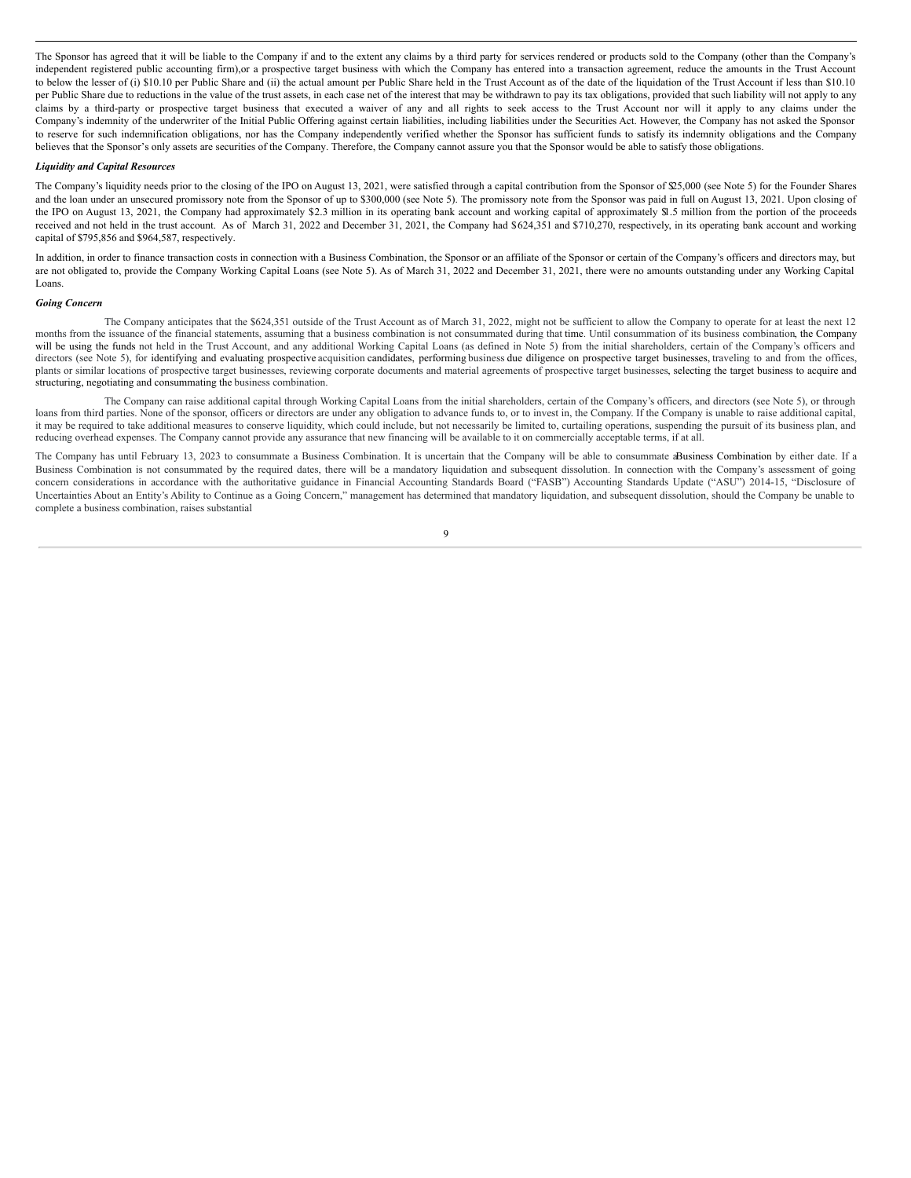The Sponsor has agreed that it will be liable to the Company if and to the extent any claims by a third party for services rendered or products sold to the Company (other than the Company's independent registered public accounting firm),or a prospective target business with which the Company has entered into a transaction agreement, reduce the amounts in the Trust Account to below the lesser of (i) \$10.10 per Public Share and (ii) the actual amount per Public Share held in the Trust Account as of the date of the liquidation of the Trust Account if less than \$10.10 per Public Share due to reductions in the value of the trust assets, in each case net of the interest that may be withdrawn to pay its tax obligations, provided that such liability will not apply to any claims by a third-party or prospective target business that executed a waiver of any and all rights to seek access to the Trust Account nor will it apply to any claims under the Company's indemnity of the underwriter of the Initial Public Offering against certain liabilities, including liabilities under the Securities Act. However, the Company has not asked the Sponsor to reserve for such indemnification obligations, nor has the Company independently verified whether the Sponsor has sufficient funds to satisfy its indemnity obligations and the Company believes that the Sponsor's only assets are securities of the Company. Therefore, the Company cannot assure you that the Sponsor would be able to satisfy those obligations.

#### *Liquidity and Capital Resources*

The Company's liquidity needs prior to the closing of the IPO on August 13, 2021, were satisfied through a capital contribution from the Sponsor of \$25,000 (see Note 5) for the Founder Shares and the loan under an unsecured promissory note from the Sponsor of up to \$300,000 (see Note 5). The promissory note from the Sponsor was paid in full on August 13, 2021. Upon closing of the IPO on August 13, 2021, the Company had approximately \$2.3 million in its operating bank account and working capital of approximately \$1.5 million from the portion of the proceeds received and not held in the trust account. As of March 31, 2022 and December 31, 2021, the Company had \$624,351 and \$710,270, respectively, in its operating bank account and working capital of \$795,856 and \$964,587, respectively.

In addition, in order to finance transaction costs in connection with a Business Combination, the Sponsor or an affiliate of the Sponsor or certain of the Company's officers and directors may, but are not obligated to, provide the Company Working Capital Loans (see Note 5). As of March 31, 2022 and December 31, 2021, there were no amounts outstanding under any Working Capital Loans.

#### *Going Concern*

The Company anticipates that the \$624,351 outside of the Trust Account as of March 31, 2022, might not be sufficient to allow the Company to operate for at least the next 12 months from the issuance of the financial statements, assuming that a business combination is not consummated during that time. Until consummation of its business combination, the Company will be using the funds not held in the Trust Account, and any additional Working Capital Loans (as defined in Note 5) from the initial shareholders, certain of the Company's officers and directors (see Note 5), for identifying and evaluating prospective acquisition candidates, performing business due diligence on prospective target businesses, traveling to and from the offices, plants or similar locations of prospective target businesses, reviewing corporate documents and material agreements of prospective target businesses, selecting the target business to acquire and structuring, negotiating and consummating the business combination.

The Company can raise additional capital through Working Capital Loans from the initial shareholders, certain of the Company's officers, and directors (see Note 5), or through loans from third parties. None of the sponsor, officers or directors are under any obligation to advance funds to, or to invest in, the Company. If the Company is unable to raise additional capital, it may be required to take additional measures to conserve liquidity, which could include, but not necessarily be limited to, curtailing operations, suspending the pursuit of its business plan, and reducing overhead expenses. The Company cannot provide any assurance that new financing will be available to it on commercially acceptable terms, if at all.

The Company has until February 13, 2023 to consummate a Business Combination. It is uncertain that the Company will be able to consummate aBusiness Combination by either date. If a Business Combination is not consummated by the required dates, there will be a mandatory liquidation and subsequent dissolution. In connection with the Company's assessment of going concern considerations in accordance with the authoritative guidance in Financial Accounting Standards Board ("FASB") Accounting Standards Update ("ASU") 2014-15, "Disclosure of Uncertainties About an Entity's Ability to Continue as a Going Concern," management has determined that mandatory liquidation, and subsequent dissolution, should the Company be unable to complete a business combination, raises substantial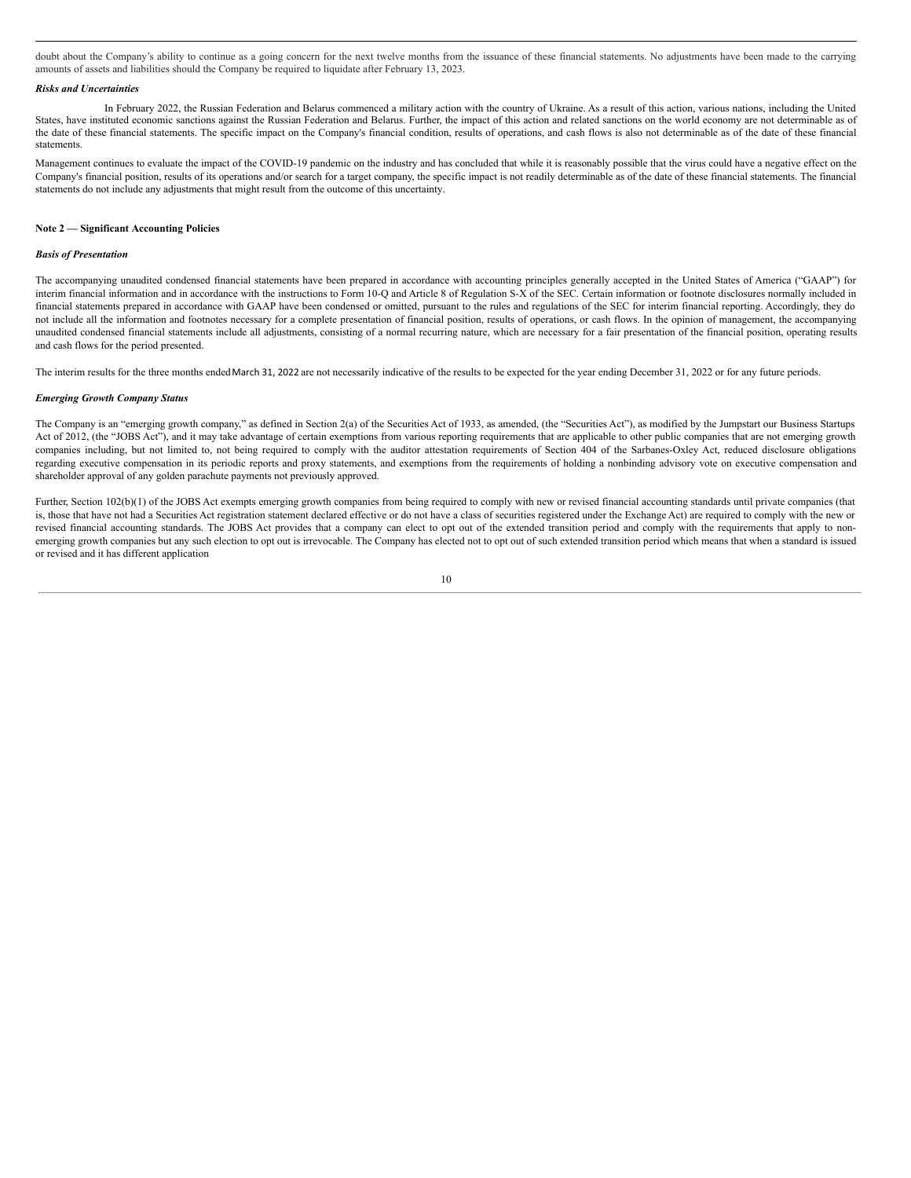doubt about the Company's ability to continue as a going concern for the next twelve months from the issuance of these financial statements. No adjustments have been made to the carrying amounts of assets and liabilities should the Company be required to liquidate after February 13, 2023.

### *Risks and Uncertainties*

In February 2022, the Russian Federation and Belarus commenced a military action with the country of Ukraine. As a result of this action, various nations, including the United States, have instituted economic sanctions against the Russian Federation and Belarus. Further, the impact of this action and related sanctions on the world economy are not determinable as of the date of these financial statements. The specific impact on the Company's financial condition, results of operations, and cash flows is also not determinable as of the date of these financial statements.

Management continues to evaluate the impact of the COVID-19 pandemic on the industry and has concluded that while it is reasonably possible that the virus could have a negative effect on the Company's financial position, results of its operations and/or search for a target company, the specific impact is not readily determinable as of the date of these financial statements. The financial statements do not include any adjustments that might result from the outcome of this uncertainty.

### **Note 2 — Significant Accounting Policies**

#### *Basis of Presentation*

The accompanying unaudited condensed financial statements have been prepared in accordance with accounting principles generally accepted in the United States of America ("GAAP") for interim financial information and in accordance with the instructions to Form 10-Q and Article 8 of Regulation S-X of the SEC. Certain information or footnote disclosures normally included in financial statements prepared in accordance with GAAP have been condensed or omitted, pursuant to the rules and regulations of the SEC for interim financial reporting. Accordingly, they do not include all the information and footnotes necessary for a complete presentation of financial position, results of operations, or cash flows. In the opinion of management, the accompanying unaudited condensed financial statements include all adjustments, consisting of a normal recurring nature, which are necessary for a fair presentation of the financial position, operating results and cash flows for the period presented.

The interim results for the three months ended March 31, 2022 are not necessarily indicative of the results to be expected for the year ending December 31, 2022 or for any future periods.

#### *Emerging Growth Company Status*

The Company is an "emerging growth company," as defined in Section 2(a) of the Securities Act of 1933, as amended, (the "Securities Act"), as modified by the Jumpstart our Business Startups Act of 2012, (the "JOBS Act"), and it may take advantage of certain exemptions from various reporting requirements that are applicable to other public companies that are not emerging growth companies including, but not limited to, not being required to comply with the auditor attestation requirements of Section 404 of the Sarbanes-Oxley Act, reduced disclosure obligations regarding executive compensation in its periodic reports and proxy statements, and exemptions from the requirements of holding a nonbinding advisory vote on executive compensation and shareholder approval of any golden parachute payments not previously approved.

Further, Section 102(b)(1) of the JOBS Act exempts emerging growth companies from being required to comply with new or revised financial accounting standards until private companies (that is, those that have not had a Securities Act registration statement declared effective or do not have a class of securities registered under the Exchange Act) are required to comply with the new or revised financial accounting standards. The JOBS Act provides that a company can elect to opt out of the extended transition period and comply with the requirements that apply to nonemerging growth companies but any such election to opt out is irrevocable. The Company has elected not to opt out of such extended transition period which means that when a standard is issued or revised and it has different application

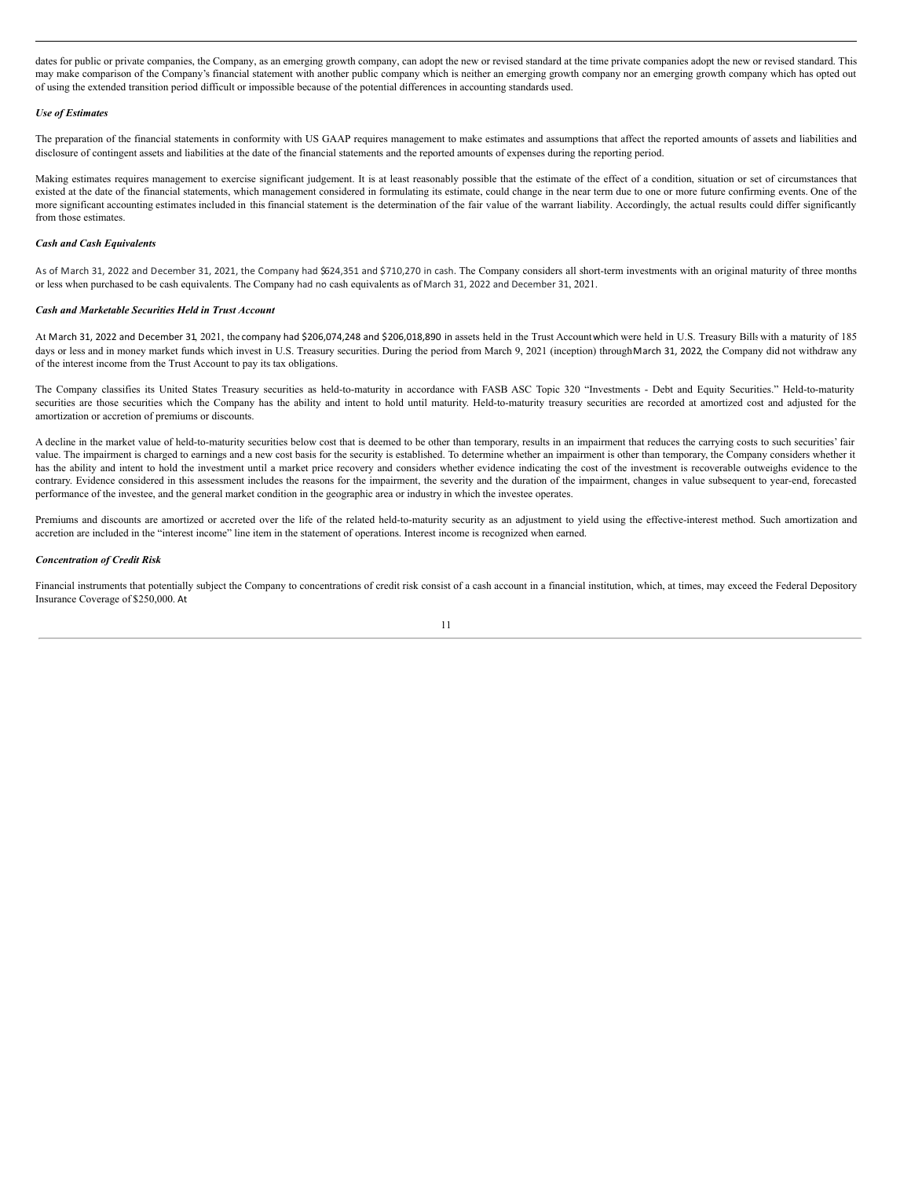dates for public or private companies, the Company, as an emerging growth company, can adopt the new or revised standard at the time private companies adopt the new or revised standard. This may make comparison of the Company's financial statement with another public company which is neither an emerging growth company nor an emerging growth company which has opted out of using the extended transition period difficult or impossible because of the potential differences in accounting standards used.

### *Use of Estimates*

The preparation of the financial statements in conformity with US GAAP requires management to make estimates and assumptions that affect the reported amounts of assets and liabilities and disclosure of contingent assets and liabilities at the date of the financial statements and the reported amounts of expenses during the reporting period.

Making estimates requires management to exercise significant judgement. It is at least reasonably possible that the estimate of the effect of a condition, situation or set of circumstances that existed at the date of the financial statements, which management considered in formulating its estimate, could change in the near term due to one or more future confirming events. One of the more significant accounting estimates included in this financial statement is the determination of the fair value of the warrant liability. Accordingly, the actual results could differ significantly from those estimates.

## *Cash and Cash Equivalents*

As of March 31, 2022 and December 31, 2021, the Company had \$624,351 and \$710,270 in cash. The Company considers all short-term investments with an original maturity of three months or less when purchased to be cash equivalents. The Company had no cash equivalents as of March 31, 2022 and December 31, 2021.

### *Cash and Marketable Securities Held in Trust Account*

At March 31, 2022 and December 31, 2021, the company had \$206,074,248 and \$206,018,890 in assets held in the Trust Accountwhich were held in U.S. Treasury Billswith a maturity of 185 days or less and in money market funds which invest in U.S. Treasury securities. During the period from March 9, 2021 (inception) throughMarch 31, 2022, the Company did not withdraw any of the interest income from the Trust Account to pay its tax obligations.

The Company classifies its United States Treasury securities as held-to-maturity in accordance with FASB ASC Topic 320 "Investments - Debt and Equity Securities." Held-to-maturity securities are those securities which the Company has the ability and intent to hold until maturity. Held-to-maturity treasury securities are recorded at amortized cost and adjusted for the amortization or accretion of premiums or discounts.

A decline in the market value of held-to-maturity securities below cost that is deemed to be other than temporary, results in an impairment that reduces the carrying costs to such securities' fair value. The impairment is charged to earnings and a new cost basis for the security is established. To determine whether an impairment is other than temporary, the Company considers whether it has the ability and intent to hold the investment until a market price recovery and considers whether evidence indicating the cost of the investment is recoverable outweighs evidence to the contrary. Evidence considered in this assessment includes the reasons for the impairment, the severity and the duration of the impairment, changes in value subsequent to year-end, forecasted performance of the investee, and the general market condition in the geographic area or industry in which the investee operates.

Premiums and discounts are amortized or accreted over the life of the related held-to-maturity security as an adjustment to yield using the effective-interest method. Such amortization and accretion are included in the "interest income" line item in the statement of operations. Interest income is recognized when earned.

## *Concentration of Credit Risk*

Financial instruments that potentially subject the Company to concentrations of credit risk consist of a cash account in a financial institution, which, at times, may exceed the Federal Depository Insurance Coverage of \$250,000. At

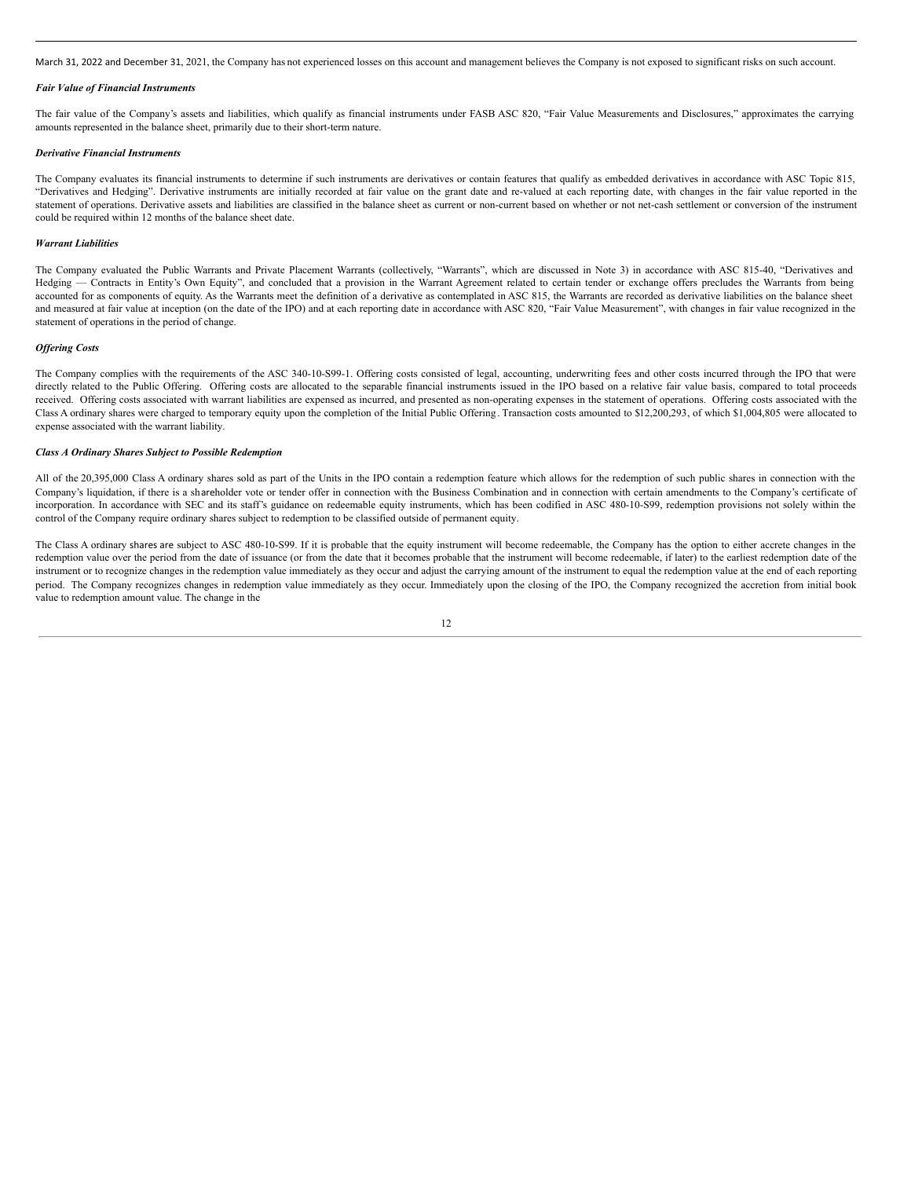March 31, 2022 and December 31, 2021, the Company has not experienced losses on this account and management believes the Company is not exposed to significant risks on such account.

#### *Fair Value of Financial Instruments*

The fair value of the Company's assets and liabilities, which qualify as financial instruments under FASB ASC 820, "Fair Value Measurements and Disclosures," approximates the carrying amounts represented in the balance sheet, primarily due to their short-term nature.

#### *Derivative Financial Instruments*

The Company evaluates its financial instruments to determine if such instruments are derivatives or contain features that qualify as embedded derivatives in accordance with ASC Topic 815, "Derivatives and Hedging". Derivative instruments are initially recorded at fair value on the grant date and re-valued at each reporting date, with changes in the fair value reported in the statement of operations. Derivative assets and liabilities are classified in the balance sheet as current or non-current based on whether or not net-cash settlement or conversion of the instrument could be required within 12 months of the balance sheet date.

### *Warrant Liabilities*

The Company evaluated the Public Warrants and Private Placement Warrants (collectively, "Warrants", which are discussed in Note 3) in accordance with ASC 815-40, "Derivatives and Hedging — Contracts in Entity's Own Equity", and concluded that a provision in the Warrant Agreement related to certain tender or exchange offers precludes the Warrants from being accounted for as components of equity. As the Warrants meet the definition of a derivative as contemplated in ASC 815, the Warrants are recorded as derivative liabilities on the balance sheet and measured at fair value at inception (on the date of the IPO) and at each reporting date in accordance with ASC 820, "Fair Value Measurement", with changes in fair value recognized in the statement of operations in the period of change.

#### *Of ering Costs*

The Company complies with the requirements of the ASC 340-10-S99-1. Offering costs consisted of legal, accounting, underwriting fees and other costs incurred through the IPO that were directly related to the Public Offering. Offering costs are allocated to the separable financial instruments issued in the IPO based on a relative fair value basis, compared to total proceeds received. Offering costs associated with warrant liabilities are expensed as incurred, and presented as non-operating expenses in the statement of operations. Offering costs associated with the Class A ordinary shares were charged to temporary equity upon the completion of the Initial Public Offering . Transaction costs amounted to \$12,200,293, of which \$1,004,805 were allocated to expense associated with the warrant liability.

#### *Class A Ordinary Shares Subject to Possible Redemption*

All of the 20,395,000 Class A ordinary shares sold as part of the Units in the IPO contain a redemption feature which allows for the redemption of such public shares in connection with the Company's liquidation, if there is a shareholder vote or tender offer in connection with the Business Combination and in connection with certain amendments to the Company's certificate of incorporation. In accordance with SEC and its staff's guidance on redeemable equity instruments, which has been codified in ASC 480-10-S99, redemption provisions not solely within the control of the Company require ordinary shares subject to redemption to be classified outside of permanent equity.

The Class A ordinary shares are subject to ASC 480-10-S99. If it is probable that the equity instrument will become redeemable, the Company has the option to either accrete changes in the redemption value over the period from the date of issuance (or from the date that it becomes probable that the instrument will become redeemable, if later) to the earliest redemption date of the instrument or to recognize changes in the redemption value immediately as they occur and adjust the carrying amount of the instrument to equal the redemption value at the end of each reporting period. The Company recognizes changes in redemption value immediately as they occur. Immediately upon the closing of the IPO, the Company recognized the accretion from initial book value to redemption amount value. The change in the

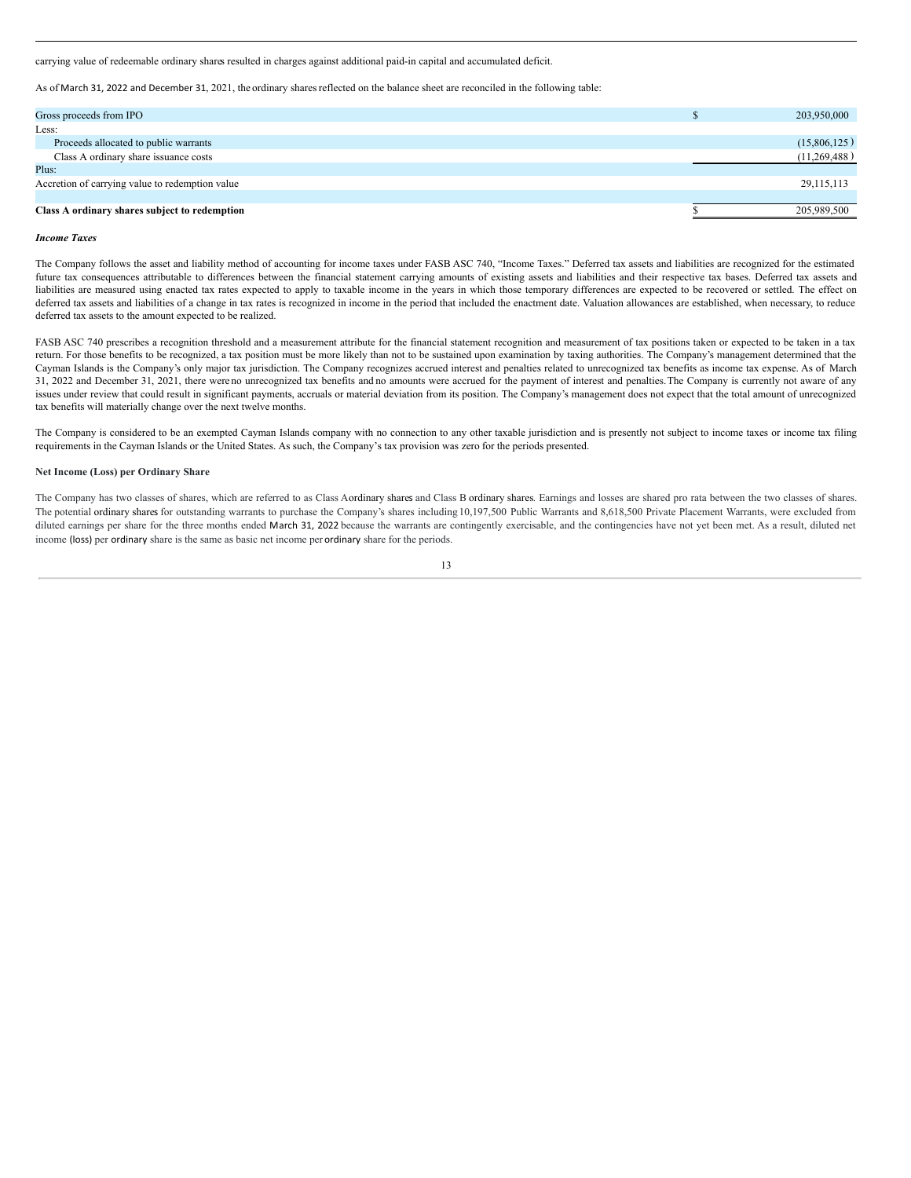carrying value of redeemable ordinary shares resulted in charges against additional paid-in capital and accumulated deficit.

As of March 31, 2022 and December 31, 2021, the ordinary shares reflected on the balance sheet are reconciled in the following table:

| Gross proceeds from IPO                         | 203,950,000  |
|-------------------------------------------------|--------------|
| Less:                                           |              |
| Proceeds allocated to public warrants           | (15,806,125) |
| Class A ordinary share issuance costs           | (11,269,488) |
| Plus:                                           |              |
| Accretion of carrying value to redemption value | 29,115,113   |
|                                                 |              |
| Class A ordinary shares subject to redemption   | 205,989,500  |

#### *Income Taxes*

The Company follows the asset and liability method of accounting for income taxes under FASB ASC 740, "Income Taxes." Deferred tax assets and liabilities are recognized for the estimated future tax consequences attributable to differences between the financial statement carrying amounts of existing assets and liabilities and their respective tax bases. Deferred tax assets and liabilities are measured using enacted tax rates expected to apply to taxable income in the years in which those temporary differences are expected to be recovered or settled. The effect on deferred tax assets and liabilities of a change in tax rates is recognized in income in the period that included the enactment date. Valuation allowances are established, when necessary, to reduce deferred tax assets to the amount expected to be realized.

FASB ASC 740 prescribes a recognition threshold and a measurement attribute for the financial statement recognition and measurement of tax positions taken or expected to be taken in a tax return. For those benefits to be recognized, a tax position must be more likely than not to be sustained upon examination by taxing authorities. The Company's management determined that the Cayman Islands is the Company's only major tax jurisdiction. The Company recognizes accrued interest and penalties related to unrecognized tax benefits as income tax expense. As of March 31, 2022 and December 31, 2021, there wereno unrecognized tax benefits and no amounts were accrued for the payment of interest and penalties.The Company is currently not aware of any issues under review that could result in significant payments, accruals or material deviation from its position. The Company's management does not expect that the total amount of unrecognized tax benefits will materially change over the next twelve months.

The Company is considered to be an exempted Cayman Islands company with no connection to any other taxable jurisdiction and is presently not subject to income taxes or income tax filing requirements in the Cayman Islands or the United States. As such, the Company's tax provision was zero for the periods presented.

### **Net Income (Loss) per Ordinary Share**

The Company has two classes of shares, which are referred to as Class Aordinary shares and Class B ordinary shares. Earnings and losses are shared pro rata between the two classes of shares. The potential ordinary shares for outstanding warrants to purchase the Company's shares including 10,197,500 Public Warrants and 8,618,500 Private Placement Warrants, were excluded from diluted earnings per share for the three months ended March 31, 2022 because the warrants are contingently exercisable, and the contingencies have not yet been met. As a result, diluted net income (loss) per ordinary share is the same as basic net income per ordinary share for the periods.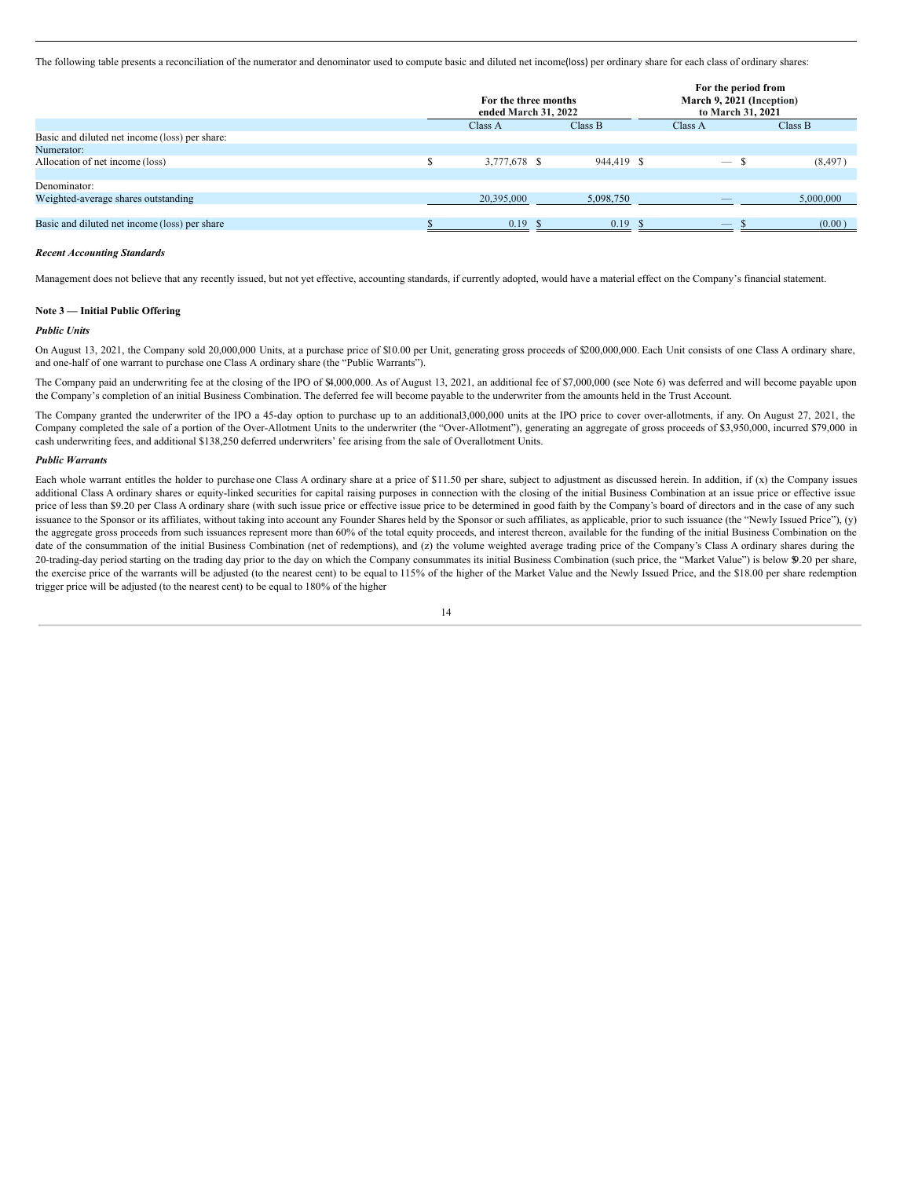The following table presents a reconciliation of the numerator and denominator used to compute basic and diluted net income(loss) per ordinary share for each class of ordinary shares:

|                                                | For the three months<br>ended March 31, 2022 |            | For the period from<br>March 9, 2021 (Inception)<br>to March 31, 2021 |           |
|------------------------------------------------|----------------------------------------------|------------|-----------------------------------------------------------------------|-----------|
|                                                | Class A                                      | Class B    | Class A                                                               | Class B   |
| Basic and diluted net income (loss) per share: |                                              |            |                                                                       |           |
| Numerator:                                     |                                              |            |                                                                       |           |
| Allocation of net income (loss)                | 3,777,678 \$                                 | 944,419 \$ | $\sim$                                                                | (8, 497)  |
|                                                |                                              |            |                                                                       |           |
| Denominator:                                   |                                              |            |                                                                       |           |
| Weighted-average shares outstanding            | 20,395,000                                   | 5,098,750  |                                                                       | 5,000,000 |
|                                                |                                              |            |                                                                       |           |
| Basic and diluted net income (loss) per share  | $0.19$ \$                                    | $0.19$ \$  | $\overline{\phantom{a}}$                                              | (0.00)    |

#### *Recent Accounting Standards*

Management does not believe that any recently issued, but not yet effective, accounting standards, if currently adopted, would have a material effect on the Company's financial statement.

### **Note 3 — Initial Public Offering**

#### *Public Units*

On August 13, 2021, the Company sold 20,000,000 Units, at a purchase price of \$10.00 per Unit, generating gross proceeds of \$200,000,000. Each Unit consists of one Class A ordinary share, and one-half of one warrant to purchase one Class A ordinary share (the "Public Warrants").

The Company paid an underwriting fee at the closing of the IPO of \$4,000,000. As of August 13, 2021, an additional fee of \$7,000,000 (see Note 6) was deferred and will become payable upon the Company's completion of an initial Business Combination. The deferred fee will become payable to the underwriter from the amounts held in the Trust Account.

The Company granted the underwriter of the IPO a 45-day option to purchase up to an additional3,000,000 units at the IPO price to cover over-allotments, if any. On August 27, 2021, the Company completed the sale of a portion of the Over-Allotment Units to the underwriter (the "Over-Allotment"), generating an aggregate of gross proceeds of \$3,950,000, incurred \$79,000 in cash underwriting fees, and additional \$138,250 deferred underwriters' fee arising from the sale of Overallotment Units.

### *Public Warrants*

Each whole warrant entitles the holder to purchase one Class A ordinary share at a price of \$11.50 per share, subject to adjustment as discussed herein. In addition, if (x) the Company issues additional Class A ordinary shares or equity-linked securities for capital raising purposes in connection with the closing of the initial Business Combination at an issue price or effective issue price of less than \$9.20 per Class A ordinary share (with such issue price or effective issue price to be determined in good faith by the Company's board of directors and in the case of any such issuance to the Sponsor or its affiliates, without taking into account any Founder Shares held by the Sponsor or such affiliates, as applicable, prior to such issuance (the "Newly Issued Price"), (y) the aggregate gross proceeds from such issuances represent more than 60% of the total equity proceeds, and interest thereon, available for the funding of the initial Business Combination on the date of the consummation of the initial Business Combination (net of redemptions), and (z) the volume weighted average trading price of the Company's Class A ordinary shares during the 20-trading-day period starting on the trading day prior to the day on which the Company consummates its initial Business Combination (such price, the "Market Value") is below \$9.20 per share, the exercise price of the warrants will be adjusted (to the nearest cent) to be equal to 115% of the higher of the Market Value and the Newly Issued Price, and the \$18.00 per share redemption trigger price will be adjusted (to the nearest cent) to be equal to 180% of the higher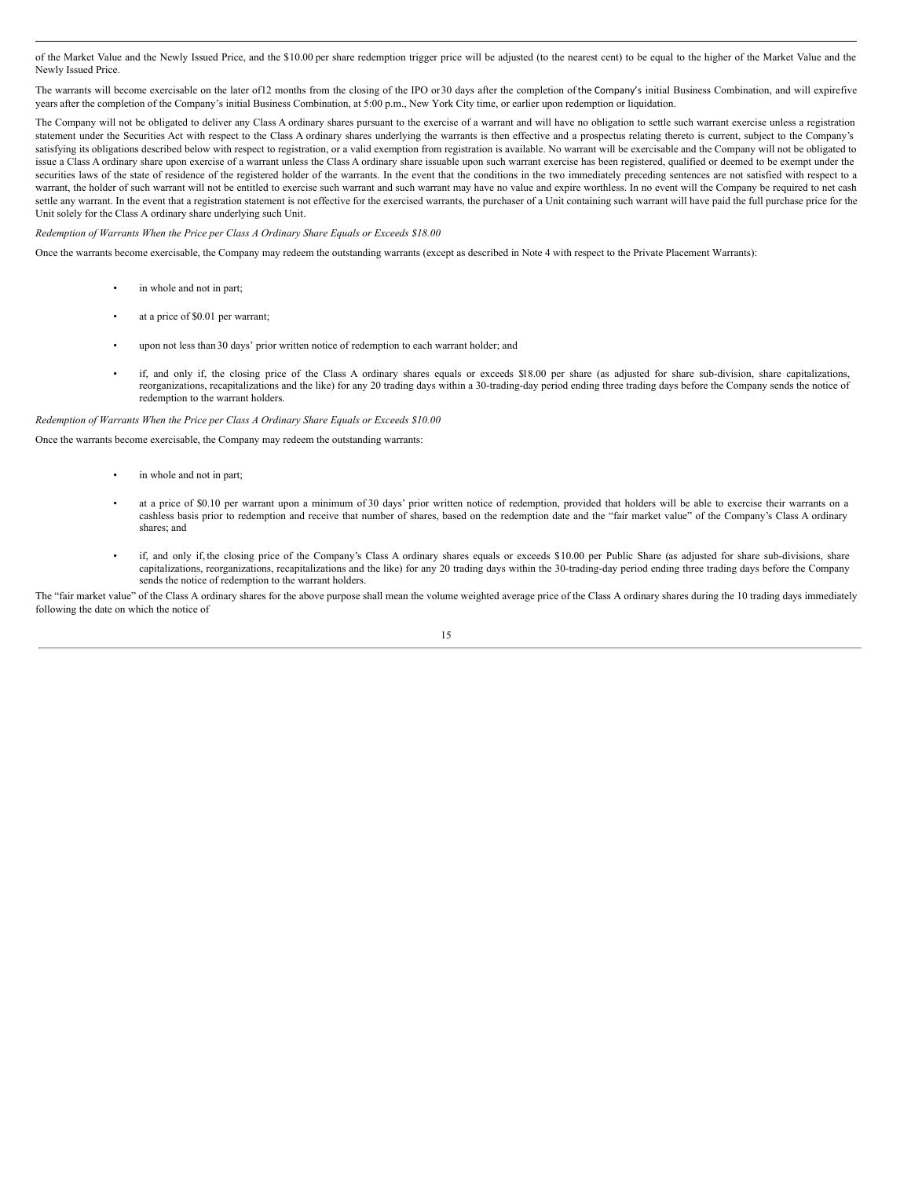of the Market Value and the Newly Issued Price, and the \$10.00 per share redemption trigger price will be adjusted (to the nearest cent) to be equal to the higher of the Market Value and the Newly Issued Price.

The warrants will become exercisable on the later of12 months from the closing of the IPO or 30 days after the completion of the Company's initial Business Combination, and will expirefive years after the completion of the Company's initial Business Combination, at 5:00 p.m., New York City time, or earlier upon redemption or liquidation.

The Company will not be obligated to deliver any Class A ordinary shares pursuant to the exercise of a warrant and will have no obligation to settle such warrant exercise unless a registration statement under the Securities Act with respect to the Class A ordinary shares underlying the warrants is then effective and a prospectus relating thereto is current, subject to the Company's satisfying its obligations described below with respect to registration, or a valid exemption from registration is available. No warrant will be exercisable and the Company will not be obligated to issue a Class A ordinary share upon exercise of a warrant unless the Class A ordinary share issuable upon such warrant exercise has been registered, qualified or deemed to be exempt under the securities laws of the state of residence of the registered holder of the warrants. In the event that the conditions in the two immediately preceding sentences are not satisfied with respect to a warrant, the holder of such warrant will not be entitled to exercise such warrant and such warrant may have no value and expire worthless. In no event will the Company be required to net cash settle any warrant. In the event that a registration statement is not effective for the exercised warrants, the purchaser of a Unit containing such warrant will have paid the full purchase price for the Unit solely for the Class A ordinary share underlying such Unit.

*Redemption of Warrants When the Price per Class A Ordinary Share Equals or Exceeds \$18.00*

Once the warrants become exercisable, the Company may redeem the outstanding warrants (except as described in Note 4 with respect to the Private Placement Warrants):

- in whole and not in part;
- at a price of \$0.01 per warrant;
- upon not less than 30 days' prior written notice of redemption to each warrant holder; and
- if, and only if, the closing price of the Class A ordinary shares equals or exceeds \$18.00 per share (as adjusted for share sub-division, share capitalizations, reorganizations, recapitalizations and the like) for any 20 trading days within a 30-trading-day period ending three trading days before the Company sends the notice of redemption to the warrant holders.

#### *Redemption of Warrants When the Price per Class A Ordinary Share Equals or Exceeds \$10.00*

Once the warrants become exercisable, the Company may redeem the outstanding warrants:

- in whole and not in part;
- at a price of \$0.10 per warrant upon a minimum of 30 days' prior written notice of redemption, provided that holders will be able to exercise their warrants on a cashless basis prior to redemption and receive that number of shares, based on the redemption date and the "fair market value" of the Company's Class A ordinary cashless basis prior to redemption and receive that number of shares; and
- if, and only if, the closing price of the Company's Class A ordinary shares equals or exceeds \$10.00 per Public Share (as adjusted for share sub-divisions, share capitalizations, reorganizations, recapitalizations and the like) for any 20 trading days within the 30-trading-day period ending three trading days before the Company sends the notice of redemption to the warrant holders.

The "fair market value" of the Class A ordinary shares for the above purpose shall mean the volume weighted average price of the Class A ordinary shares during the 10 trading days immediately following the date on which the notice of

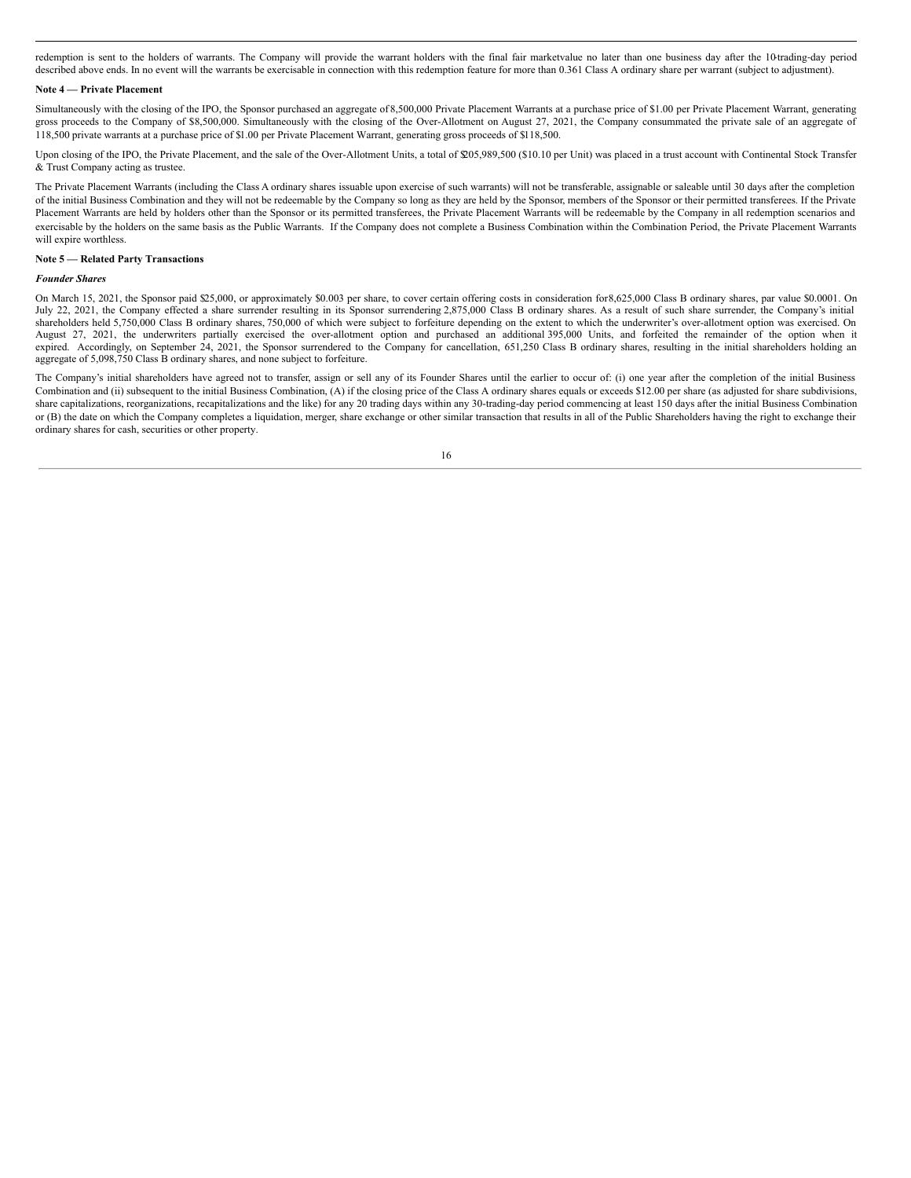redemption is sent to the holders of warrants. The Company will provide the warrant holders with the final fair marketvalue no later than one business day after the 10-trading-day period described above ends. In no event will the warrants be exercisable in connection with this redemption feature for more than 0.361 Class A ordinary share per warrant (subject to adjustment).

### **Note 4 — Private Placement**

Simultaneously with the closing of the IPO, the Sponsor purchased an aggregate of 8,500,000 Private Placement Warrants at a purchase price of \$1.00 per Private Placement Warrant, generating gross proceeds to the Company of \$8,500,000. Simultaneously with the closing of the Over-Allotment on August 27, 2021, the Company consummated the private sale of an aggregate of 118,500 private warrants at a purchase price of \$1.00 per Private Placement Warrant, generating gross proceeds of \$118,500.

Upon closing of the IPO, the Private Placement, and the sale of the Over-Allotment Units, a total of \$205,989,500 (\$10.10 per Unit) was placed in a trust account with Continental Stock Transfer & Trust Company acting as trustee.

The Private Placement Warrants (including the Class A ordinary shares issuable upon exercise of such warrants) will not be transferable, assignable or saleable until 30 days after the completion of the initial Business Combination and they will not be redeemable by the Company so long as they are held by the Sponsor, members of the Sponsor or their permitted transferees. If the Private Placement Warrants are held by holders other than the Sponsor or its permitted transferees, the Private Placement Warrants will be redeemable by the Company in all redemption scenarios and exercisable by the holders on the same basis as the Public Warrants. If the Company does not complete a Business Combination within the Combination Period, the Private Placement Warrants will expire worthless.

# **Note 5 — Related Party Transactions**

### *Founder Shares*

On March 15, 2021, the Sponsor paid \$25,000, or approximately \$0.003 per share, to cover certain offering costs in consideration for 8,625,000 Class B ordinary shares, par value \$0.0001. On July 22, 2021, the Company effected a share surrender resulting in its Sponsor surrendering 2,875,000 Class B ordinary shares. As a result of such share surrender, the Company's initial shareholders held 5,750,000 Class B ordinary shares, 750,000 of which were subject to forfeiture depending on the extent to which the underwriter's over-allotment option was exercised. On August 27, 2021, the underwriters partially exercised the over-allotment option and purchased an additional 395,000 Units, and forfeited the remainder of the option when it expired. Accordingly, on September 24, 2021, the Sponsor surrendered to the Company for cancellation, 651,250 Class B ordinary shares, resulting in the initial shareholders holding an aggregate of 5,098,750 Class B ordinary shares, and none subject to forfeiture.

The Company's initial shareholders have agreed not to transfer, assign or sell any of its Founder Shares until the earlier to occur of: (i) one year after the completion of the initial Business Combination and (ii) subsequent to the initial Business Combination, (A) if the closing price of the Class A ordinary shares equals or exceeds \$12.00 per share (as adjusted for share subdivisions, share capitalizations, reorganizations, recapitalizations and the like) for any 20 trading days within any 30-trading-day period commencing at least 150 days after the initial Business Combination or (B) the date on which the Company completes a liquidation, merger, share exchange or other similar transaction that results in all of the Public Shareholders having the right to exchange their ordinary shares for cash, securities or other property.

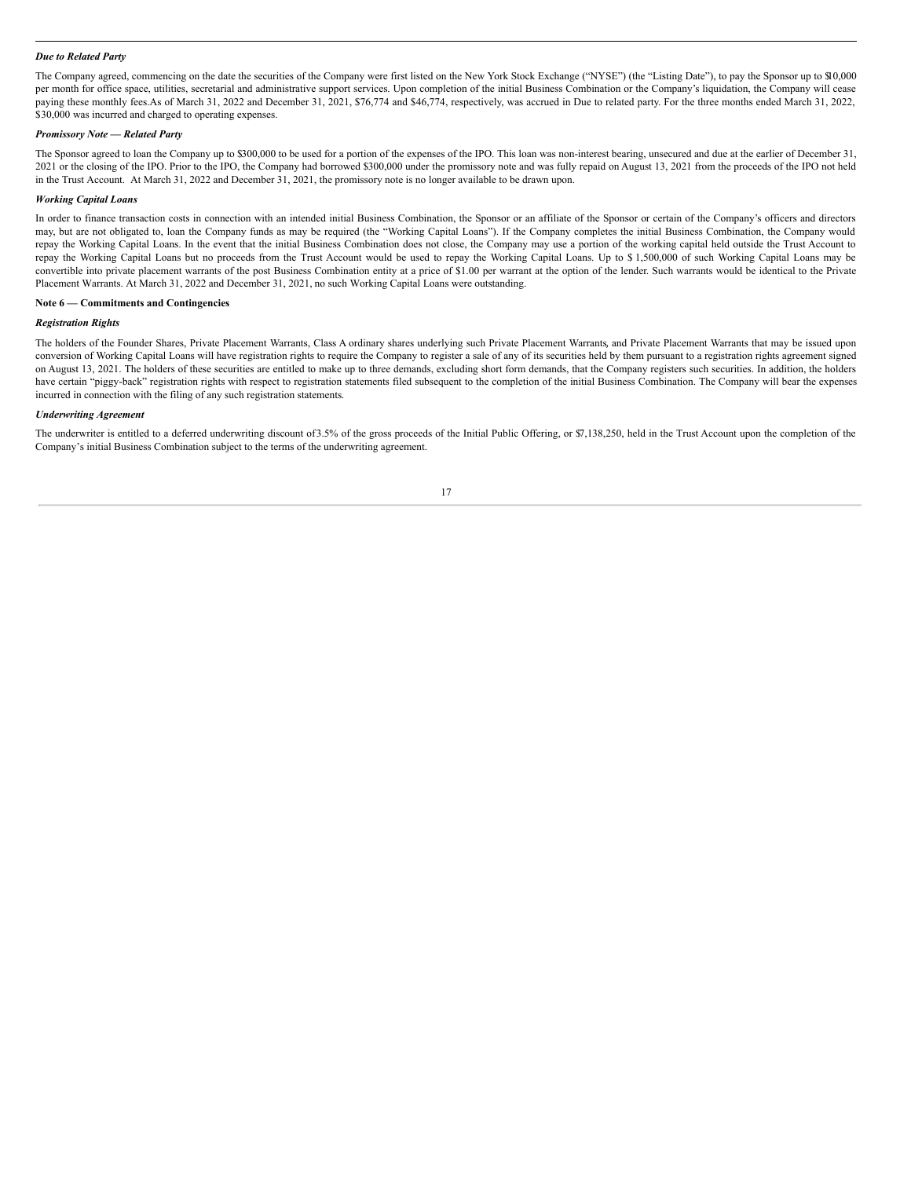### *Due to Related Party*

The Company agreed, commencing on the date the securities of the Company were first listed on the New York Stock Exchange ("NYSE") (the "Listing Date"), to pay the Sponsor up to \$10,000 per month for office space, utilities, secretarial and administrative support services. Upon completion of the initial Business Combination or the Company's liquidation, the Company will cease paying these monthly fees.As of March 31, 2022 and December 31, 2021, \$76,774 and \$46,774, respectively, was accrued in Due to related party. For the three months ended March 31, 2022, \$30,000 was incurred and charged to operating expenses.

#### *Promissory Note — Related Party*

The Sponsor agreed to loan the Company up to \$300,000 to be used for a portion of the expenses of the IPO. This loan was non-interest bearing, unsecured and due at the earlier of December 31, 2021 or the closing of the IPO. Prior to the IPO, the Company had borrowed \$300,000 under the promissory note and was fully repaid on August 13, 2021 from the proceeds of the IPO not held in the Trust Account. At March 31, 2022 and December 31, 2021, the promissory note is no longer available to be drawn upon.

### *Working Capital Loans*

In order to finance transaction costs in connection with an intended initial Business Combination, the Sponsor or an affiliate of the Sponsor or certain of the Company's officers and directors may, but are not obligated to, loan the Company funds as may be required (the "Working Capital Loans"). If the Company completes the initial Business Combination, the Company would repay the Working Capital Loans. In the event that the initial Business Combination does not close, the Company may use a portion of the working capital held outside the Trust Account to repay the Working Capital Loans but no proceeds from the Trust Account would be used to repay the Working Capital Loans. Up to \$ 1,500,000 of such Working Capital Loans may be convertible into private placement warrants of the post Business Combination entity at a price of \$1.00 per warrant at the option of the lender. Such warrants would be identical to the Private Placement Warrants. At March 31, 2022 and December 31, 2021, no such Working Capital Loans were outstanding.

### **Note 6 — Commitments and Contingencies**

### *Registration Rights*

The holders of the Founder Shares, Private Placement Warrants, Class A ordinary shares underlying such Private Placement Warrants, and Private Placement Warrants that may be issued upon conversion of Working Capital Loans will have registration rights to require the Company to register a sale of any of its securities held by them pursuant to a registration rights agreement signed on August 13, 2021. The holders of these securities are entitled to make up to three demands, excluding short form demands, that the Company registers such securities. In addition, the holders have certain "piggy-back" registration rights with respect to registration statements filed subsequent to the completion of the initial Business Combination. The Company will bear the expenses incurred in connection with the filing of any such registration statements.

### *Underwriting Agreement*

The underwriter is entitled to a deferred underwriting discount of3.5% of the gross proceeds of the Initial Public Offering, or \$7,138,250, held in the Trust Account upon the completion of the Company's initial Business Combination subject to the terms of the underwriting agreement.

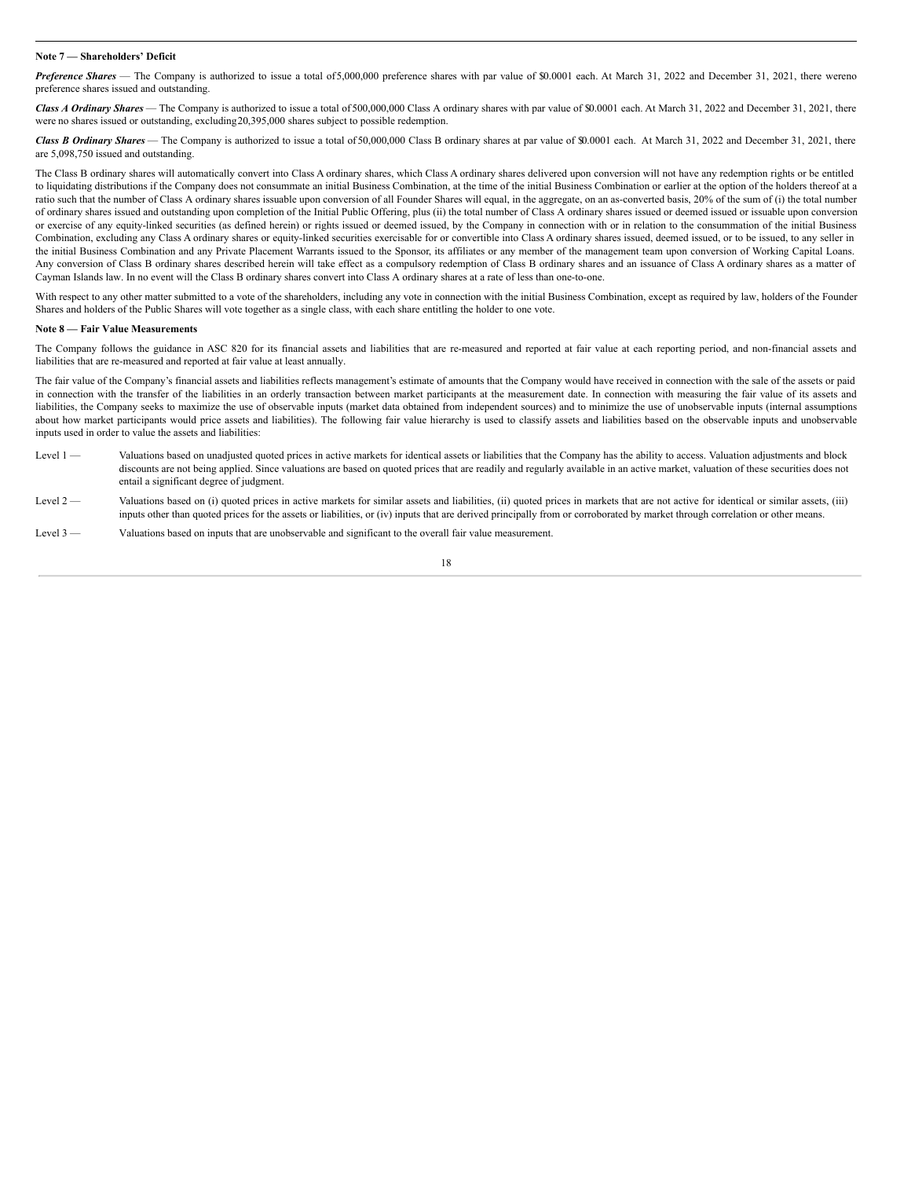### **Note 7 — Shareholders' Deficit**

*Preference Shares* — The Company is authorized to issue a total of5,000,000 preference shares with par value of \$0.0001 each. At March 31, 2022 and December 31, 2021, there wereno preference shares issued and outstanding.

*Class A Ordinary Shares* — The Company is authorized to issue a total of 500,000,000 Class A ordinary shares with par value of \$0.0001 each. At March 31, 2022 and December 31, 2021, there were no shares issued or outstanding, excluding20,395,000 shares subject to possible redemption.

Class B Ordinary Shares — The Company is authorized to issue a total of 50,000,000 Class B ordinary shares at par value of \$0.0001 each. At March 31, 2022 and December 31, 2021, there are 5,098,750 issued and outstanding.

The Class B ordinary shares will automatically convert into Class A ordinary shares, which Class A ordinary shares delivered upon conversion will not have any redemption rights or be entitled to liquidating distributions if the Company does not consummate an initial Business Combination, at the time of the initial Business Combination or earlier at the option of the holders thereof at a ratio such that the number of Class A ordinary shares issuable upon conversion of all Founder Shares will equal, in the aggregate, on an as-converted basis, 20% of the sum of (i) the total number of ordinary shares issued and outstanding upon completion of the Initial Public Offering, plus (ii) the total number of Class A ordinary shares issued or deemed issued or issuable upon conversion or exercise of any equity-linked securities (as defined herein) or rights issued or deemed issued, by the Company in connection with or in relation to the consummation of the initial Business Combination, excluding any Class A ordinary shares or equity-linked securities exercisable for or convertible into Class A ordinary shares issued, deemed issued, or to be issued, to any seller in the initial Business Combination and any Private Placement Warrants issued to the Sponsor, its affiliates or any member of the management team upon conversion of Working Capital Loans. Any conversion of Class B ordinary shares described herein will take effect as a compulsory redemption of Class B ordinary shares and an issuance of Class A ordinary shares as a matter of Cayman Islands law. In no event will the Class B ordinary shares convert into Class A ordinary shares at a rate of less than one-to-one.

With respect to any other matter submitted to a vote of the shareholders, including any vote in connection with the initial Business Combination, except as required by law, holders of the Founder Shares and holders of the Public Shares will vote together as a single class, with each share entitling the holder to one vote.

#### **Note 8 — Fair Value Measurements**

The Company follows the guidance in ASC 820 for its financial assets and liabilities that are re-measured and reported at fair value at each reporting period, and non-financial assets and liabilities that are re-measured and reported at fair value at least annually.

The fair value of the Company's financial assets and liabilities reflects management's estimate of amounts that the Company would have received in connection with the sale of the assets or paid in connection with the transfer of the liabilities in an orderly transaction between market participants at the measurement date. In connection with measuring the fair value of its assets and liabilities, the Company seeks to maximize the use of observable inputs (market data obtained from independent sources) and to minimize the use of unobservable inputs (internal assumptions about how market participants would price assets and liabilities). The following fair value hierarchy is used to classify assets and liabilities based on the observable inputs and unobservable inputs used in order to value the assets and liabilities:

- Level 1 Valuations based on unadjusted quoted prices in active markets for identical assets or liabilities that the Company has the ability to access. Valuation adjustments and block discounts are not being applied. Since valuations are based on quoted prices that are readily and regularly available in an active market, valuation of these securities does not entail a significant degree of judgment.
- Level 2 Valuations based on (i) quoted prices in active markets for similar assets and liabilities, (ii) quoted prices in markets that are not active for identical or similar assets, (iii) inputs other than quoted prices for the assets or liabilities, or (iv) inputs that are derived principally from or corroborated by market through correlation or other means.
- Level 3 Valuations based on inputs that are unobservable and significant to the overall fair value measurement.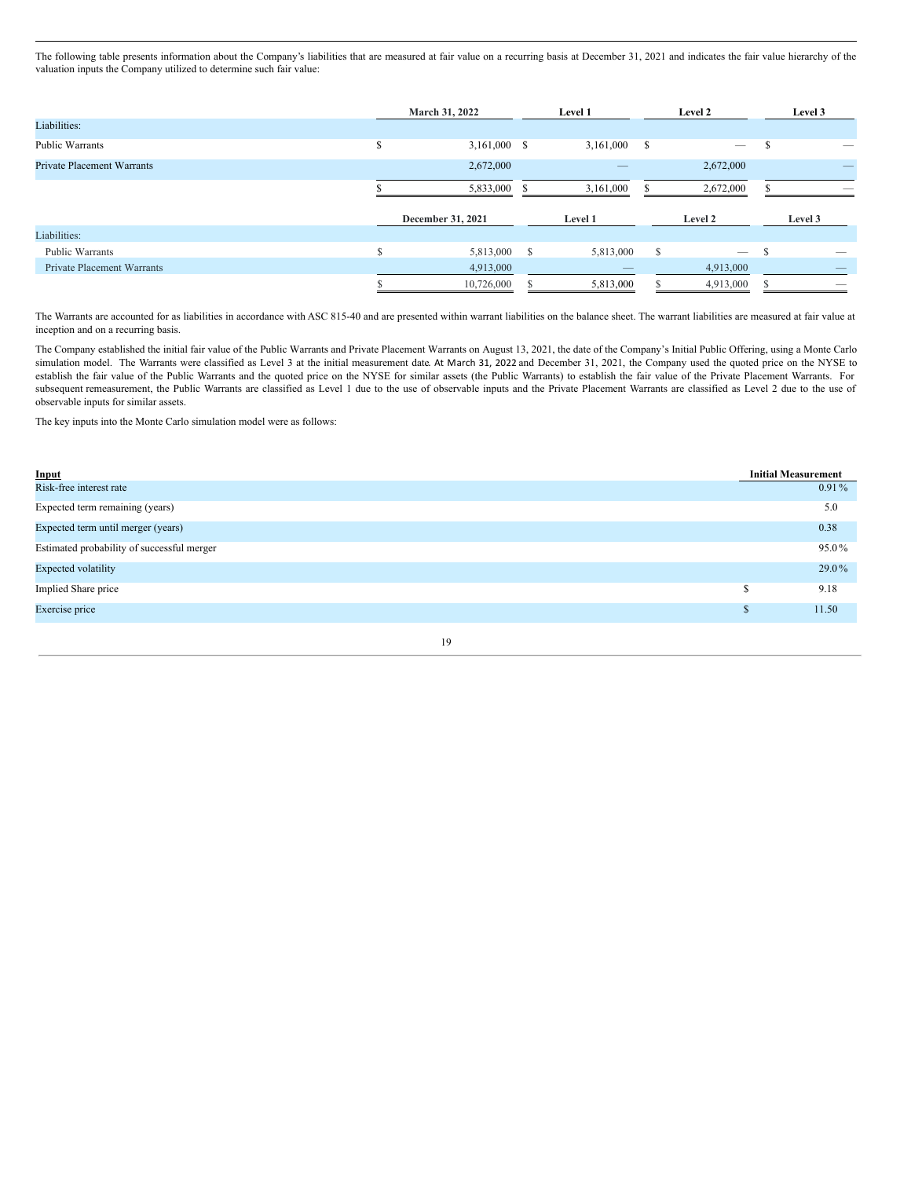The following table presents information about the Company's liabilities that are measured at fair value on a recurring basis at December 31, 2021 and indicates the fair value hierarchy of the valuation inputs the Company utilized to determine such fair value:

|                                   | March 31, 2022 |                   |     | Level 1   | Level 2 |                          |   | Level 3 |
|-----------------------------------|----------------|-------------------|-----|-----------|---------|--------------------------|---|---------|
| Liabilities:                      |                |                   |     |           |         |                          |   |         |
| <b>Public Warrants</b>            | э              | $3,161,000$ \$    |     | 3,161,000 | \$      | $\overline{\phantom{m}}$ | л |         |
| <b>Private Placement Warrants</b> |                | 2,672,000         |     |           |         | 2,672,000                |   |         |
|                                   |                | 5,833,000         | -S. | 3,161,000 |         | 2,672,000                |   |         |
|                                   |                | December 31, 2021 |     | Level 1   |         | Level 2                  |   | Level 3 |
| Liabilities:                      |                |                   |     |           |         |                          |   |         |
| <b>Public Warrants</b>            |                | 5,813,000 \$      |     | 5,813,000 | S       | $\overline{\phantom{a}}$ | ъ |         |
| <b>Private Placement Warrants</b> |                | 4,913,000         |     |           |         | 4,913,000                |   |         |
|                                   |                | 10,726,000        |     | 5,813,000 |         | 4,913,000                |   |         |

The Warrants are accounted for as liabilities in accordance with ASC 815-40 and are presented within warrant liabilities on the balance sheet. The warrant liabilities are measured at fair value at inception and on a recurring basis.

The Company established the initial fair value of the Public Warrants and Private Placement Warrants on August 13, 2021, the date of the Company's Initial Public Offering, using a Monte Carlo simulation model. The Warrants were classified as Level 3 at the initial measurement date. At March 31, 2022 and December 31, 2021, the Company used the quoted price on the NYSE to establish the fair value of the Public Warrants and the quoted price on the NYSE for similar assets (the Public Warrants) to establish the fair value of the Private Placement Warrants. For subsequent remeasurement, the Public Warrants are classified as Level 1 due to the use of observable inputs and the Private Placement Warrants are classified as Level 2 due to the use of observable inputs for similar assets.

The key inputs into the Monte Carlo simulation model were as follows:

| Input                                      | <b>Initial Measurement</b> |          |
|--------------------------------------------|----------------------------|----------|
| Risk-free interest rate                    |                            | $0.91\%$ |
| Expected term remaining (years)            |                            | 5.0      |
| Expected term until merger (years)         |                            | 0.38     |
| Estimated probability of successful merger |                            | 95.0%    |
| <b>Expected volatility</b>                 |                            | 29.0%    |
| Implied Share price                        | S                          | 9.18     |
| Exercise price                             | S                          | 11.50    |
| 19                                         |                            |          |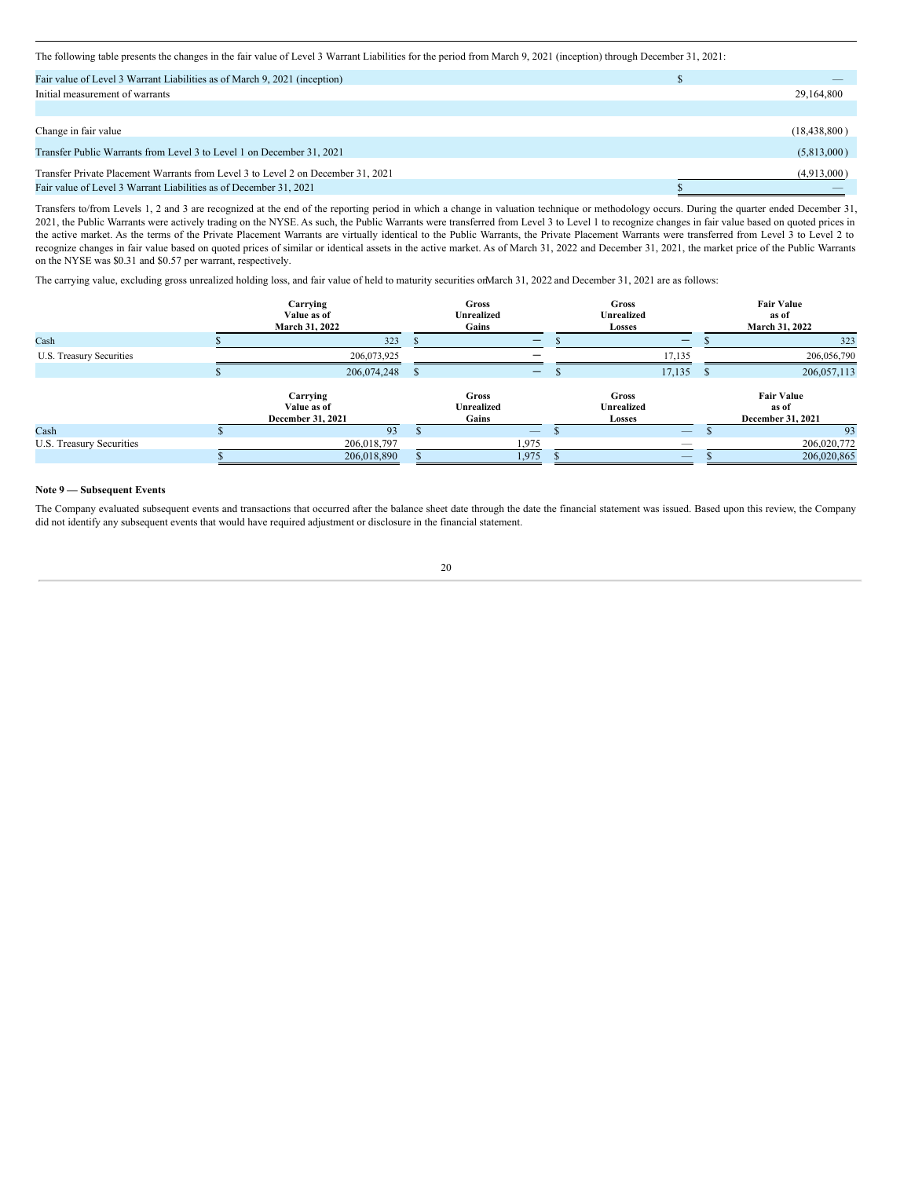The following table presents the changes in the fair value of Level 3 Warrant Liabilities for the period from March 9, 2021 (inception) through December 31, 2021:

| Fair value of Level 3 Warrant Liabilities as of March 9, 2021 (inception)        |                |
|----------------------------------------------------------------------------------|----------------|
| Initial measurement of warrants                                                  | 29,164,800     |
|                                                                                  |                |
| Change in fair value                                                             | (18, 438, 800) |
| Transfer Public Warrants from Level 3 to Level 1 on December 31, 2021            | (5,813,000)    |
| Transfer Private Placement Warrants from Level 3 to Level 2 on December 31, 2021 | (4,913,000)    |
| Fair value of Level 3 Warrant Liabilities as of December 31, 2021                |                |

Transfers to/from Levels 1, 2 and 3 are recognized at the end of the reporting period in which a change in valuation technique or methodology occurs. During the quarter ended December 31, 2021, the Public Warrants were actively trading on the NYSE. As such, the Public Warrants were transferred from Level 3 to Level 1 to recognize changes in fair value based on quoted prices in the active market. As the terms of the Private Placement Warrants are virtually identical to the Public Warrants, the Private Placement Warrants were transferred from Level 3 to Level 2 to recognize changes in fair value based on quoted prices of similar or identical assets in the active market. As of March 31, 2022 and December 31, 2021, the market price of the Public Warrants on the NYSE was \$0.31 and \$0.57 per warrant, respectively.

The carrying value, excluding gross unrealized holding loss, and fair value of held to maturity securities onMarch 31, 2022 and December 31, 2021 are as follows:

|                          | Carrying<br>Value as of<br>March 31, 2022    |          | Gross<br><b>Unrealized</b><br>Gains        |                          | <b>Gross</b><br><b>Unrealized</b><br>Losses |   | <b>Fair Value</b><br>as of<br>March 31, 2022    |
|--------------------------|----------------------------------------------|----------|--------------------------------------------|--------------------------|---------------------------------------------|---|-------------------------------------------------|
| Cash                     | 323                                          |          |                                            | –                        | -                                           |   | 323                                             |
| U.S. Treasury Securities | 206,073,925                                  |          |                                            | –                        | 17,135                                      |   | 206,056,790                                     |
|                          | 206,074,248                                  | <b>S</b> |                                            | $\qquad \qquad -$        | 17,135                                      | S | 206,057,113                                     |
|                          | Carrying<br>Value as of<br>December 31, 2021 |          | <b>Gross</b><br><b>Unrealized</b><br>Gains |                          | <b>Gross</b><br>Unrealized<br>Losses        |   | <b>Fair Value</b><br>as of<br>December 31, 2021 |
| Cash                     | 93                                           |          |                                            | $\overline{\phantom{m}}$ |                                             |   | 93                                              |
| U.S. Treasury Securities | 206,018,797                                  |          | 1,975                                      |                          |                                             |   | 206,020,772                                     |
|                          | 206,018,890                                  |          | 1,975                                      |                          |                                             |   | 206,020,865                                     |

### **Note 9 — Subsequent Events**

The Company evaluated subsequent events and transactions that occurred after the balance sheet date through the date the financial statement was issued. Based upon this review, the Company did not identify any subsequent events that would have required adjustment or disclosure in the financial statement.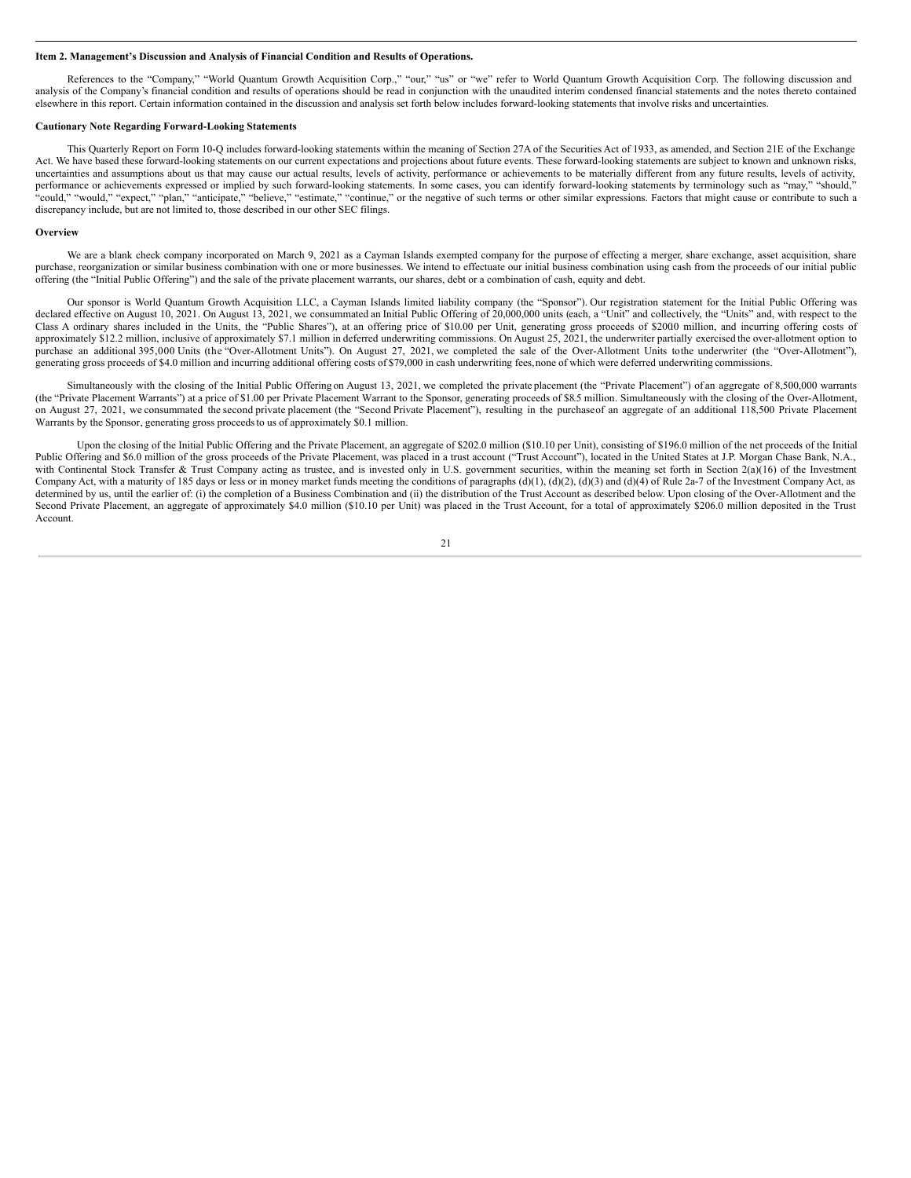#### <span id="page-20-0"></span>**Item 2. Management's Discussion and Analysis of Financial Condition and Results of Operations.**

References to the "Company," "World Quantum Growth Acquisition Corp.," "our," "us" or "we" refer to World Quantum Growth Acquisition Corp. The following discussion and analysis of the Company's financial condition and results of operations should be read in conjunction with the unaudited interim condensed financial statements and the notes thereto contained elsewhere in this report. Certain information contained in the discussion and analysis set forth below includes forward-looking statements that involve risks and uncertainties.

### **Cautionary Note Regarding Forward-Looking Statements**

This Quarterly Report on Form 10-Q includes forward-looking statements within the meaning of Section 27A of the Securities Act of 1933, as amended, and Section 21E of the Exchange Act. We have based these forward-looking statements on our current expectations and projections about future events. These forward-looking statements are subject to known and unknown risks, uncertainties and assumptions about us that may cause our actual results, levels of activity, performance or achievements to be materially different from any future results, levels of activity, performance or achievements expressed or implied by such forward-looking statements. In some cases, you can identify forward-looking statements by terminology such as "may," "should," "could," "would," "expect," "plan," "anticipate," "believe," "estimate," "continue," or the negative of such terms or other similar expressions. Factors that might cause or contribute to such a discrepancy include, but are not limited to, those described in our other SEC filings.

#### **Overview**

We are a blank check company incorporated on March 9, 2021 as a Cayman Islands exempted company for the purpose of effecting a merger, share exchange, asset acquisition, share purchase, reorganization or similar business combination with one or more businesses. We intend to effectuate our initial business combination using cash from the proceeds of our initial public offering (the "Initial Public Offering") and the sale of the private placement warrants, our shares, debt or a combination of cash, equity and debt.

Our sponsor is World Quantum Growth Acquisition LLC, a Cayman Islands limited liability company (the "Sponsor"). Our registration statement for the Initial Public Offering was declared effective on August 10, 2021. On August 13, 2021, we consummated an Initial Public Offering of 20,000,000 units (each, a "Unit" and collectively, the "Units" and, with respect to the Class A ordinary shares included in the Units, the "Public Shares"), at an offering price of \$10.00 per Unit, generating gross proceeds of \$200.0 million, and incurring offering costs of approximately \$12.2 million, inclusive of approximately \$7.1 million in deferred underwriting commissions. On August 25, 2021, the underwriter partially exercised the over-allotment option to purchase an additional 395,000 Units (the "Over-Allotment Units"). On August 27, 2021, we completed the sale of the Over-Allotment Units tothe underwriter (the "Over-Allotment"), generating gross proceeds of \$4.0 million and incurring additional offering costs of \$79,000 in cash underwriting fees, none of which were deferred underwriting commissions.

Simultaneously with the closing of the Initial Public Offering on August 13, 2021, we completed the private placement (the "Private Placement") of an aggregate of 8,500,000 warrants (the "Private Placement Warrants") at a price of \$1.00 per Private Placement Warrant to the Sponsor, generating proceeds of \$8.5 million. Simultaneously with the closing of the Over-Allotment, on August 27, 2021, we consummated the second private placement (the "Second Private Placement"), resulting in the purchaseof an aggregate of an additional 118,500 Private Placement Warrants by the Sponsor, generating gross proceedsto us of approximately \$0.1 million.

Upon the closing of the Initial Public Offering and the Private Placement, an aggregate of \$202.0 million (\$10.10 per Unit), consisting of \$196.0 million of the net proceeds of the Initial Public Offering and \$6.0 million of the gross proceeds of the Private Placement, was placed in a trust account ("Trust Account"), located in the United States at J.P. Morgan Chase Bank, N.A., with Continental Stock Transfer & Trust Company acting as trustee, and is invested only in U.S. government securities, within the meaning set forth in Section 2(a)(16) of the Investment Company Act, with a maturity of 185 days or less or in money market funds meeting the conditions of paragraphs (d)(1), (d)(2), (d)(3) and (d)(4) of Rule 2a-7 of the Investment Company Act, as determined by us, until the earlier of: (i) the completion of a Business Combination and (ii) the distribution of the Trust Account as described below. Upon closing of the Over-Allotment and the Second Private Placement, an aggregate of approximately \$4.0 million (\$10.10 per Unit) was placed in the Trust Account, for a total of approximately \$206.0 million deposited in the Trust Account.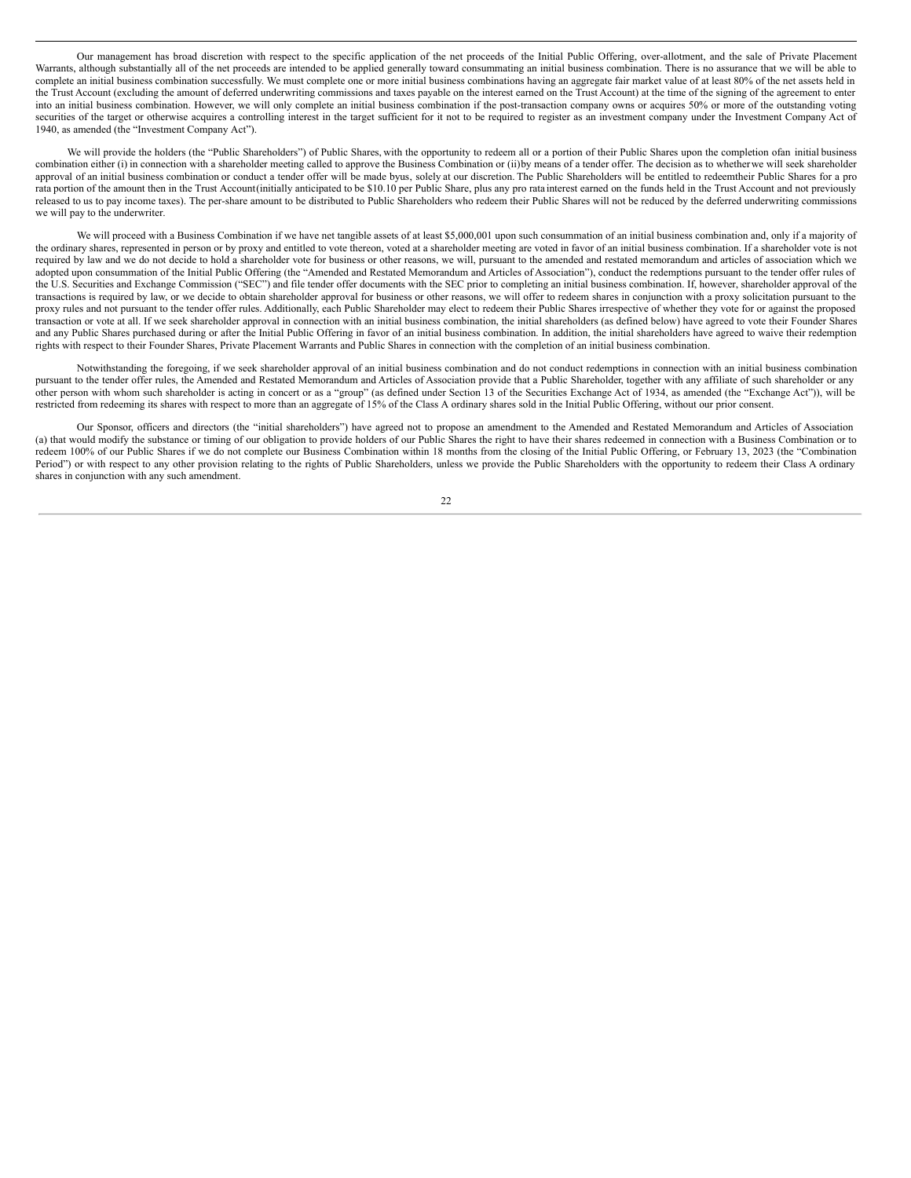Our management has broad discretion with respect to the specific application of the net proceeds of the Initial Public Offering, over-allotment, and the sale of Private Placement Warrants, although substantially all of the net proceeds are intended to be applied generally toward consummating an initial business combination. There is no assurance that we will be able to complete an initial business combination successfully. We must complete one or more initial business combinations having an aggregate fair market value of at least 80% of the net assets held in the Trust Account (excluding the amount of deferred underwriting commissions and taxes payable on the interest earned on the Trust Account) at the time of the signing of the agreement to enter into an initial business combination. However, we will only complete an initial business combination if the post-transaction company owns or acquires 50% or more of the outstanding voting securities of the target or otherwise acquires a controlling interest in the target sufficient for it not to be required to register as an investment company under the Investment Company Act of 1940, as amended (the "Investment Company Act").

We will provide the holders (the "Public Shareholders") of Public Shares, with the opportunity to redeem all or a portion of their Public Shares upon the completion ofan initial business combination either (i) in connection with a shareholder meeting called to approve the Business Combination or (ii)by means of a tender offer. The decision as to whetherwe will seek shareholder approval of an initial business combination or conduct a tender offer will be made byus, solely at our discretion. The Public Shareholders will be entitled to redeemtheir Public Shares for a pro rata portion of the amount then in the Trust Account(initially anticipated to be \$10.10 per Public Share, plus any pro rata interest earned on the funds held in the Trust Account and not previously released to us to pay income taxes). The per-share amount to be distributed to Public Shareholders who redeem their Public Shares will not be reduced by the deferred underwriting commissions we will pay to the underwriter.

We will proceed with a Business Combination if we have net tangible assets of at least \$5,000,001 upon such consummation of an initial business combination and, only if a majority of the ordinary shares, represented in person or by proxy and entitled to vote thereon, voted at a shareholder meeting are voted in favor of an initial business combination. If a shareholder vote is not required by law and we do not decide to hold a shareholder vote for business or other reasons, we will, pursuant to the amended and restated memorandum and articles of association which we adopted upon consummation of the Initial Public Offering (the "Amended and Restated Memorandum and Articles of Association"), conduct the redemptions pursuant to the tender offer rules of the U.S. Securities and Exchange Commission ("SEC") and file tender offer documents with the SEC prior to completing an initial business combination. If, however, shareholder approval of the transactions is required by law, or we decide to obtain shareholder approval for business or other reasons, we will offer to redeem shares in conjunction with a proxy solicitation pursuant to the proxy rules and not pursuant to the tender offer rules. Additionally, each Public Shareholder may elect to redeem their Public Shares irrespective of whether they vote for or against the proposed transaction or vote at all. If we seek shareholder approval in connection with an initial business combination, the initial shareholders (as defined below) have agreed to vote their Founder Shares and any Public Shares purchased during or after the Initial Public Offering in favor of an initial business combination. In addition, the initial shareholders have agreed to waive their redemption rights with respect to their Founder Shares, Private Placement Warrants and Public Shares in connection with the completion of an initial business combination.

Notwithstanding the foregoing, if we seek shareholder approval of an initial business combination and do not conduct redemptions in connection with an initial business combination pursuant to the tender offer rules, the Amended and Restated Memorandum and Articles of Association provide that a Public Shareholder, together with any affiliate of such shareholder or any other person with whom such shareholder is acting in concert or as a "group" (as defined under Section 13 of the Securities Exchange Act of 1934, as amended (the "Exchange Act")), will be restricted from redeeming its shares with respect to more than an aggregate of 15% of the Class A ordinary shares sold in the Initial Public Offering, without our prior consent.

Our Sponsor, officers and directors (the "initial shareholders") have agreed not to propose an amendment to the Amended and Restated Memorandum and Articles of Association (a) that would modify the substance or timing of our obligation to provide holders of our Public Shares the right to have their shares redeemed in connection with a Business Combination or to redeem 100% of our Public Shares if we do not complete our Business Combination within 18 months from the closing of the Initial Public Offering, or February 13, 2023 (the "Combination Period") or with respect to any other provision relating to the rights of Public Shareholders, unless we provide the Public Shareholders with the opportunity to redeem their Class A ordinary shares in conjunction with any such amendment.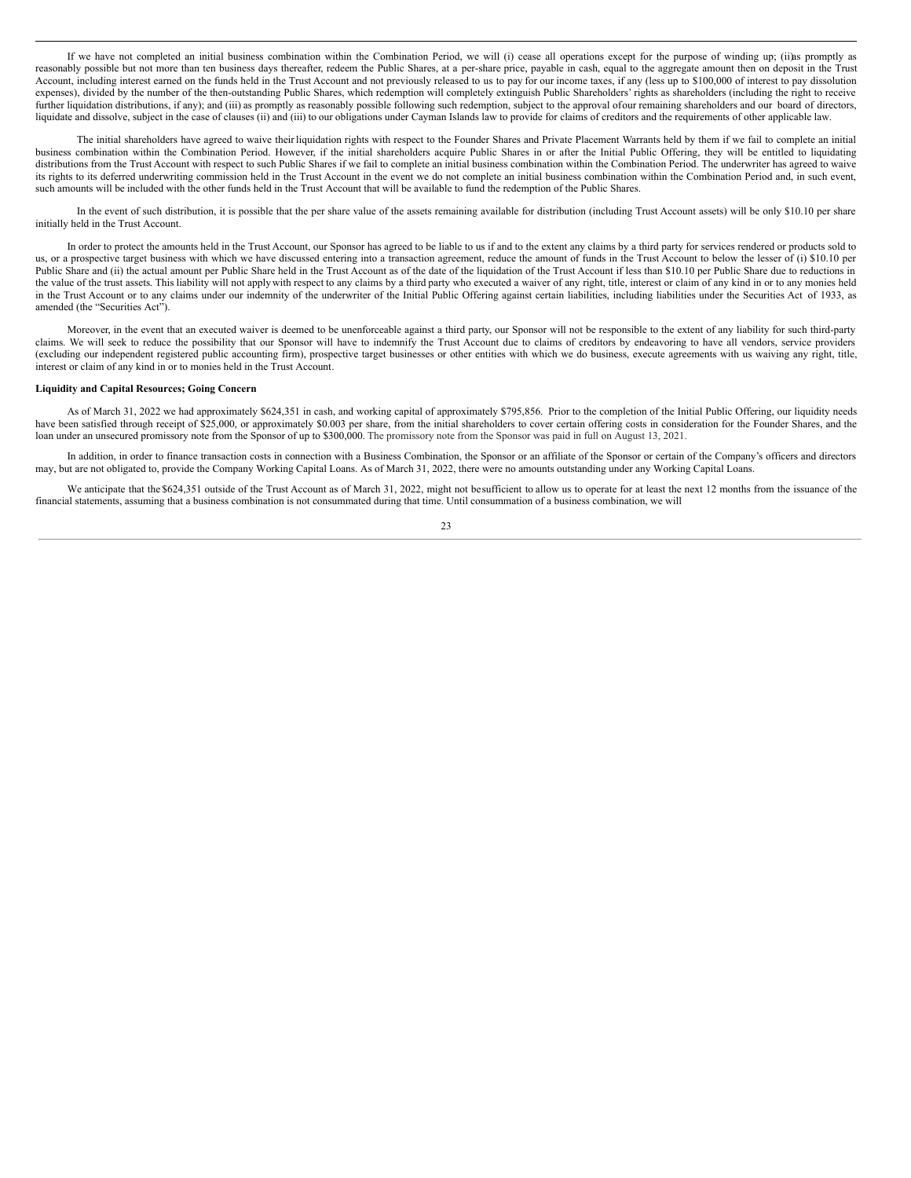If we have not completed an initial business combination within the Combination Period, we will (i) cease all operations except for the purpose of winding up; (ii)as promptly as reasonably possible but not more than ten business days thereafter, redeem the Public Shares, at a per-share price, payable in cash, equal to the aggregate amount then on deposit in the Trust Account, including interest earned on the funds held in the Trust Account and not previously released to us to pay for our income taxes, if any (less up to \$100,000 of interest to pay dissolution expenses), divided by the number of the then-outstanding Public Shares, which redemption will completely extinguish Public Shareholders' rights as shareholders (including the right to receive further liquidation distributions, if any); and (iii) as promptly as reasonably possible following such redemption, subject to the approval ofour remaining shareholders and our board of directors, liquidate and dissolve, subject in the case of clauses (ii) and (iii) to our obligations under Cayman Islands law to provide for claims of creditors and the requirements of other applicable law.

The initial shareholders have agreed to waive their liquidation rights with respect to the Founder Shares and Private Placement Warrants held by them if we fail to complete an initial business combination within the Combination Period. However, if the initial shareholders acquire Public Shares in or after the Initial Public Offering, they will be entitled to liquidating distributions from the Trust Account with respect to such Public Shares if we fail to complete an initial business combination within the Combination Period. The underwriter has agreed to waive its rights to its deferred underwriting commission held in the Trust Account in the event we do not complete an initial business combination within the Combination Period and, in such event, such amounts will be included with the other funds held in the Trust Account that will be available to fund the redemption of the Public Shares.

In the event of such distribution, it is possible that the per share value of the assets remaining available for distribution (including Trust Account assets) will be only \$10.10 per share initially held in the Trust Account.

In order to protect the amounts held in the Trust Account, our Sponsor has agreed to be liable to us if and to the extent any claims by a third party for services rendered or products sold to us, or a prospective target business with which we have discussed entering into a transaction agreement, reduce the amount of funds in the Trust Account to below the lesser of (i) \$10.10 per Public Share and (ii) the actual amount per Public Share held in the Trust Account as of the date of the liquidation of the Trust Account if less than \$10.10 per Public Share due to reductions in the value of the trust assets. This liability will not apply with respect to any claims by a third party who executed a waiver of any right, title, interest or claim of any kind in or to any monies held in the Trust Account or to any claims under our indemnity of the underwriter of the Initial Public Offering against certain liabilities, including liabilities under the Securities Act of 1933, as amended (the "Securities Act").

Moreover, in the event that an executed waiver is deemed to be unenforceable against a third party, our Sponsor will not be responsible to the extent of any liability for such third-party claims. We will seek to reduce the possibility that our Sponsor will have to indemnify the Trust Account due to claims of creditors by endeavoring to have all vendors, service providers (excluding our independent registered public accounting firm), prospective target businesses or other entities with which we do business, execute agreements with us waiving any right, title, interest or claim of any kind in or to monies held in the Trust Account.

#### **Liquidity and Capital Resources; Going Concern**

As of March 31, 2022 we had approximately \$624,351 in cash, and working capital of approximately \$795,856. Prior to the completion of the Initial Public Offering, our liquidity needs have been satisfied through receipt of \$25,000, or approximately \$0.003 per share, from the initial shareholders to cover certain offering costs in consideration for the Founder Shares, and the loan under an unsecured promissory note from the Sponsor of up to \$300,000. The promissory note from the Sponsor was paid in full on August 13, 2021.

In addition, in order to finance transaction costs in connection with a Business Combination, the Sponsor or an affiliate of the Sponsor or certain of the Company's officers and directors may, but are not obligated to, provide the Company Working Capital Loans. As of March 31, 2022, there were no amounts outstanding under any Working Capital Loans.

We anticipate that the \$624,351 outside of the Trust Account as of March 31, 2022, might not besufficient to allow us to operate for at least the next 12 months from the issuance of the financial statements, assuming that a business combination is not consummated during that time. Until consummation of a business combination, we will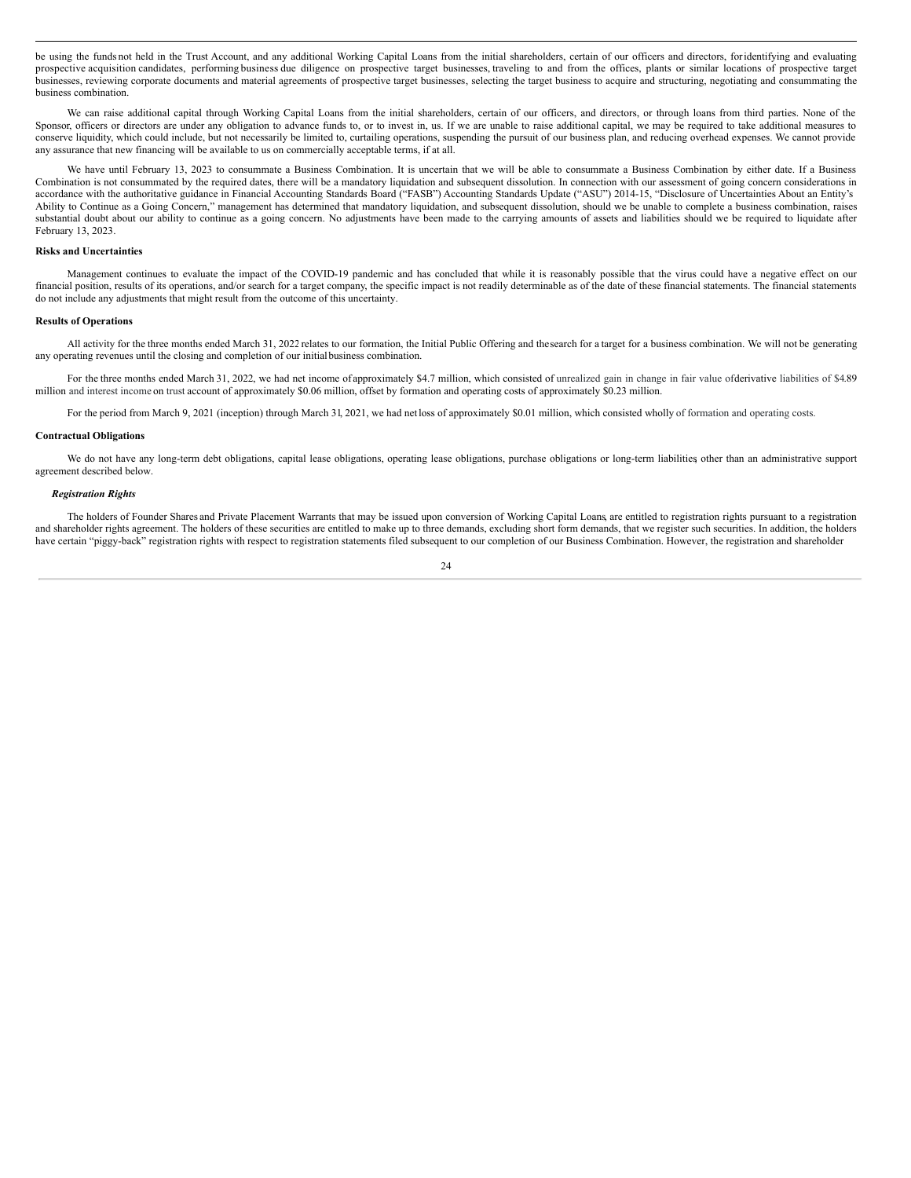be using the funds not held in the Trust Account, and any additional Working Capital Loans from the initial shareholders, certain of our officers and directors, foridentifying and evaluating prospective acquisition candidates, performing business due diligence on prospective target businesses, traveling to and from the offices, plants or similar locations of prospective target businesses, reviewing corporate documents and material agreements of prospective target businesses, selecting the target business to acquire and structuring, negotiating and consummating the business combination.

We can raise additional capital through Working Capital Loans from the initial shareholders, certain of our officers, and directors, or through loans from third parties. None of the Sponsor, officers or directors are under any obligation to advance funds to, or to invest in, us. If we are unable to raise additional capital, we may be required to take additional measures to conserve liquidity, which could include, but not necessarily be limited to, curtailing operations, suspending the pursuit of our business plan, and reducing overhead expenses. We cannot provide any assurance that new financing will be available to us on commercially acceptable terms, if at all.

We have until February 13, 2023 to consummate a Business Combination. It is uncertain that we will be able to consummate a Business Combination by either date. If a Business Combination is not consummated by the required dates, there will be a mandatory liquidation and subsequent dissolution. In connection with our assessment of going concern considerations in accordance with the authoritative guidance in Financial Accounting Standards Board ("FASB") Accounting Standards Update ("ASU") 2014-15, "Disclosure of Uncertainties About an Entity's Ability to Continue as a Going Concern," management has determined that mandatory liquidation, and subsequent dissolution, should we be unable to complete a business combination, raises substantial doubt about our ability to continue as a going concern. No adjustments have been made to the carrying amounts of assets and liabilities should we be required to liquidate after February 13, 2023.

### **Risks and Uncertainties**

Management continues to evaluate the impact of the COVID-19 pandemic and has concluded that while it is reasonably possible that the virus could have a negative effect on our financial position, results of its operations, and/or search for a target company, the specific impact is not readily determinable as of the date of these financial statements. The financial statements do not include any adjustments that might result from the outcome of this uncertainty.

#### **Results of Operations**

All activity for the three months ended March 31, 2022 relates to our formation, the Initial Public Offering and thesearch for a target for a business combination. We will not be generating any operating revenues until the closing and completion of our initialbusiness combination.

For the three months ended March 31, 2022, we had net income of approximately \$4.7 million, which consisted of unrealized gain in change in fair value ofderivative liabilities of \$4.89 million and interest income on trust account of approximately \$0.06 million, offset by formation and operating costs of approximately \$0.23 million.

For the period from March 9, 2021 (inception) through March 31, 2021, we had net loss of approximately \$0.01 million, which consisted wholly of formation and operating costs.

#### **Contractual Obligations**

We do not have any long-term debt obligations, capital lease obligations, operating lease obligations, purchase obligations or long-term liabilities other than an administrative support agreement described below.

#### *Registration Rights*

The holders of Founder Shares and Private Placement Warrants that may be issued upon conversion of Working Capital Loans, are entitled to registration rights pursuant to a registration and shareholder rights agreement. The holders of these securities are entitled to make up to three demands, excluding short form demands, that we register such securities. In addition, the holders have certain "piggy-back" registration rights with respect to registration statements filed subsequent to our completion of our Business Combination. However, the registration and shareholder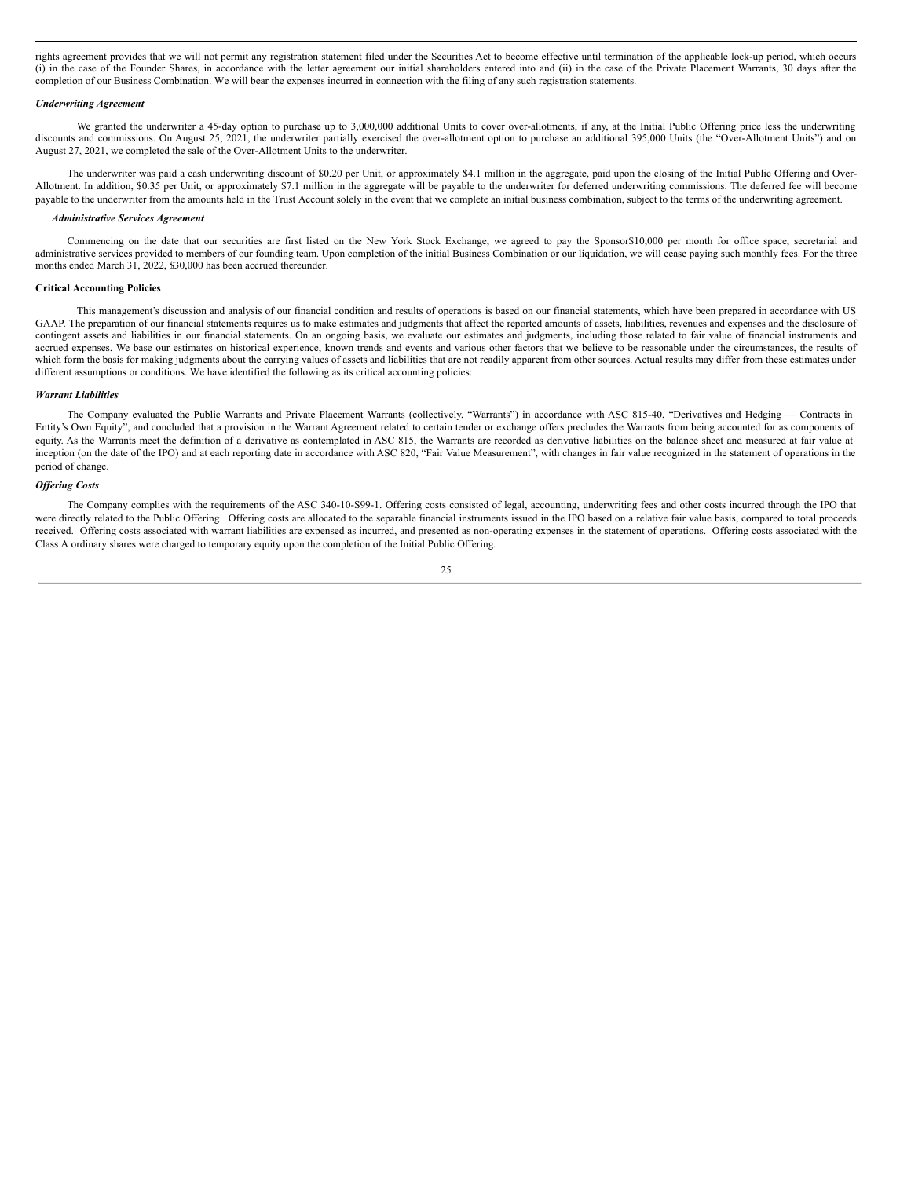rights agreement provides that we will not permit any registration statement filed under the Securities Act to become effective until termination of the applicable lock-up period, which occurs (i) in the case of the Founder Shares, in accordance with the letter agreement our initial shareholders entered into and (ii) in the case of the Private Placement Warrants, 30 days after the completion of our Business Combination. We will bear the expenses incurred in connection with the filing of any such registration statements.

#### *Underwriting Agreement*

We granted the underwriter a 45-day option to purchase up to 3,000,000 additional Units to cover over-allotments, if any, at the Initial Public Offering price less the underwriting discounts and commissions. On August 25, 2021, the underwriter partially exercised the over-allotment option to purchase an additional 395,000 Units (the "Over-Allotment Units") and on August 27, 2021, we completed the sale of the Over-Allotment Units to the underwriter.

The underwriter was paid a cash underwriting discount of \$0.20 per Unit, or approximately \$4.1 million in the aggregate, paid upon the closing of the Initial Public Offering and Over-Allotment. In addition, \$0.35 per Unit, or approximately \$7.1 million in the aggregate will be payable to the underwriter for deferred underwriting commissions. The deferred fee will become payable to the underwriter from the amounts held in the Trust Account solely in the event that we complete an initial business combination, subject to the terms of the underwriting agreement.

#### *Administrative Services Agreement*

Commencing on the date that our securities are first listed on the New York Stock Exchange, we agreed to pay the Sponsor\$10,000 per month for office space, secretarial and administrative services provided to members of our founding team. Upon completion of the initial Business Combination or our liquidation, we will cease paying such monthly fees. For the three months ended March 31, 2022, \$30,000 has been accrued thereunder.

#### **Critical Accounting Policies**

This management's discussion and analysis of our financial condition and results of operations is based on our financial statements, which have been prepared in accordance with US GAAP. The preparation of our financial statements requires us to make estimates and judgments that affect the reported amounts of assets, liabilities, revenues and expenses and the disclosure of contingent assets and liabilities in our financial statements. On an ongoing basis, we evaluate our estimates and judgments, including those related to fair value of financial instruments and accrued expenses. We base our estimates on historical experience, known trends and events and various other factors that we believe to be reasonable under the circumstances, the results of which form the basis for making judgments about the carrying values of assets and liabilities that are not readily apparent from other sources. Actual results may differ from these estimates under different assumptions or conditions. We have identified the following as its critical accounting policies:

#### *Warrant Liabilities*

The Company evaluated the Public Warrants and Private Placement Warrants (collectively, "Warrants") in accordance with ASC 815-40, "Derivatives and Hedging - Contracts in Entity's Own Equity", and concluded that a provision in the Warrant Agreement related to certain tender or exchange offers precludes the Warrants from being accounted for as components of equity. As the Warrants meet the definition of a derivative as contemplated in ASC 815, the Warrants are recorded as derivative liabilities on the balance sheet and measured at fair value at inception (on the date of the IPO) and at each reporting date in accordance with ASC 820, "Fair Value Measurement", with changes in fair value recognized in the statement of operations in the period of change.

#### *Of ering Costs*

The Company complies with the requirements of the ASC 340-10-S99-1. Offering costs consisted of legal, accounting, underwriting fees and other costs incurred through the IPO that were directly related to the Public Offering. Offering costs are allocated to the separable financial instruments issued in the IPO based on a relative fair value basis, compared to total proceeds received. Offering costs associated with warrant liabilities are expensed as incurred, and presented as non-operating expenses in the statement of operations. Offering costs associated with the Class A ordinary shares were charged to temporary equity upon the completion of the Initial Public Offering.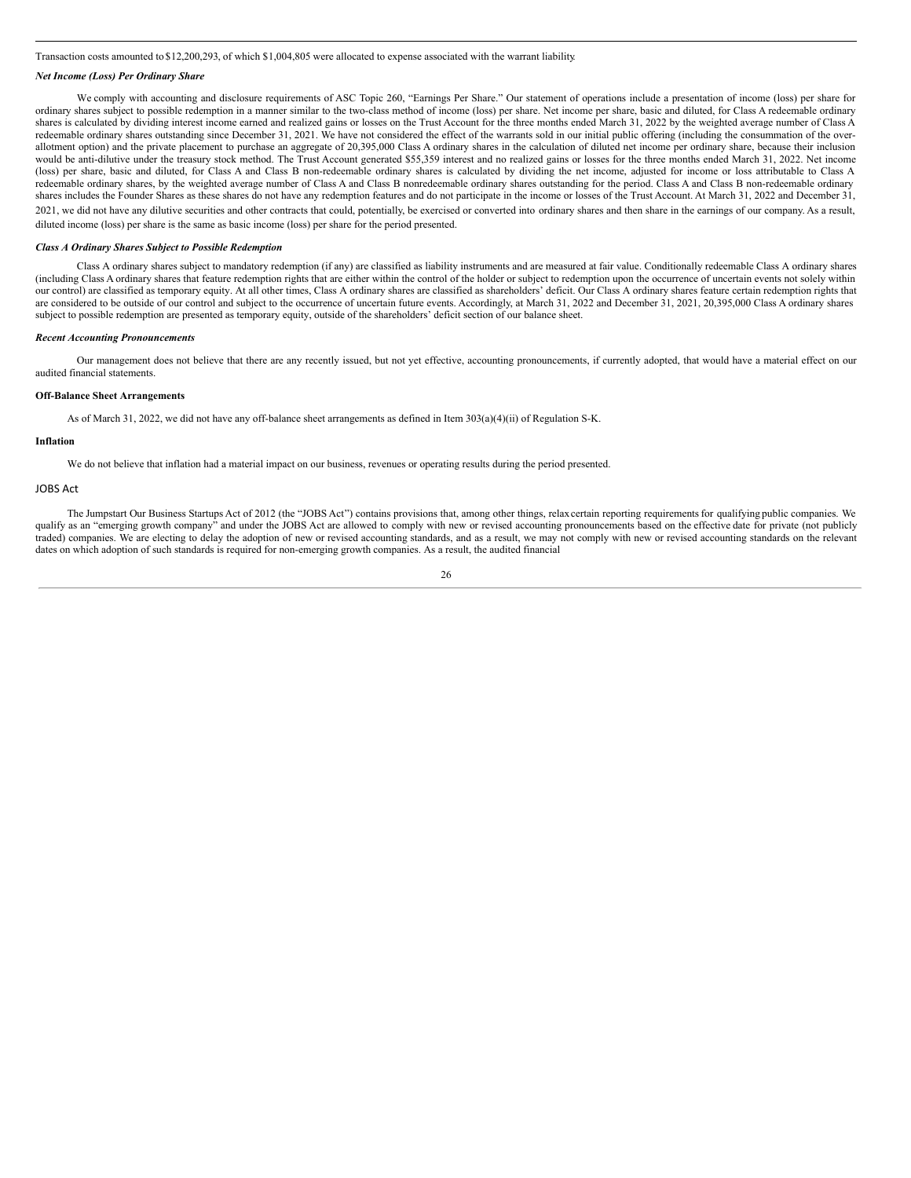Transaction costs amounted to \$12,200,293, of which \$1,004,805 were allocated to expense associated with the warrant liability.

### *Net Income (Loss) Per Ordinary Share*

We comply with accounting and disclosure requirements of ASC Topic 260, "Earnings Per Share." Our statement of operations include a presentation of income (loss) per share for ordinary shares subject to possible redemption in a manner similar to the two-class method of income (loss) per share. Net income per share, basic and diluted, for Class A redeemable ordinary shares is calculated by dividing interest income earned and realized gains or losses on the Trust Account for the three months ended March 31, 2022 by the weighted average number of Class A redeemable ordinary shares outstanding since December 31, 2021. We have not considered the effect of the warrants sold in our initial public offering (including the consummation of the overallotment option) and the private placement to purchase an aggregate of 20,395,000 Class A ordinary shares in the calculation of diluted net income per ordinary share, because their inclusion would be anti-dilutive under the treasury stock method. The Trust Account generated \$55,359 interest and no realized gains or losses for the three months ended March 31, 2022. Net income (loss) per share, basic and diluted, for Class A and Class B non-redeemable ordinary shares is calculated by dividing the net income, adjusted for income or loss attributable to Class A redeemable ordinary shares, by the weighted average number of Class A and Class B nonredeemable ordinary shares outstanding for the period. Class A and Class B non-redeemable ordinary shares includes the Founder Shares as these shares do not have any redemption features and do not participate in the income or losses of the Trust Account. At March 31, 2022 and December 31, 2021, we did not have any dilutive securities and other contracts that could, potentially, be exercised or converted into ordinary shares and then share in the earnings of our company. As a result, diluted income (loss) per share is the same as basic income (loss) per share for the period presented.

#### *Class A Ordinary Shares Subject to Possible Redemption*

Class A ordinary shares subject to mandatory redemption (if any) are classified as liability instruments and are measured at fair value. Conditionally redeemable Class A ordinary shares (including Class A ordinary shares that feature redemption rights that are either within the control of the holder or subject to redemption upon the occurrence of uncertain events not solely within our control) are classified as temporary equity. At all other times, Class A ordinary shares are classified as shareholders' deficit. Our Class A ordinary shares feature certain redemption rights that are considered to be outside of our control and subject to the occurrence of uncertain future events. Accordingly, at March 31, 2022 and December 31, 2021, 20,395,000 Class A ordinary shares subject to possible redemption are presented as temporary equity, outside of the shareholders' deficit section of our balance sheet.

#### *Recent Accounting Pronouncements*

Our management does not believe that there are any recently issued, but not yet effective, accounting pronouncements, if currently adopted, that would have a material effect on our audited financial statements.

### **Off-Balance Sheet Arrangements**

As of March 31, 2022, we did not have any off-balance sheet arrangements as defined in Item 303(a)(4)(ii) of Regulation S-K.

### **Inflation**

We do not believe that inflation had a material impact on our business, revenues or operating results during the period presented.

## JOBS Act

The Jumpstart Our Business Startups Act of 2012 (the "JOBS Act") contains provisions that, among other things, relax certain reporting requirements for qualifying public companies. We qualify as an "emerging growth company" and under the JOBS Act are allowed to comply with new or revised accounting pronouncements based on the effective date for private (not publicly traded) companies. We are electing to delay the adoption of new or revised accounting standards, and as a result, we may not comply with new or revised accounting standards on the relevant dates on which adoption of such standards is required for non-emerging growth companies. As a result, the audited financial

26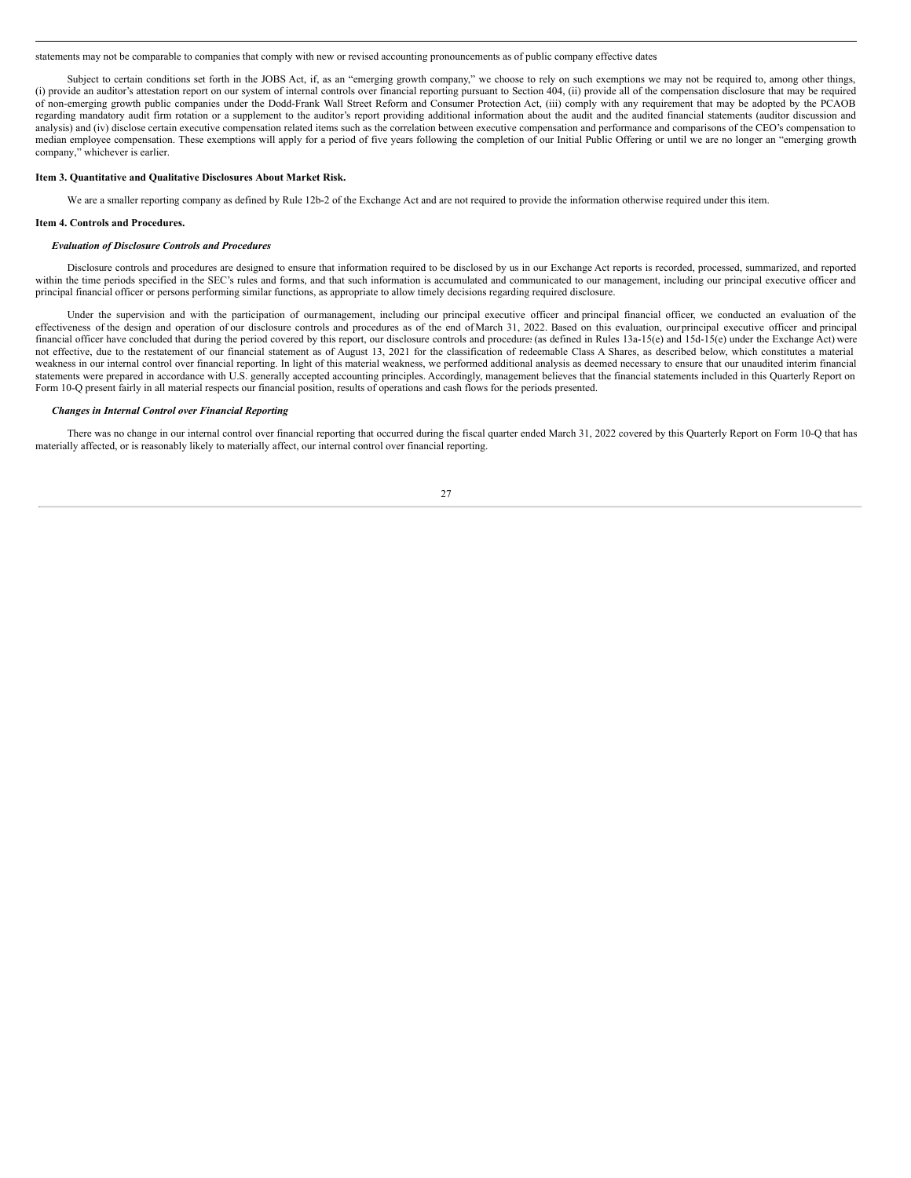statements may not be comparable to companies that comply with new or revised accounting pronouncements as of public company effective dates.

Subject to certain conditions set forth in the JOBS Act, if, as an "emerging growth company," we choose to rely on such exemptions we may not be required to, among other things, (i) provide an auditor's attestation report on our system of internal controls over financial reporting pursuant to Section 404, (ii) provide all of the compensation disclosure that may be required of non-emerging growth public companies under the Dodd-Frank Wall Street Reform and Consumer Protection Act, (iii) comply with any requirement that may be adopted by the PCAOB regarding mandatory audit firm rotation or a supplement to the auditor's report providing additional information about the audit and the audited financial statements (auditor discussion and analysis) and (iv) disclose certain executive compensation related items such as the correlation between executive compensation and performance and comparisons of the CEO's compensation to median employee compensation. These exemptions will apply for a period of five years following the completion of our Initial Public Offering or until we are no longer an "emerging growth company," whichever is earlier.

### <span id="page-26-0"></span>**Item 3. Quantitative and Qualitative Disclosures About Market Risk.**

We are a smaller reporting company as defined by Rule 12b-2 of the Exchange Act and are not required to provide the information otherwise required under this item.

#### <span id="page-26-1"></span>**Item 4. Controls and Procedures.**

#### *Evaluation of Disclosure Controls and Procedures*

Disclosure controls and procedures are designed to ensure that information required to be disclosed by us in our Exchange Act reports is recorded, processed, summarized, and reported within the time periods specified in the SEC's rules and forms, and that such information is accumulated and communicated to our management, including our principal executive officer and principal financial officer or persons performing similar functions, as appropriate to allow timely decisions regarding required disclosure.

Under the supervision and with the participation of ourmanagement, including our principal executive officer and principal financial officer, we conducted an evaluation of the effectiveness of the design and operation of our disclosure controls and procedures as of the end of March 31, 2022. Based on this evaluation, our principal executive officer and principal financial officer have concluded that during the period covered by this report, our disclosure controls and procedure: (as defined in Rules 13a-15(e) and 15d-15(e) under the Exchange Act) were not effective, due to the restatement of our financial statement as of August 13, 2021 for the classification of redeemable Class A Shares, as described below, which constitutes a material weakness in our internal control over financial reporting. In light of this material weakness, we performed additional analysis as deemed necessary to ensure that our unaudited interim financial statements were prepared in accordance with U.S. generally accepted accounting principles. Accordingly, management believes that the financial statements included in this Quarterly Report on Form 10-Q present fairly in all material respects our financial position, results of operations and cash flows for the periods presented.

#### *Changes in Internal Control over Financial Reporting*

There was no change in our internal control over financial reporting that occurred during the fiscal quarter ended March 31, 2022 covered by this Quarterly Report on Form 10-Q that has materially affected, or is reasonably likely to materially affect, our internal control over financial reporting.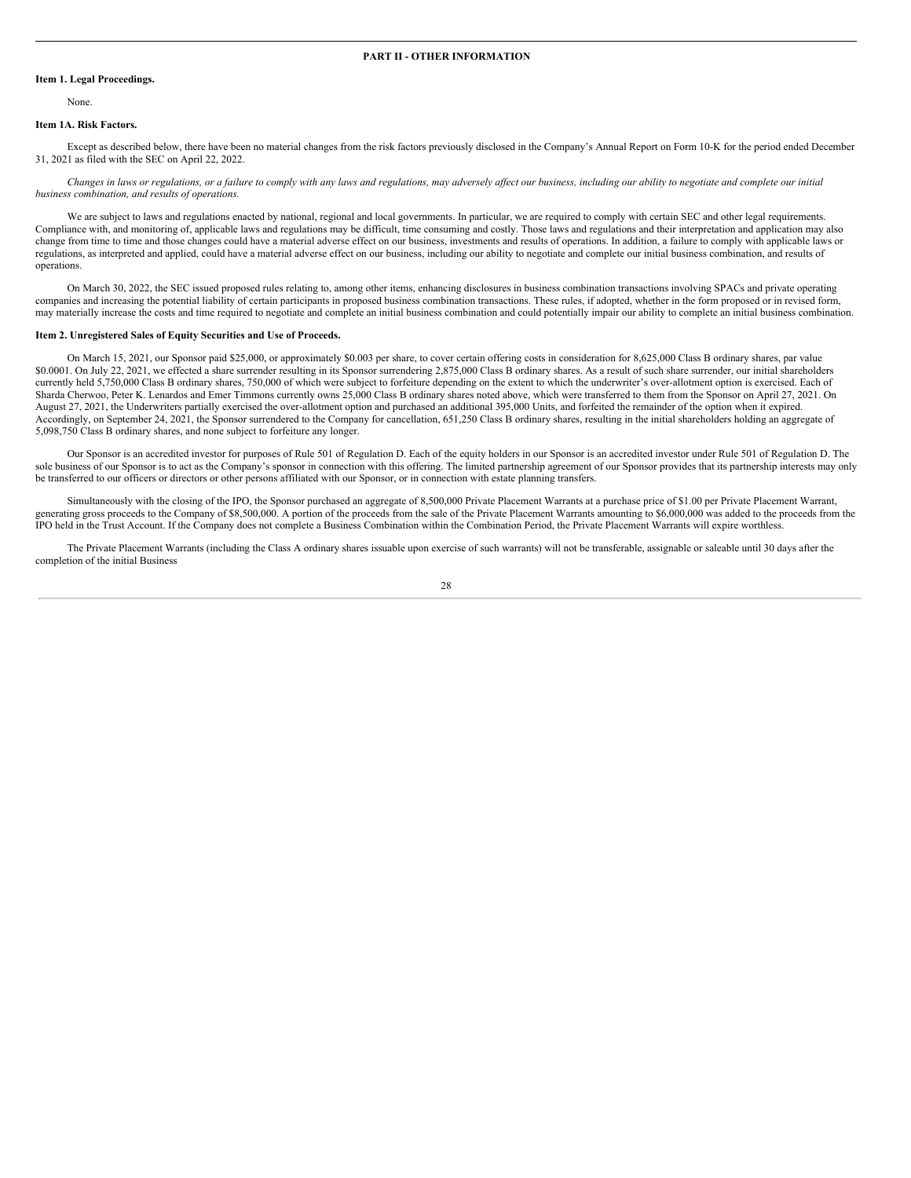### <span id="page-27-1"></span><span id="page-27-0"></span>**Item 1. Legal Proceedings.**

None.

### <span id="page-27-2"></span>**Item 1A. Risk Factors.**

Except as described below, there have been no material changes from the risk factors previously disclosed in the Company's Annual Report on Form 10-K for the period ended December 31, 2021 as filed with the SEC on April 22, 2022.

Changes in laws or regulations, or a failure to comply with any laws and regulations, may adversely affect our business, including our ability to negotiate and complete our initial *business combination, and results of operations.*

We are subject to laws and regulations enacted by national, regional and local governments. In particular, we are required to comply with certain SEC and other legal requirements. Compliance with, and monitoring of, applicable laws and regulations may be difficult, time consuming and costly. Those laws and regulations and their interpretation and application may also change from time to time and those changes could have a material adverse effect on our business, investments and results of operations. In addition, a failure to comply with applicable laws or regulations, as interpreted and applied, could have a material adverse effect on our business, including our ability to negotiate and complete our initial business combination, and results of operations.

On March 30, 2022, the SEC issued proposed rules relating to, among other items, enhancing disclosures in business combination transactions involving SPACs and private operating companies and increasing the potential liability of certain participants in proposed business combination transactions. These rules, if adopted, whether in the form proposed or in revised form, may materially increase the costs and time required to negotiate and complete an initial business combination and could potentially impair our ability to complete an initial business combination.

#### <span id="page-27-3"></span>**Item 2. Unregistered Sales of Equity Securities and Use of Proceeds.**

On March 15, 2021, our Sponsor paid \$25,000, or approximately \$0.003 per share, to cover certain offering costs in consideration for 8,625,000 Class B ordinary shares, par value \$0.0001. On July 22, 2021, we effected a share surrender resulting in its Sponsor surrendering 2,875,000 Class B ordinary shares. As a result of such share surrender, our initial shareholders currently held 5,750,000 Class B ordinary shares, 750,000 of which were subject to forfeiture depending on the extent to which the underwriter's over-allotment option is exercised. Each of Sharda Cherwoo, Peter K. Lenardos and Emer Timmons currently owns 25,000 Class B ordinary shares noted above, which were transferred to them from the Sponsor on April 27, 2021. On August 27, 2021, the Underwriters partially exercised the over-allotment option and purchased an additional 395,000 Units, and forfeited the remainder of the option when it expired. Accordingly, on September 24, 2021, the Sponsor surrendered to the Company for cancellation, 651,250 Class B ordinary shares, resulting in the initial shareholders holding an aggregate of 5,098,750 Class B ordinary shares, and none subject to forfeiture any longer.

Our Sponsor is an accredited investor for purposes of Rule 501 of Regulation D. Each of the equity holders in our Sponsor is an accredited investor under Rule 501 of Regulation D. The sole business of our Sponsor is to act as the Company's sponsor in connection with this offering. The limited partnership agreement of our Sponsor provides that its partnership interests may only be transferred to our officers or directors or other persons affiliated with our Sponsor, or in connection with estate planning transfers.

Simultaneously with the closing of the IPO, the Sponsor purchased an aggregate of 8,500,000 Private Placement Warrants at a purchase price of \$1.00 per Private Placement Warrant, generating gross proceeds to the Company of \$8,500,000. A portion of the proceeds from the sale of the Private Placement Warrants amounting to \$6,000,000 was added to the proceeds from the IPO held in the Trust Account. If the Company does not complete a Business Combination within the Combination Period, the Private Placement Warrants will expire worthless.

The Private Placement Warrants (including the Class A ordinary shares issuable upon exercise of such warrants) will not be transferable, assignable or saleable until 30 days after the completion of the initial Business

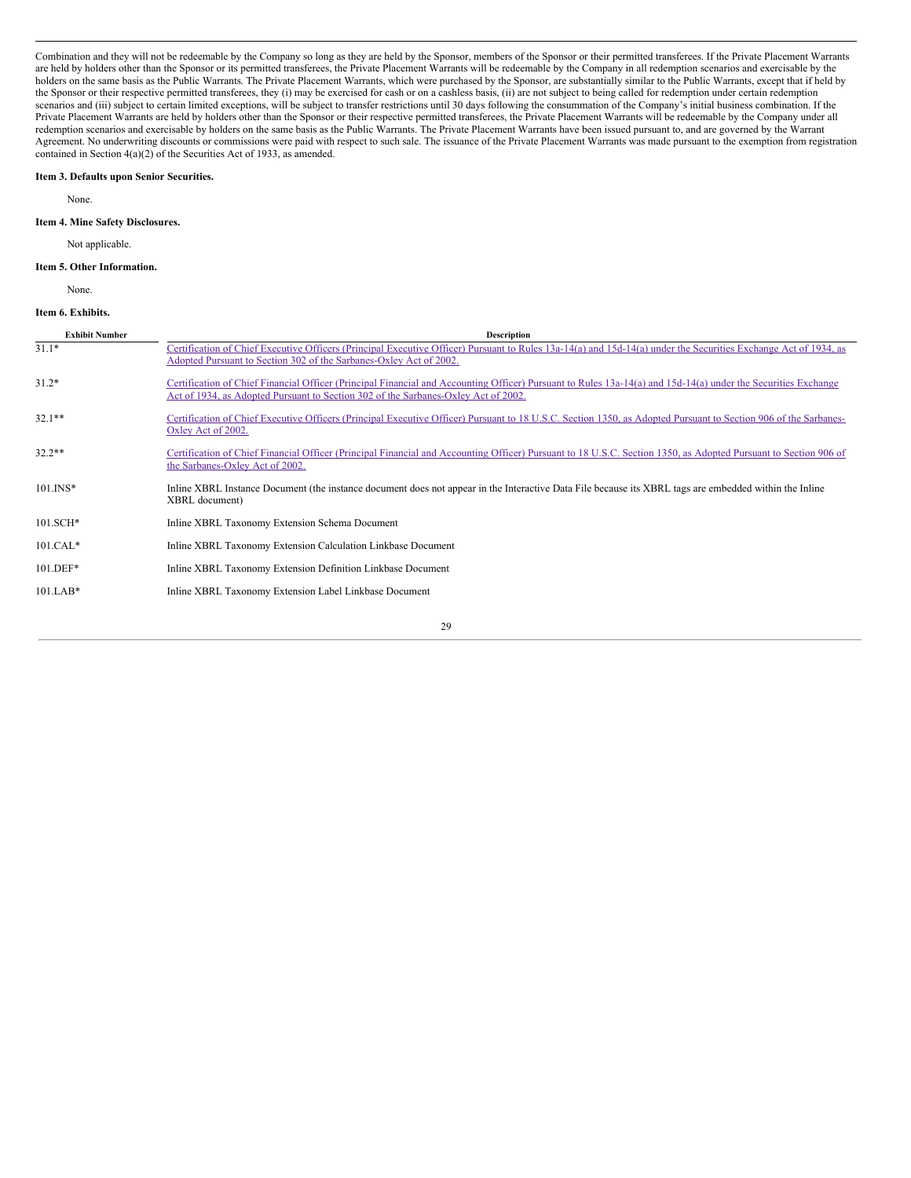Combination and they will not be redeemable by the Company so long as they are held by the Sponsor, members of the Sponsor or their permitted transferees. If the Private Placement Warrants are held by holders other than the Sponsor or its permitted transferees, the Private Placement Warrants will be redeemable by the Company in all redemption scenarios and exercisable by the holders on the same basis as the Public Warrants. The Private Placement Warrants, which were purchased by the Sponsor, are substantially similar to the Public Warrants, except that if held by the Sponsor or their respective permitted transferees, they (i) may be exercised for cash or on a cashless basis, (ii) are not subject to being called for redemption under certain redemption scenarios and (iii) subject to certain limited exceptions, will be subject to transfer restrictions until 30 days following the consummation of the Company's initial business combination. If the Private Placement Warrants are held by holders other than the Sponsor or their respective permitted transferees, the Private Placement Warrants will be redeemable by the Company under all redemption scenarios and exercisable by holders on the same basis as the Public Warrants. The Private Placement Warrants have been issued pursuant to, and are governed by the Warrant Agreement. No underwriting discounts or commissions were paid with respect to such sale. The issuance of the Private Placement Warrants was made pursuant to the exemption from registration contained in Section 4(a)(2) of the Securities Act of 1933, as amended.

#### <span id="page-28-0"></span>**Item 3. Defaults upon Senior Securities.**

None.

### <span id="page-28-1"></span>**Item 4. Mine Safety Disclosures.**

Not applicable.

### <span id="page-28-2"></span>**Item 5. Other Information.**

None.

### <span id="page-28-3"></span>**Item 6. Exhibits.**

| <b>Exhibit Number</b> | <b>Description</b>                                                                                                                                                                                                                                  |
|-----------------------|-----------------------------------------------------------------------------------------------------------------------------------------------------------------------------------------------------------------------------------------------------|
| $31.1*$               | Certification of Chief Executive Officers (Principal Executive Officer) Pursuant to Rules 13a-14(a) and 15d-14(a) under the Securities Exchange Act of 1934, as<br>Adopted Pursuant to Section 302 of the Sarbanes-Oxley Act of 2002.               |
| $31.2*$               | Certification of Chief Financial Officer (Principal Financial and Accounting Officer) Pursuant to Rules 13a-14(a) and 15d-14(a) under the Securities Exchange<br>Act of 1934, as Adopted Pursuant to Section 302 of the Sarbanes-Oxley Act of 2002. |
| $32.1**$              | Certification of Chief Executive Officers (Principal Executive Officer) Pursuant to 18 U.S.C. Section 1350, as Adopted Pursuant to Section 906 of the Sarbanes-<br>Oxley Act of 2002.                                                               |
| $32.2**$              | Certification of Chief Financial Officer (Principal Financial and Accounting Officer) Pursuant to 18 U.S.C. Section 1350, as Adopted Pursuant to Section 906 of<br>the Sarbanes-Oxley Act of 2002.                                                  |
| $101$ . INS*          | Inline XBRL Instance Document (the instance document does not appear in the Interactive Data File because its XBRL tags are embedded within the Inline<br>XBRL document)                                                                            |
| 101.SCH*              | Inline XBRL Taxonomy Extension Schema Document                                                                                                                                                                                                      |
| $101.CAL*$            | Inline XBRL Taxonomy Extension Calculation Linkbase Document                                                                                                                                                                                        |
| $101.DEF*$            | Inline XBRL Taxonomy Extension Definition Linkbase Document                                                                                                                                                                                         |
| $101.LAB*$            | Inline XBRL Taxonomy Extension Label Linkbase Document                                                                                                                                                                                              |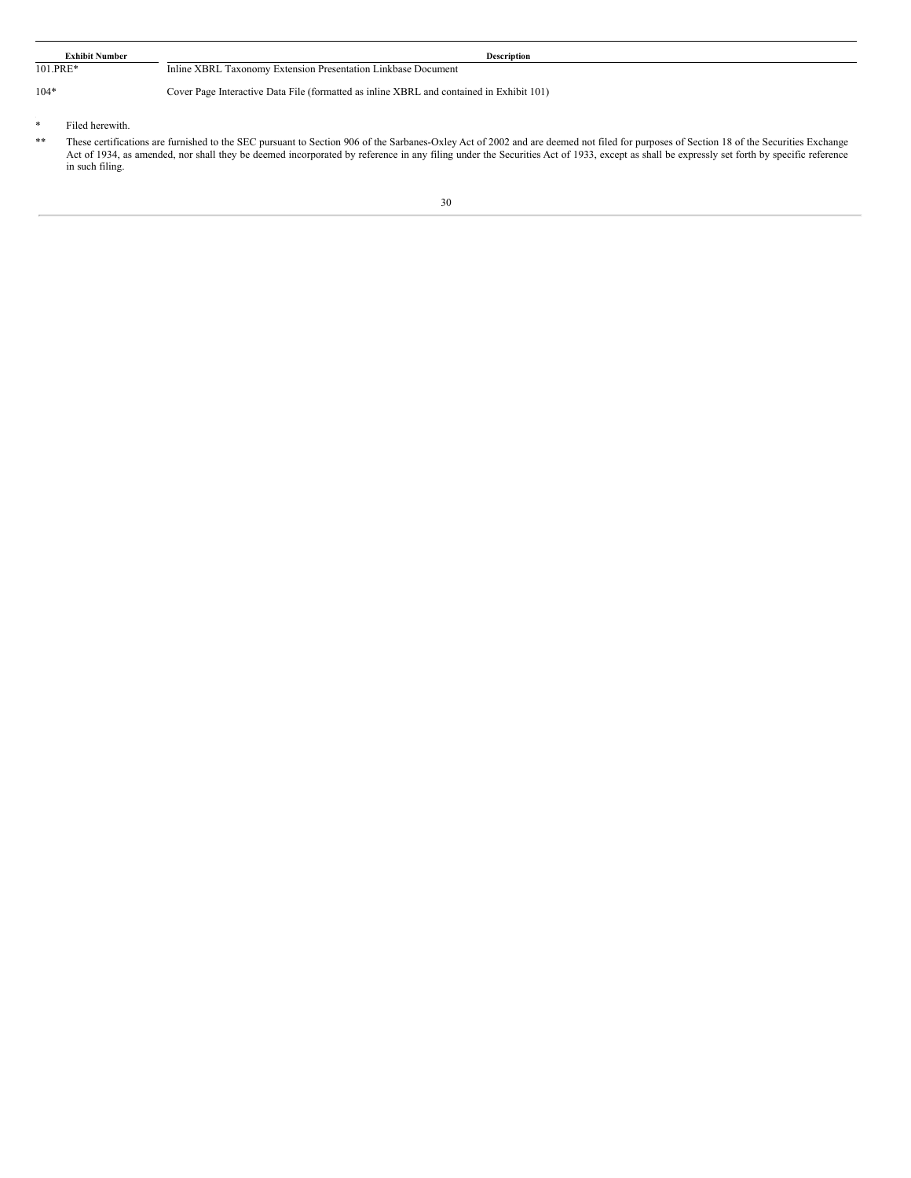|                                                                                  | <b>Exhibit Number</b> | <b>Description</b>                                                                                             |
|----------------------------------------------------------------------------------|-----------------------|----------------------------------------------------------------------------------------------------------------|
| 101.PRE*                                                                         |                       | Inline XBRL Taxonomy Extension Presentation Linkbase Document                                                  |
| $104*$                                                                           |                       | Cover Page Interactive Data File (formatted as inline XBRL and contained in Exhibit 101)                       |
|                                                                                  | Filed herewith.       |                                                                                                                |
| about the company of the company of the company of the company of the company of | $\cdots$              | the contract of the company of the contract of the contract of the contract of the contract of the contract of |

<sup>\*\*</sup> These certifications are furnished to the SEC pursuant to Section 906 of the Sarbanes-Oxley Act of 2002 and are deemed not filed for purposes of Section 18 of the Securities Exchange Act of 1934, as amended, nor shall they be deemed incorporated by reference in any filing under the Securities Act of 1933, except as shall be expressly set forth by specific reference in such filing.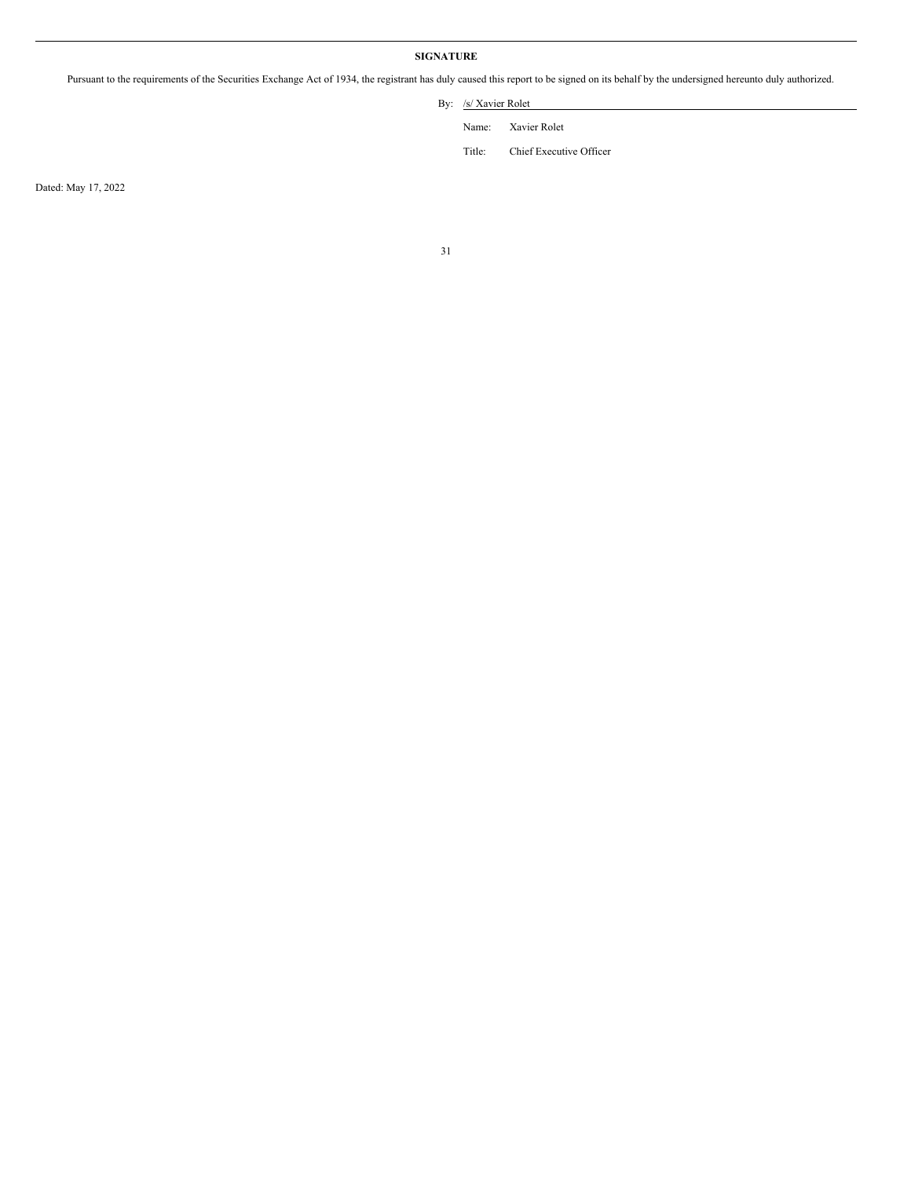# **SIGNATURE**

<span id="page-30-0"></span>Pursuant to the requirements of the Securities Exchange Act of 1934, the registrant has duly caused this report to be signed on its behalf by the undersigned hereunto duly authorized.

By: /s/ Xavier Rolet

Name: Xavier Rolet

Title: Chief Executive Officer

Dated: May 17, 2022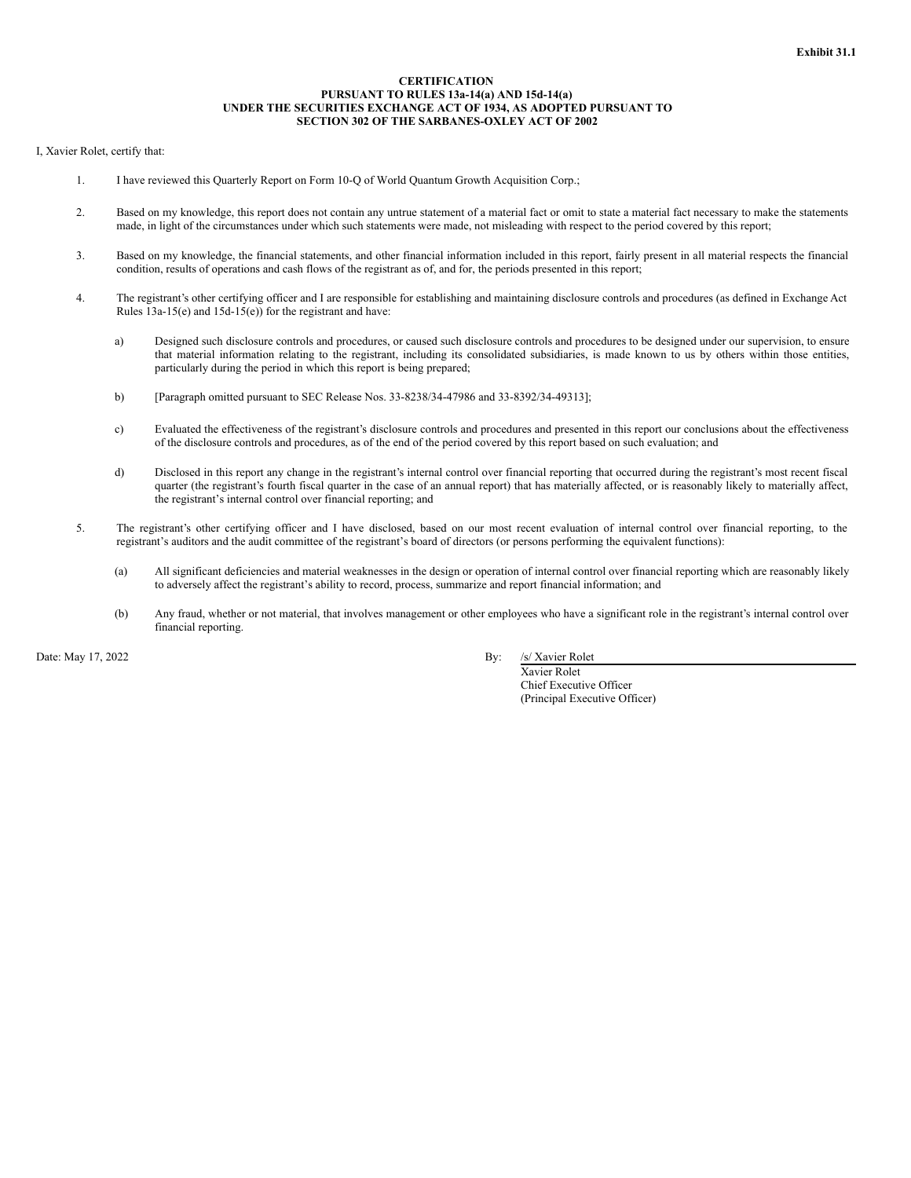### **CERTIFICATION PURSUANT TO RULES 13a-14(a) AND 15d-14(a) UNDER THE SECURITIES EXCHANGE ACT OF 1934, AS ADOPTED PURSUANT TO SECTION 302 OF THE SARBANES-OXLEY ACT OF 2002**

## <span id="page-31-0"></span>I, Xavier Rolet, certify that:

- 1. I have reviewed this Quarterly Report on Form 10-Q of World Quantum Growth Acquisition Corp.;
- 2. Based on my knowledge, this report does not contain any untrue statement of a material fact or omit to state a material fact necessary to make the statements made, in light of the circumstances under which such statements were made, not misleading with respect to the period covered by this report;
- 3. Based on my knowledge, the financial statements, and other financial information included in this report, fairly present in all material respects the financial condition, results of operations and cash flows of the registrant as of, and for, the periods presented in this report;
- 4. The registrant's other certifying officer and I are responsible for establishing and maintaining disclosure controls and procedures (as defined in Exchange Act Rules 13a-15(e) and 15d-15(e)) for the registrant and have:
	- a) Designed such disclosure controls and procedures, or caused such disclosure controls and procedures to be designed under our supervision, to ensure that material information relating to the registrant, including its consolidated subsidiaries, is made known to us by others within those entities, particularly during the period in which this report is being prepared;
	- b) [Paragraph omitted pursuant to SEC Release Nos. 33-8238/34-47986 and 33-8392/34-49313];
	- c) Evaluated the effectiveness of the registrant's disclosure controls and procedures and presented in this report our conclusions about the effectiveness of the disclosure controls and procedures, as of the end of the period covered by this report based on such evaluation; and
	- d) Disclosed in this report any change in the registrant's internal control over financial reporting that occurred during the registrant's most recent fiscal quarter (the registrant's fourth fiscal quarter in the case of an annual report) that has materially affected, or is reasonably likely to materially affect, the registrant's internal control over financial reporting; and
- 5. The registrant's other certifying officer and I have disclosed, based on our most recent evaluation of internal control over financial reporting, to the registrant's auditors and the audit committee of the registrant's board of directors (or persons performing the equivalent functions):
	- (a) All significant deficiencies and material weaknesses in the design or operation of internal control over financial reporting which are reasonably likely to adversely affect the registrant's ability to record, process, summarize and report financial information; and
	- (b) Any fraud, whether or not material, that involves management or other employees who have a significant role in the registrant's internal control over financial reporting.

Date: May 17, 2022 By: /s/ Xavier Rolet

Xavier Rolet Chief Executive Officer (Principal Executive Officer)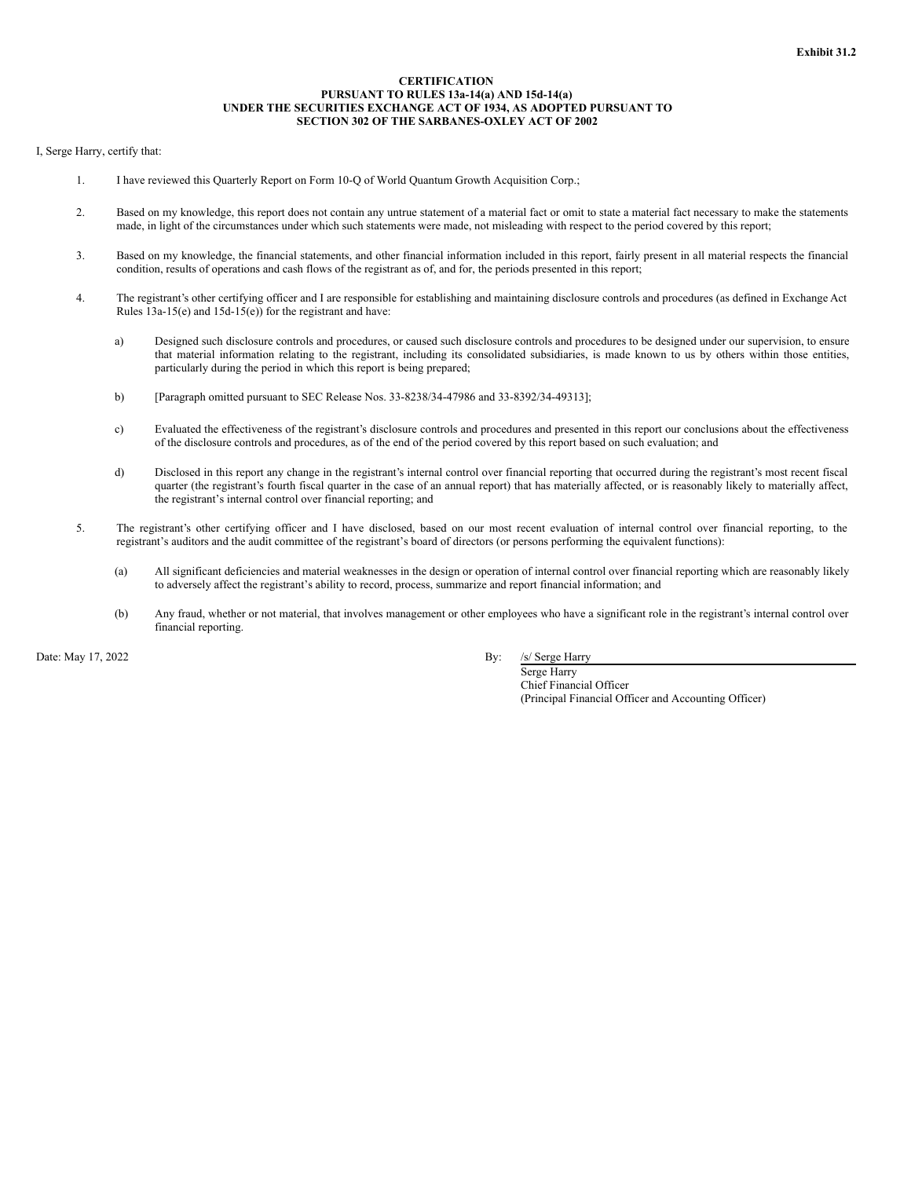## **CERTIFICATION PURSUANT TO RULES 13a-14(a) AND 15d-14(a) UNDER THE SECURITIES EXCHANGE ACT OF 1934, AS ADOPTED PURSUANT TO SECTION 302 OF THE SARBANES-OXLEY ACT OF 2002**

## <span id="page-32-0"></span>I, Serge Harry, certify that:

- 1. I have reviewed this Quarterly Report on Form 10-Q of World Quantum Growth Acquisition Corp.;
- 2. Based on my knowledge, this report does not contain any untrue statement of a material fact or omit to state a material fact necessary to make the statements made, in light of the circumstances under which such statements were made, not misleading with respect to the period covered by this report;
- 3. Based on my knowledge, the financial statements, and other financial information included in this report, fairly present in all material respects the financial condition, results of operations and cash flows of the registrant as of, and for, the periods presented in this report;
- 4. The registrant's other certifying officer and I are responsible for establishing and maintaining disclosure controls and procedures (as defined in Exchange Act Rules 13a-15(e) and 15d-15(e)) for the registrant and have:
	- a) Designed such disclosure controls and procedures, or caused such disclosure controls and procedures to be designed under our supervision, to ensure that material information relating to the registrant, including its consolidated subsidiaries, is made known to us by others within those entities, particularly during the period in which this report is being prepared;
	- b) [Paragraph omitted pursuant to SEC Release Nos. 33-8238/34-47986 and 33-8392/34-49313];
	- c) Evaluated the effectiveness of the registrant's disclosure controls and procedures and presented in this report our conclusions about the effectiveness of the disclosure controls and procedures, as of the end of the period covered by this report based on such evaluation; and
	- d) Disclosed in this report any change in the registrant's internal control over financial reporting that occurred during the registrant's most recent fiscal quarter (the registrant's fourth fiscal quarter in the case of an annual report) that has materially affected, or is reasonably likely to materially affect, the registrant's internal control over financial reporting; and
- 5. The registrant's other certifying officer and I have disclosed, based on our most recent evaluation of internal control over financial reporting, to the registrant's auditors and the audit committee of the registrant's board of directors (or persons performing the equivalent functions):
	- (a) All significant deficiencies and material weaknesses in the design or operation of internal control over financial reporting which are reasonably likely to adversely affect the registrant's ability to record, process, summarize and report financial information; and
	- (b) Any fraud, whether or not material, that involves management or other employees who have a significant role in the registrant's internal control over financial reporting.

Date: May 17, 2022 By: /s/ Serge Harry

Serge Harry Chief Financial Officer (Principal Financial Officer and Accounting Officer)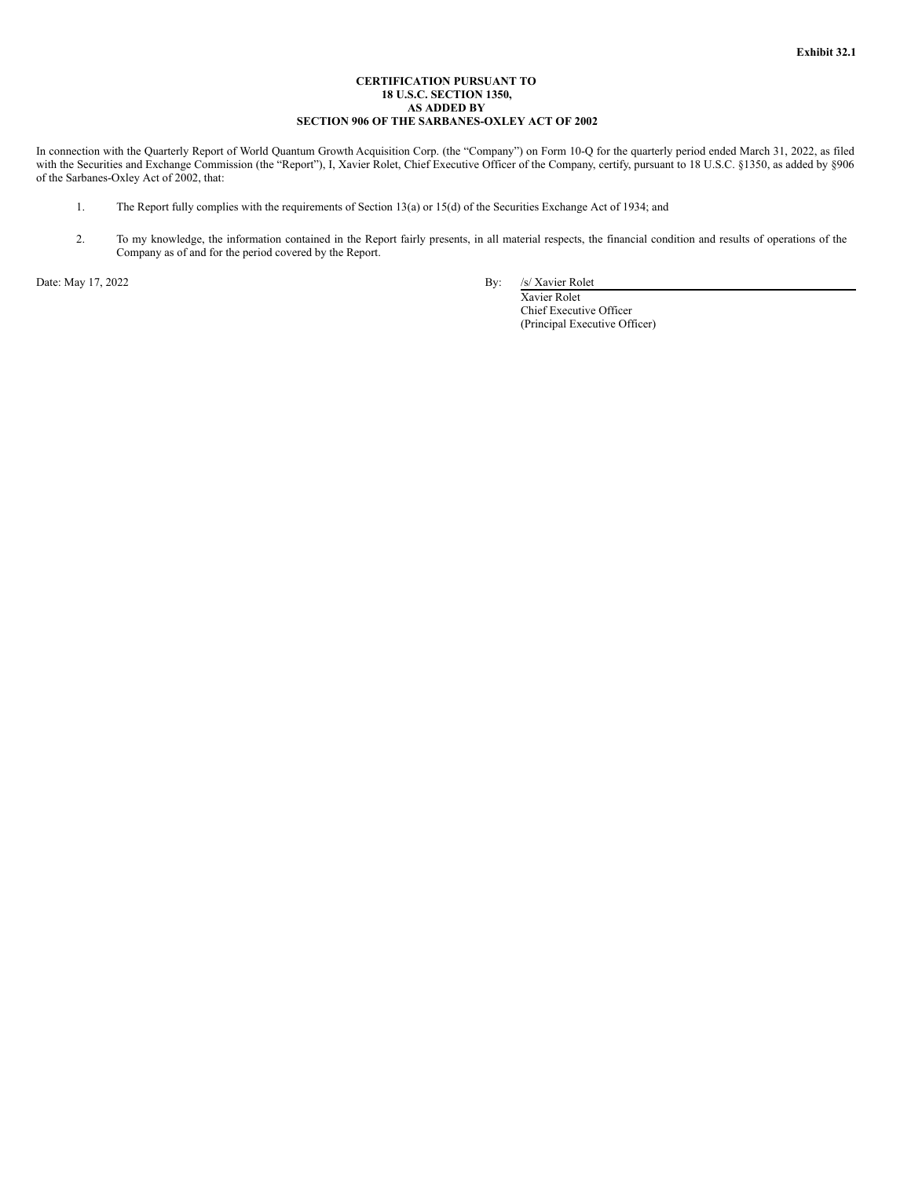## **CERTIFICATION PURSUANT TO 18 U.S.C. SECTION 1350, AS ADDED BY SECTION 906 OF THE SARBANES-OXLEY ACT OF 2002**

<span id="page-33-0"></span>In connection with the Quarterly Report of World Quantum Growth Acquisition Corp. (the "Company") on Form 10-Q for the quarterly period ended March 31, 2022, as filed with the Securities and Exchange Commission (the "Report"), I, Xavier Rolet, Chief Executive Officer of the Company, certify, pursuant to 18 U.S.C. §1350, as added by §906 of the Sarbanes-Oxley Act of 2002, that:

- 1. The Report fully complies with the requirements of Section 13(a) or 15(d) of the Securities Exchange Act of 1934; and
- 2. To my knowledge, the information contained in the Report fairly presents, in all material respects, the financial condition and results of operations of the Company as of and for the period covered by the Report.

Date: May 17, 2022 By: /s/ Xavier Rolet

Xavier Rolet Chief Executive Officer (Principal Executive Officer)